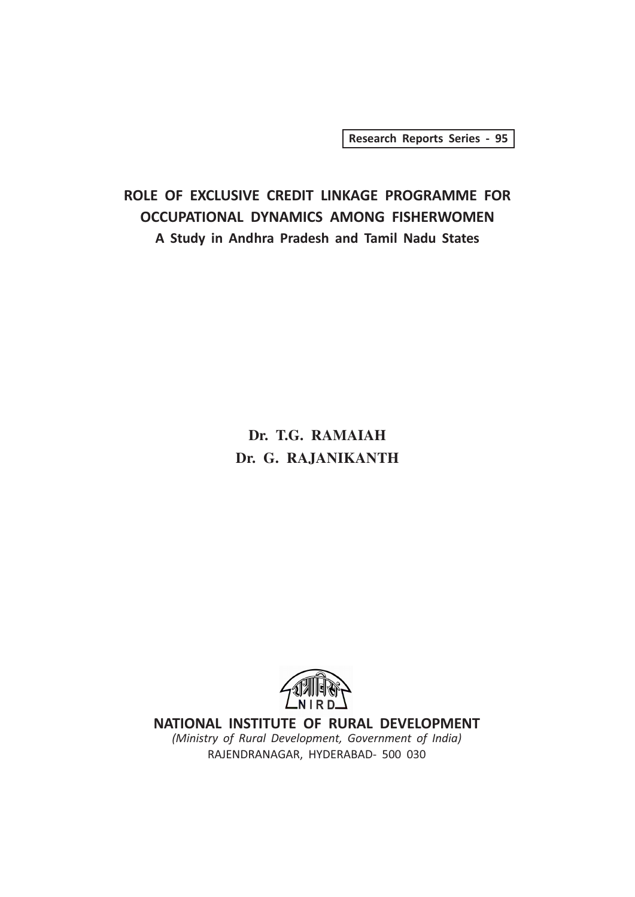Research Reports Series - 95

## ROLE OF EXCLUSIVE CREDIT LINKAGE PROGRAMME FOR OCCUPATIONAL DYNAMICS AMONG FISHERWOMEN A Study in Andhra Pradesh and Tamil Nadu States

## **Dr. T.G. RAMAIAH Dr. G. RAJANIKANTH**



NATIONAL INSTITUTE OF RURAL DEVELOPMENT (Ministry of Rural Development, Government of India) RAJENDRANAGAR, HYDERABAD- 500 030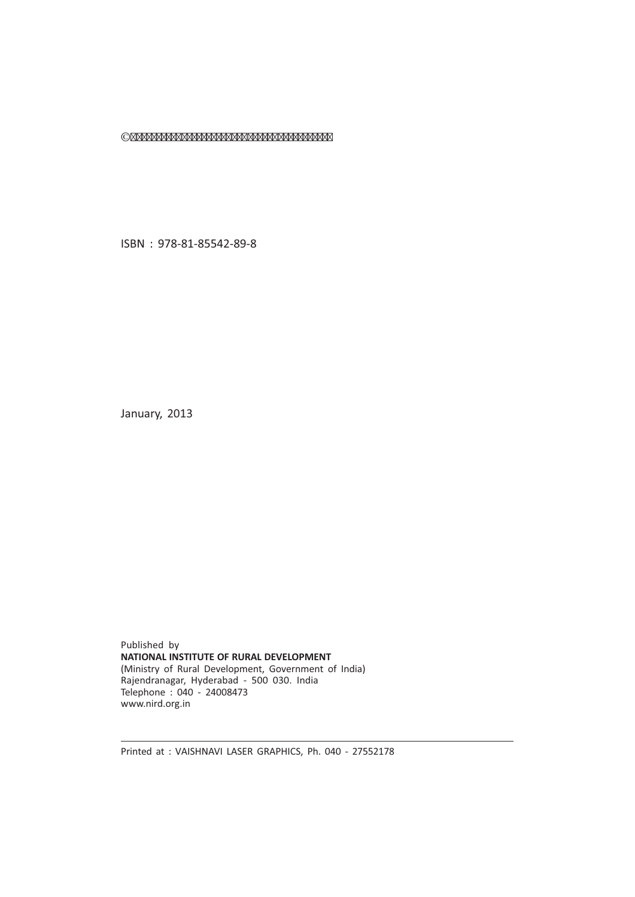©

ISBN : 978-81-85542-89-8

January, 2013

Published by NATIONAL INSTITUTE OF RURAL DEVELOPMENT (Ministry of Rural Development, Government of India) Rajendranagar, Hyderabad - 500 030. India Telephone : 040 - 24008473 www.nird.org.in

Printed at : VAISHNAVI LASER GRAPHICS, Ph. 040 - 27552178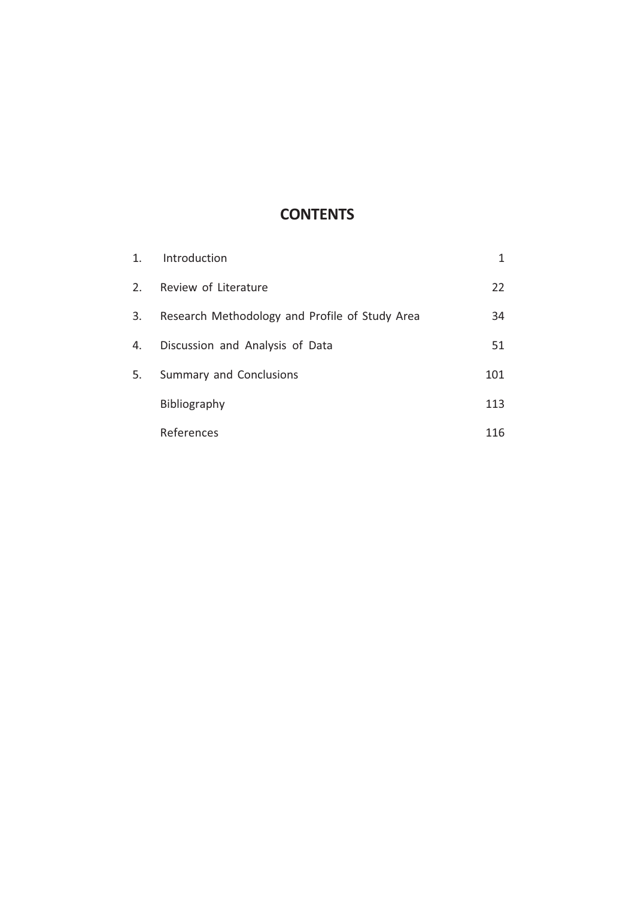## **CONTENTS**

| 1. | Introduction                                   | 1   |
|----|------------------------------------------------|-----|
| 2. | Review of Literature                           | 22  |
| 3. | Research Methodology and Profile of Study Area | 34  |
| 4. | Discussion and Analysis of Data                | 51  |
| 5. | Summary and Conclusions                        | 101 |
|    | Bibliography                                   | 113 |
|    | References                                     | 116 |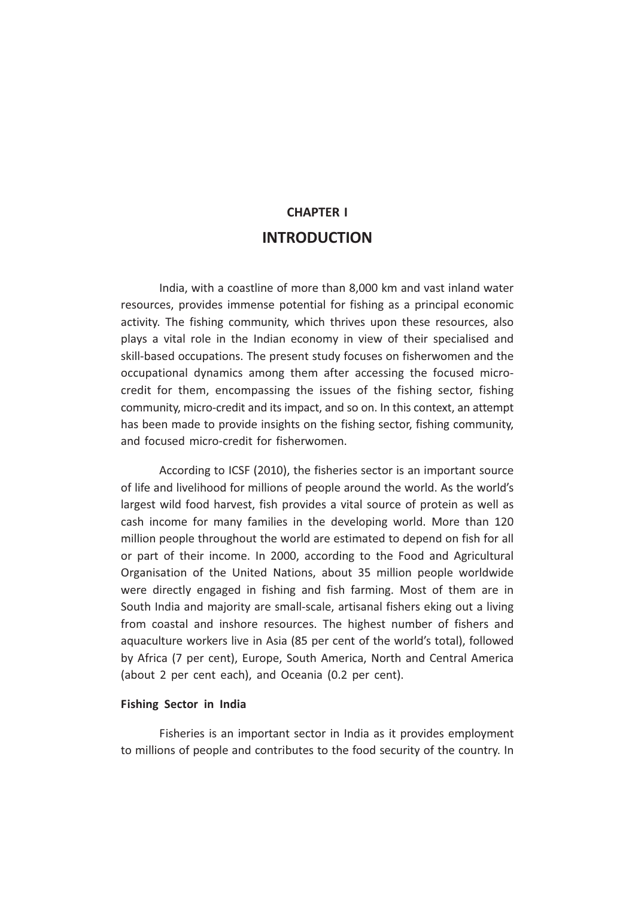## CHAPTER I INTRODUCTION

India, with a coastline of more than 8,000 km and vast inland water resources, provides immense potential for fishing as a principal economic activity. The fishing community, which thrives upon these resources, also plays a vital role in the Indian economy in view of their specialised and skill-based occupations. The present study focuses on fisherwomen and the occupational dynamics among them after accessing the focused microcredit for them, encompassing the issues of the fishing sector, fishing community, micro-credit and its impact, and so on. In this context, an attempt has been made to provide insights on the fishing sector, fishing community, and focused micro-credit for fisherwomen.

According to ICSF (2010), the fisheries sector is an important source of life and livelihood for millions of people around the world. As the world's largest wild food harvest, fish provides a vital source of protein as well as cash income for many families in the developing world. More than 120 million people throughout the world are estimated to depend on fish for all or part of their income. In 2000, according to the Food and Agricultural Organisation of the United Nations, about 35 million people worldwide were directly engaged in fishing and fish farming. Most of them are in South India and majority are small-scale, artisanal fishers eking out a living from coastal and inshore resources. The highest number of fishers and aquaculture workers live in Asia (85 per cent of the world's total), followed by Africa (7 per cent), Europe, South America, North and Central America (about 2 per cent each), and Oceania (0.2 per cent).

#### Fishing Sector in India

Fisheries is an important sector in India as it provides employment to millions of people and contributes to the food security of the country. In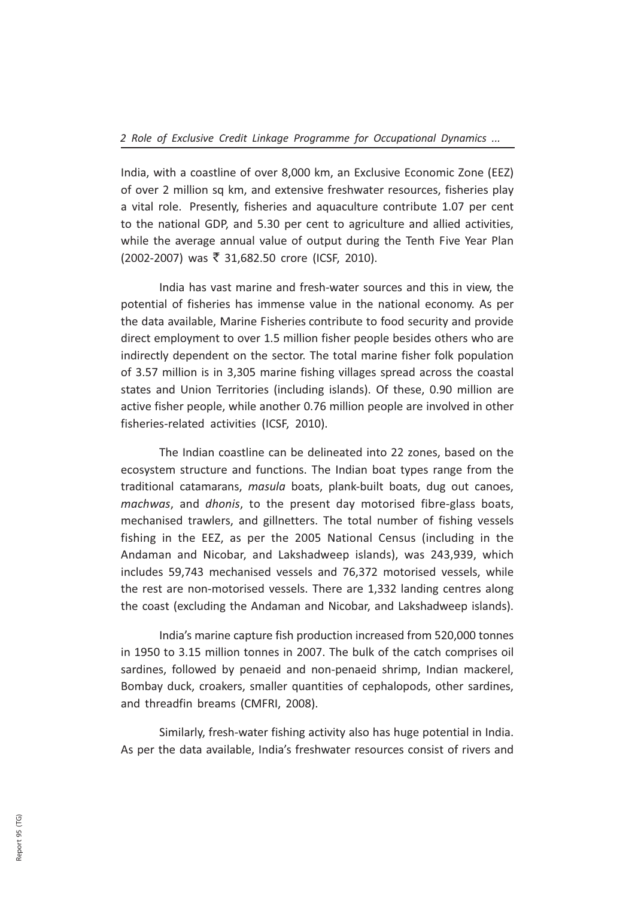India, with a coastline of over 8,000 km, an Exclusive Economic Zone (EEZ) of over 2 million sq km, and extensive freshwater resources, fisheries play a vital role. Presently, fisheries and aquaculture contribute 1.07 per cent to the national GDP, and 5.30 per cent to agriculture and allied activities, while the average annual value of output during the Tenth Five Year Plan (2002-2007) was ₹ 31,682.50 crore (ICSF, 2010).

India has vast marine and fresh-water sources and this in view, the potential of fisheries has immense value in the national economy. As per the data available, Marine Fisheries contribute to food security and provide direct employment to over 1.5 million fisher people besides others who are indirectly dependent on the sector. The total marine fisher folk population of 3.57 million is in 3,305 marine fishing villages spread across the coastal states and Union Territories (including islands). Of these, 0.90 million are active fisher people, while another 0.76 million people are involved in other fisheries-related activities (ICSF, 2010).

The Indian coastline can be delineated into 22 zones, based on the ecosystem structure and functions. The Indian boat types range from the traditional catamarans, masula boats, plank-built boats, dug out canoes, machwas, and dhonis, to the present day motorised fibre-glass boats, mechanised trawlers, and gillnetters. The total number of fishing vessels fishing in the EEZ, as per the 2005 National Census (including in the Andaman and Nicobar, and Lakshadweep islands), was 243,939, which includes 59,743 mechanised vessels and 76,372 motorised vessels, while the rest are non-motorised vessels. There are 1,332 landing centres along the coast (excluding the Andaman and Nicobar, and Lakshadweep islands).

India's marine capture fish production increased from 520,000 tonnes in 1950 to 3.15 million tonnes in 2007. The bulk of the catch comprises oil sardines, followed by penaeid and non-penaeid shrimp, Indian mackerel, Bombay duck, croakers, smaller quantities of cephalopods, other sardines, and threadfin breams (CMFRI, 2008).

Similarly, fresh-water fishing activity also has huge potential in India. As per the data available, India's freshwater resources consist of rivers and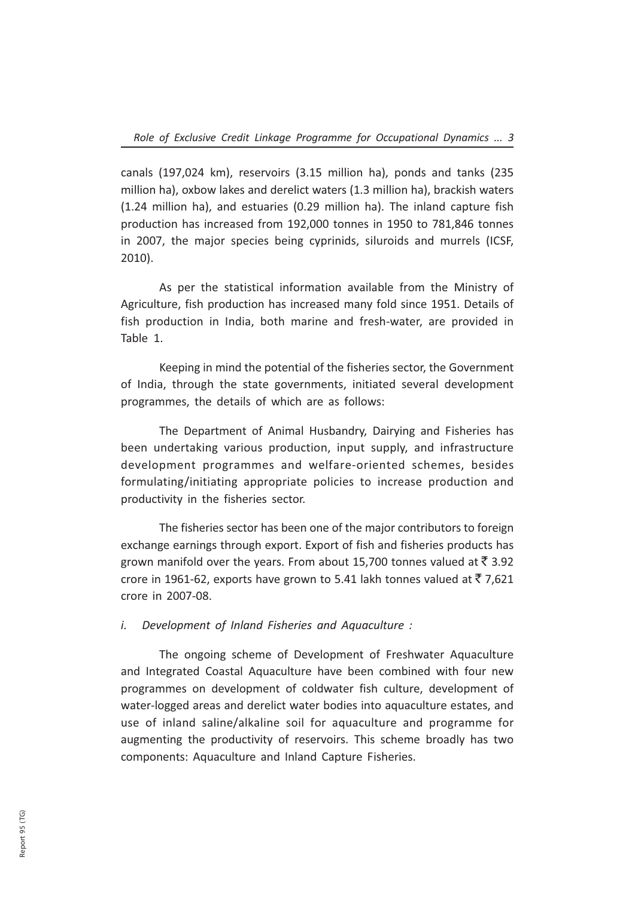canals (197,024 km), reservoirs (3.15 million ha), ponds and tanks (235 million ha), oxbow lakes and derelict waters (1.3 million ha), brackish waters (1.24 million ha), and estuaries (0.29 million ha). The inland capture fish production has increased from 192,000 tonnes in 1950 to 781,846 tonnes in 2007, the major species being cyprinids, siluroids and murrels (ICSF, 2010).

As per the statistical information available from the Ministry of Agriculture, fish production has increased many fold since 1951. Details of fish production in India, both marine and fresh-water, are provided in Table 1.

Keeping in mind the potential of the fisheries sector, the Government of India, through the state governments, initiated several development programmes, the details of which are as follows:

The Department of Animal Husbandry, Dairying and Fisheries has been undertaking various production, input supply, and infrastructure development programmes and welfare-oriented schemes, besides formulating/initiating appropriate policies to increase production and productivity in the fisheries sector.

The fisheries sector has been one of the major contributors to foreign exchange earnings through export. Export of fish and fisheries products has grown manifold over the years. From about 15,700 tonnes valued at  $\bar{\mathfrak{c}}$  3.92 crore in 1961-62, exports have grown to 5.41 lakh tonnes valued at  $\bar{\xi}$  7,621 crore in 2007-08.

i. Development of Inland Fisheries and Aquaculture :

The ongoing scheme of Development of Freshwater Aquaculture and Integrated Coastal Aquaculture have been combined with four new programmes on development of coldwater fish culture, development of water-logged areas and derelict water bodies into aquaculture estates, and use of inland saline/alkaline soil for aquaculture and programme for augmenting the productivity of reservoirs. This scheme broadly has two components: Aquaculture and Inland Capture Fisheries.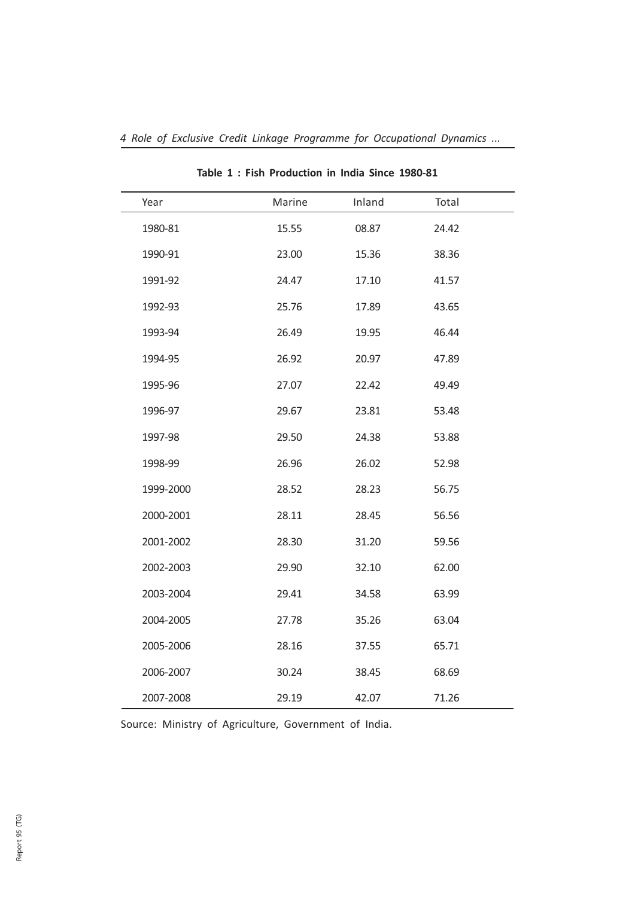| Year      | Marine | Inland | Total |
|-----------|--------|--------|-------|
| 1980-81   | 15.55  | 08.87  | 24.42 |
| 1990-91   | 23.00  | 15.36  | 38.36 |
| 1991-92   | 24.47  | 17.10  | 41.57 |
| 1992-93   | 25.76  | 17.89  | 43.65 |
| 1993-94   | 26.49  | 19.95  | 46.44 |
| 1994-95   | 26.92  | 20.97  | 47.89 |
| 1995-96   | 27.07  | 22.42  | 49.49 |
| 1996-97   | 29.67  | 23.81  | 53.48 |
| 1997-98   | 29.50  | 24.38  | 53.88 |
| 1998-99   | 26.96  | 26.02  | 52.98 |
| 1999-2000 | 28.52  | 28.23  | 56.75 |
| 2000-2001 | 28.11  | 28.45  | 56.56 |
| 2001-2002 | 28.30  | 31.20  | 59.56 |
| 2002-2003 | 29.90  | 32.10  | 62.00 |
| 2003-2004 | 29.41  | 34.58  | 63.99 |
| 2004-2005 | 27.78  | 35.26  | 63.04 |
| 2005-2006 | 28.16  | 37.55  | 65.71 |
| 2006-2007 | 30.24  | 38.45  | 68.69 |
| 2007-2008 | 29.19  | 42.07  | 71.26 |

4 Role of Exclusive Credit Linkage Programme for Occupational Dynamics ...

Table 1 : Fish Production in India Since 1980-81

Source: Ministry of Agriculture, Government of India.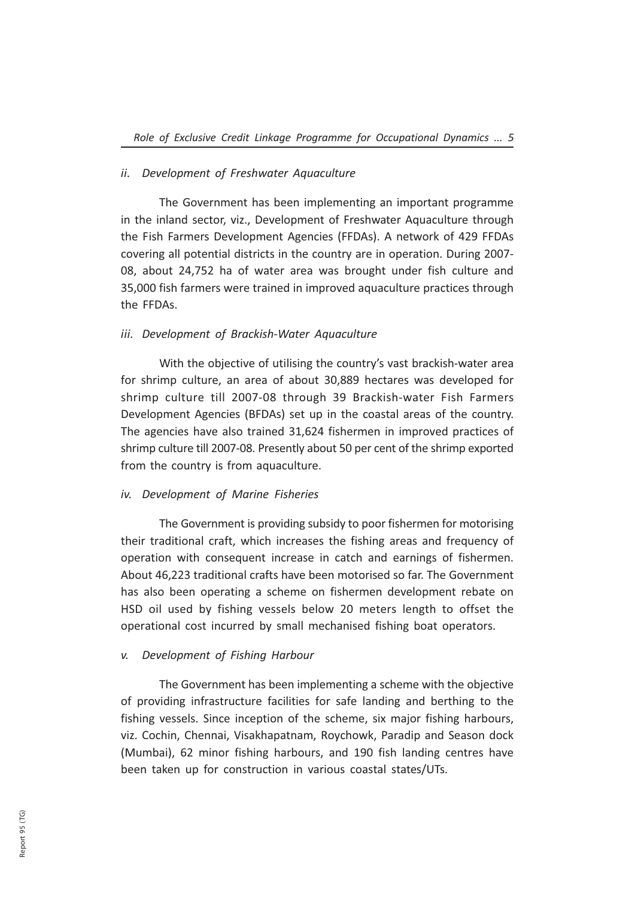### ii. Development of Freshwater Aquaculture

The Government has been implementing an important programme in the inland sector, viz., Development of Freshwater Aquaculture through the Fish Farmers Development Agencies (FFDAs). A network of 429 FFDAs covering all potential districts in the country are in operation. During 2007- 08, about 24,752 ha of water area was brought under fish culture and 35,000 fish farmers were trained in improved aquaculture practices through the FFDAs.

### iii. Development of Brackish-Water Aquaculture

With the objective of utilising the country's vast brackish-water area for shrimp culture, an area of about 30,889 hectares was developed for shrimp culture till 2007-08 through 39 Brackish-water Fish Farmers Development Agencies (BFDAs) set up in the coastal areas of the country. The agencies have also trained 31,624 fishermen in improved practices of shrimp culture till 2007-08. Presently about 50 per cent of the shrimp exported from the country is from aquaculture.

### iv. Development of Marine Fisheries

The Government is providing subsidy to poor fishermen for motorising their traditional craft, which increases the fishing areas and frequency of operation with consequent increase in catch and earnings of fishermen. About 46,223 traditional crafts have been motorised so far. The Government has also been operating a scheme on fishermen development rebate on HSD oil used by fishing vessels below 20 meters length to offset the operational cost incurred by small mechanised fishing boat operators.

### v. Development of Fishing Harbour

The Government has been implementing a scheme with the objective of providing infrastructure facilities for safe landing and berthing to the fishing vessels. Since inception of the scheme, six major fishing harbours, viz. Cochin, Chennai, Visakhapatnam, Roychowk, Paradip and Season dock (Mumbai), 62 minor fishing harbours, and 190 fish landing centres have been taken up for construction in various coastal states/UTs.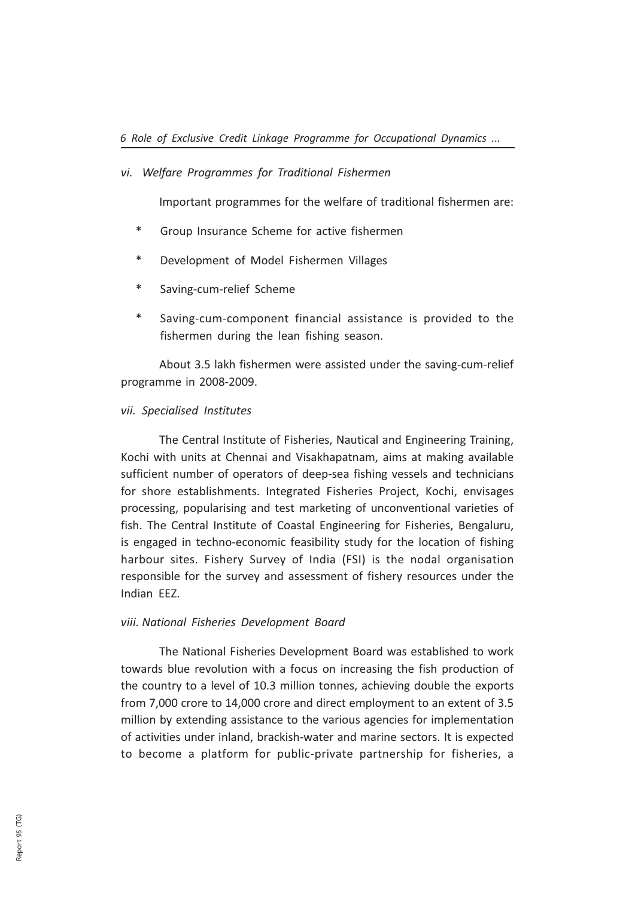### vi. Welfare Programmes for Traditional Fishermen

Important programmes for the welfare of traditional fishermen are:

- \* Group Insurance Scheme for active fishermen
- \* Development of Model Fishermen Villages
- Saving-cum-relief Scheme
- Saving-cum-component financial assistance is provided to the fishermen during the lean fishing season.

About 3.5 lakh fishermen were assisted under the saving-cum-relief programme in 2008-2009.

### vii. Specialised Institutes

The Central Institute of Fisheries, Nautical and Engineering Training, Kochi with units at Chennai and Visakhapatnam, aims at making available sufficient number of operators of deep-sea fishing vessels and technicians for shore establishments. Integrated Fisheries Project, Kochi, envisages processing, popularising and test marketing of unconventional varieties of fish. The Central Institute of Coastal Engineering for Fisheries, Bengaluru, is engaged in techno-economic feasibility study for the location of fishing harbour sites. Fishery Survey of India (FSI) is the nodal organisation responsible for the survey and assessment of fishery resources under the Indian EEZ.

### viii. National Fisheries Development Board

The National Fisheries Development Board was established to work towards blue revolution with a focus on increasing the fish production of the country to a level of 10.3 million tonnes, achieving double the exports from 7,000 crore to 14,000 crore and direct employment to an extent of 3.5 million by extending assistance to the various agencies for implementation of activities under inland, brackish-water and marine sectors. It is expected to become a platform for public-private partnership for fisheries, a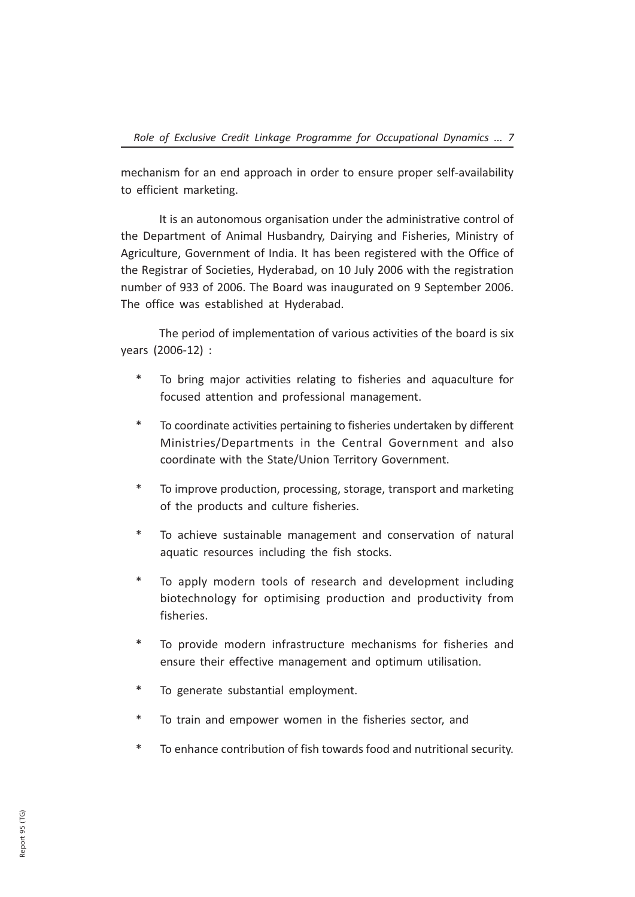mechanism for an end approach in order to ensure proper self-availability to efficient marketing.

It is an autonomous organisation under the administrative control of the Department of Animal Husbandry, Dairying and Fisheries, Ministry of Agriculture, Government of India. It has been registered with the Office of the Registrar of Societies, Hyderabad, on 10 July 2006 with the registration number of 933 of 2006. The Board was inaugurated on 9 September 2006. The office was established at Hyderabad.

The period of implementation of various activities of the board is six years (2006-12) :

- \* To bring major activities relating to fisheries and aquaculture for focused attention and professional management.
- \* To coordinate activities pertaining to fisheries undertaken by different Ministries/Departments in the Central Government and also coordinate with the State/Union Territory Government.
- \* To improve production, processing, storage, transport and marketing of the products and culture fisheries.
- \* To achieve sustainable management and conservation of natural aquatic resources including the fish stocks.
- \* To apply modern tools of research and development including biotechnology for optimising production and productivity from fisheries.
- \* To provide modern infrastructure mechanisms for fisheries and ensure their effective management and optimum utilisation.
- \* To generate substantial employment.
- To train and empower women in the fisheries sector, and
- \* To enhance contribution of fish towards food and nutritional security.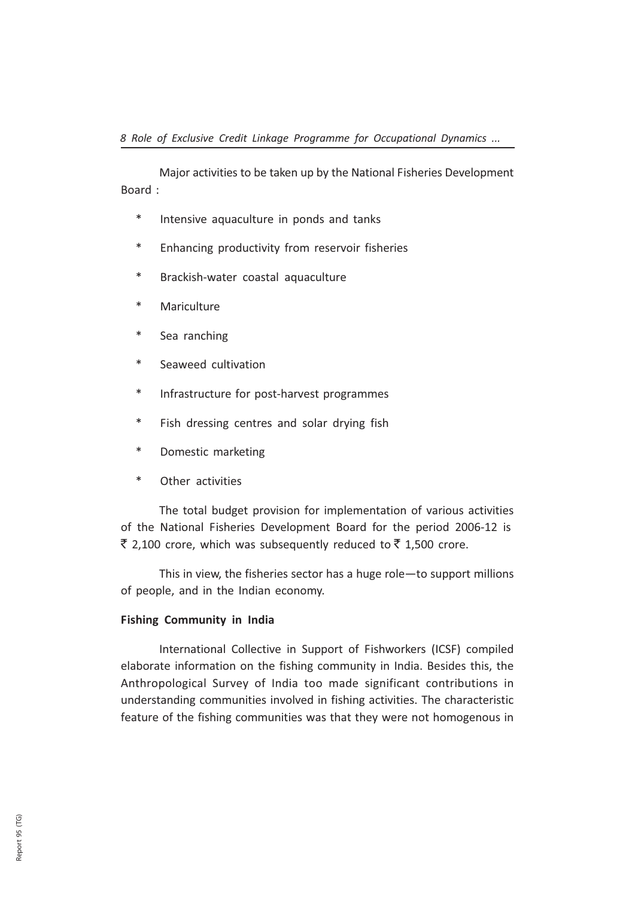Major activities to be taken up by the National Fisheries Development Board :

- \* Intensive aquaculture in ponds and tanks
- \* Enhancing productivity from reservoir fisheries
- Brackish-water coastal aquaculture
- \* Mariculture
- \* Sea ranching
- \* Seaweed cultivation
- \* Infrastructure for post-harvest programmes
- \* Fish dressing centres and solar drying fish
- \* Domestic marketing
- \* Other activities

The total budget provision for implementation of various activities of the National Fisheries Development Board for the period 2006-12 is ₹ 2,100 crore, which was subsequently reduced to ₹ 1,500 crore.

This in view, the fisheries sector has a huge role—to support millions of people, and in the Indian economy.

### Fishing Community in India

International Collective in Support of Fishworkers (ICSF) compiled elaborate information on the fishing community in India. Besides this, the Anthropological Survey of India too made significant contributions in understanding communities involved in fishing activities. The characteristic feature of the fishing communities was that they were not homogenous in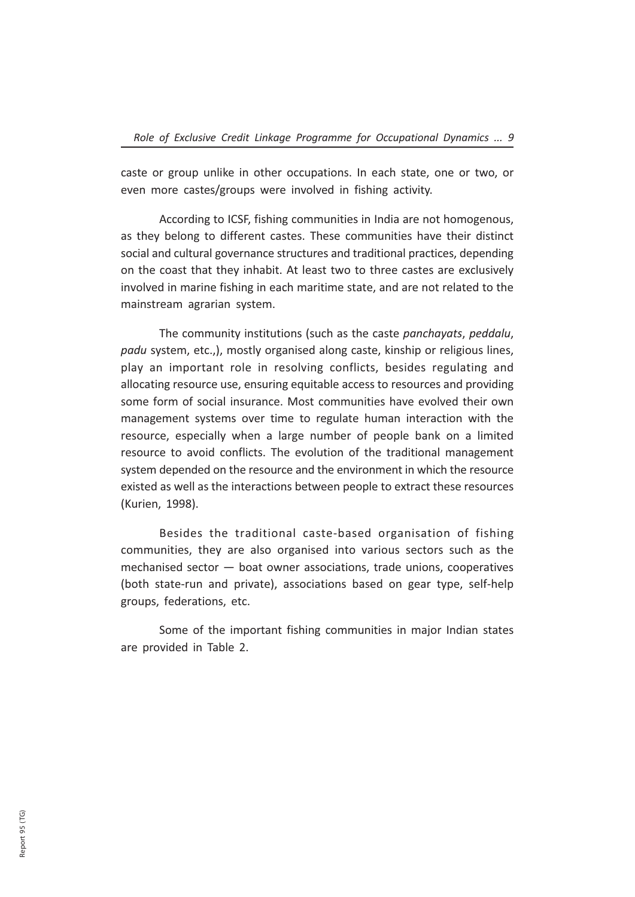caste or group unlike in other occupations. In each state, one or two, or even more castes/groups were involved in fishing activity.

According to ICSF, fishing communities in India are not homogenous, as they belong to different castes. These communities have their distinct social and cultural governance structures and traditional practices, depending on the coast that they inhabit. At least two to three castes are exclusively involved in marine fishing in each maritime state, and are not related to the mainstream agrarian system.

The community institutions (such as the caste panchayats, peddalu, padu system, etc.,), mostly organised along caste, kinship or religious lines, play an important role in resolving conflicts, besides regulating and allocating resource use, ensuring equitable access to resources and providing some form of social insurance. Most communities have evolved their own management systems over time to regulate human interaction with the resource, especially when a large number of people bank on a limited resource to avoid conflicts. The evolution of the traditional management system depended on the resource and the environment in which the resource existed as well as the interactions between people to extract these resources (Kurien, 1998).

Besides the traditional caste-based organisation of fishing communities, they are also organised into various sectors such as the mechanised sector — boat owner associations, trade unions, cooperatives (both state-run and private), associations based on gear type, self-help groups, federations, etc.

Some of the important fishing communities in major Indian states are provided in Table 2.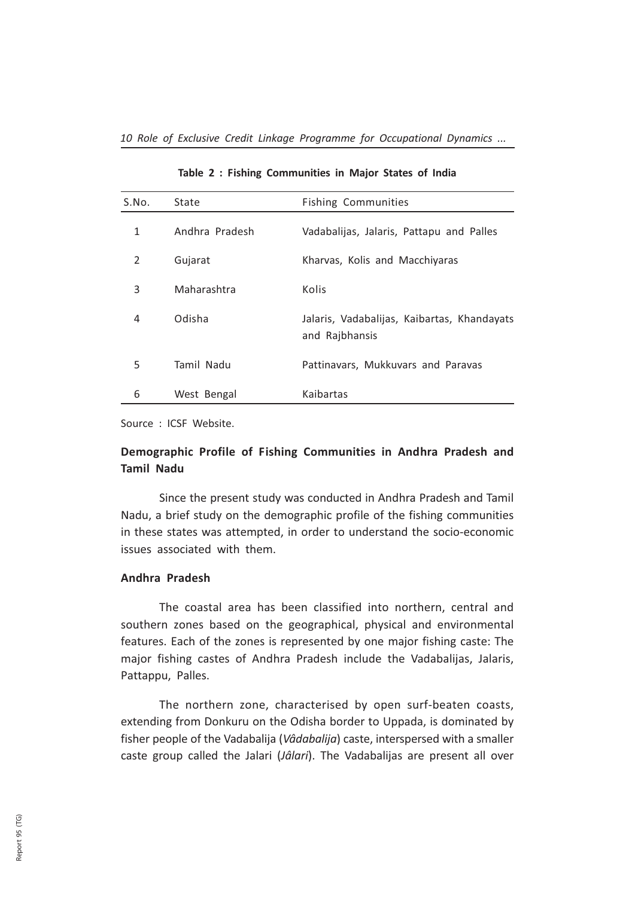| S.No. | State          | <b>Fishing Communities</b>                                    |
|-------|----------------|---------------------------------------------------------------|
| 1     | Andhra Pradesh | Vadabalijas, Jalaris, Pattapu and Palles                      |
| 2     | Gujarat        | Kharvas, Kolis and Macchiyaras                                |
| 3     | Maharashtra    | Kolis                                                         |
| 4     | Odisha         | Jalaris, Vadabalijas, Kaibartas, Khandayats<br>and Rajbhansis |
| 5     | Tamil Nadu     | Pattinavars, Mukkuvars and Paravas                            |
| 6     | West Bengal    | Kaibartas                                                     |

Table 2 : Fishing Communities in Major States of India

Source : ICSF Website.

### Demographic Profile of Fishing Communities in Andhra Pradesh and Tamil Nadu

Since the present study was conducted in Andhra Pradesh and Tamil Nadu, a brief study on the demographic profile of the fishing communities in these states was attempted, in order to understand the socio-economic issues associated with them.

### Andhra Pradesh

The coastal area has been classified into northern, central and southern zones based on the geographical, physical and environmental features. Each of the zones is represented by one major fishing caste: The major fishing castes of Andhra Pradesh include the Vadabalijas, Jalaris, Pattappu, Palles.

The northern zone, characterised by open surf-beaten coasts, extending from Donkuru on the Odisha border to Uppada, is dominated by fisher people of the Vadabalija (Vâdabalija) caste, interspersed with a smaller caste group called the Jalari (Jâlari). The Vadabalijas are present all over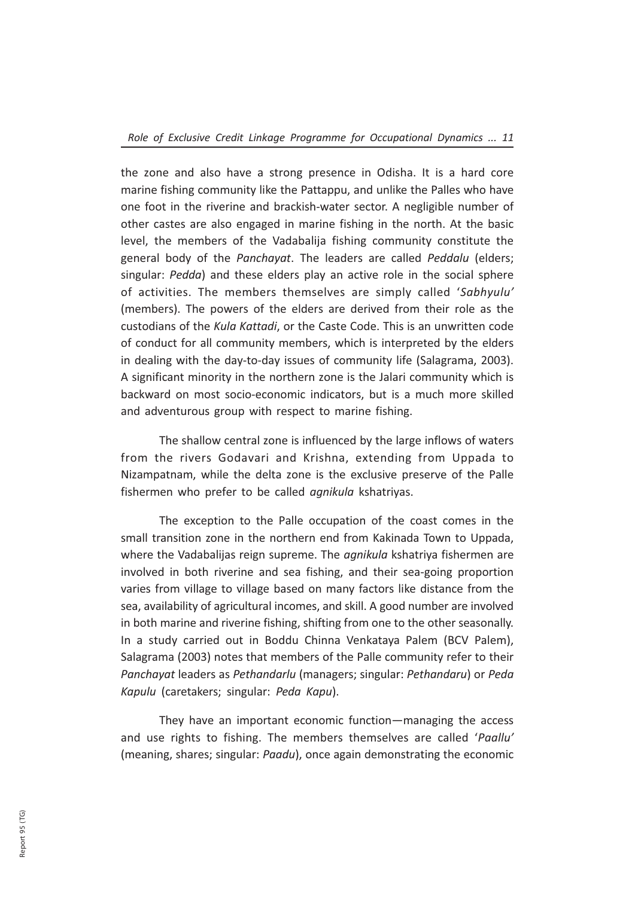the zone and also have a strong presence in Odisha. It is a hard core marine fishing community like the Pattappu, and unlike the Palles who have one foot in the riverine and brackish-water sector. A negligible number of other castes are also engaged in marine fishing in the north. At the basic level, the members of the Vadabalija fishing community constitute the general body of the Panchayat. The leaders are called Peddalu (elders; singular: Pedda) and these elders play an active role in the social sphere of activities. The members themselves are simply called 'Sabhyulu' (members). The powers of the elders are derived from their role as the custodians of the Kula Kattadi, or the Caste Code. This is an unwritten code of conduct for all community members, which is interpreted by the elders in dealing with the day-to-day issues of community life (Salagrama, 2003). A significant minority in the northern zone is the Jalari community which is backward on most socio-economic indicators, but is a much more skilled and adventurous group with respect to marine fishing.

The shallow central zone is influenced by the large inflows of waters from the rivers Godavari and Krishna, extending from Uppada to Nizampatnam, while the delta zone is the exclusive preserve of the Palle fishermen who prefer to be called *agnikula* kshatriyas.

The exception to the Palle occupation of the coast comes in the small transition zone in the northern end from Kakinada Town to Uppada, where the Vadabalijas reign supreme. The *agnikula* kshatriya fishermen are involved in both riverine and sea fishing, and their sea-going proportion varies from village to village based on many factors like distance from the sea, availability of agricultural incomes, and skill. A good number are involved in both marine and riverine fishing, shifting from one to the other seasonally. In a study carried out in Boddu Chinna Venkataya Palem (BCV Palem), Salagrama (2003) notes that members of the Palle community refer to their Panchayat leaders as Pethandarlu (managers; singular: Pethandaru) or Peda Kapulu (caretakers; singular: Peda Kapu).

They have an important economic function—managing the access and use rights to fishing. The members themselves are called 'Paallu' (meaning, shares; singular: Paadu), once again demonstrating the economic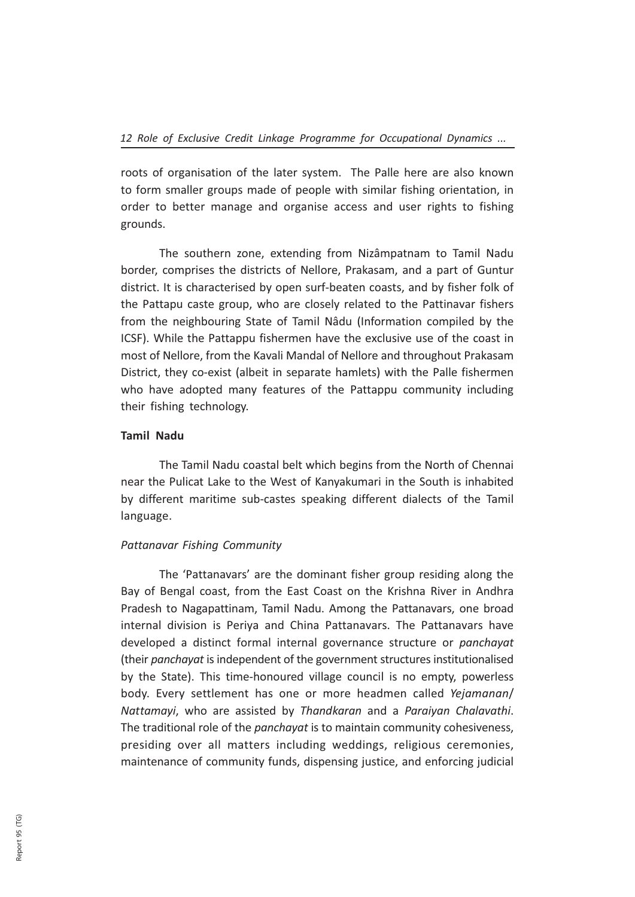roots of organisation of the later system. The Palle here are also known to form smaller groups made of people with similar fishing orientation, in order to better manage and organise access and user rights to fishing grounds.

The southern zone, extending from Nizâmpatnam to Tamil Nadu border, comprises the districts of Nellore, Prakasam, and a part of Guntur district. It is characterised by open surf-beaten coasts, and by fisher folk of the Pattapu caste group, who are closely related to the Pattinavar fishers from the neighbouring State of Tamil Nâdu (Information compiled by the ICSF). While the Pattappu fishermen have the exclusive use of the coast in most of Nellore, from the Kavali Mandal of Nellore and throughout Prakasam District, they co-exist (albeit in separate hamlets) with the Palle fishermen who have adopted many features of the Pattappu community including their fishing technology.

### Tamil Nadu

The Tamil Nadu coastal belt which begins from the North of Chennai near the Pulicat Lake to the West of Kanyakumari in the South is inhabited by different maritime sub-castes speaking different dialects of the Tamil language.

### Pattanavar Fishing Community

The 'Pattanavars' are the dominant fisher group residing along the Bay of Bengal coast, from the East Coast on the Krishna River in Andhra Pradesh to Nagapattinam, Tamil Nadu. Among the Pattanavars, one broad internal division is Periya and China Pattanavars. The Pattanavars have developed a distinct formal internal governance structure or panchayat (their panchayat is independent of the government structures institutionalised by the State). This time-honoured village council is no empty, powerless body. Every settlement has one or more headmen called Yejamanan/ Nattamayi, who are assisted by Thandkaran and a Paraiyan Chalavathi. The traditional role of the panchayat is to maintain community cohesiveness, presiding over all matters including weddings, religious ceremonies, maintenance of community funds, dispensing justice, and enforcing judicial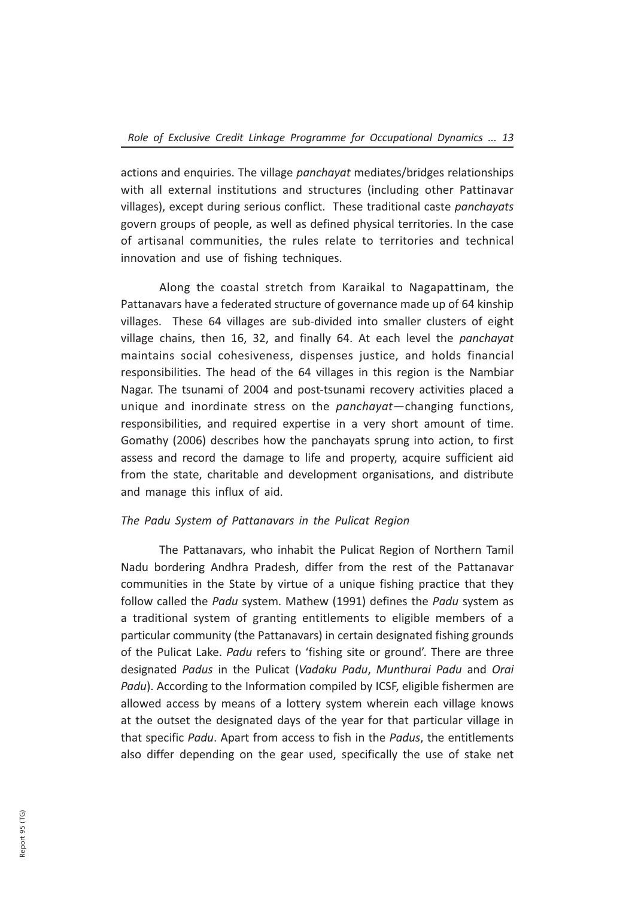actions and enquiries. The village *panchayat* mediates/bridges relationships with all external institutions and structures (including other Pattinavar villages), except during serious conflict. These traditional caste panchayats govern groups of people, as well as defined physical territories. In the case of artisanal communities, the rules relate to territories and technical innovation and use of fishing techniques.

Along the coastal stretch from Karaikal to Nagapattinam, the Pattanavars have a federated structure of governance made up of 64 kinship villages. These 64 villages are sub-divided into smaller clusters of eight village chains, then 16, 32, and finally 64. At each level the panchayat maintains social cohesiveness, dispenses justice, and holds financial responsibilities. The head of the 64 villages in this region is the Nambiar Nagar. The tsunami of 2004 and post-tsunami recovery activities placed a unique and inordinate stress on the panchayat—changing functions, responsibilities, and required expertise in a very short amount of time. Gomathy (2006) describes how the panchayats sprung into action, to first assess and record the damage to life and property, acquire sufficient aid from the state, charitable and development organisations, and distribute and manage this influx of aid.

### The Padu System of Pattanavars in the Pulicat Region

The Pattanavars, who inhabit the Pulicat Region of Northern Tamil Nadu bordering Andhra Pradesh, differ from the rest of the Pattanavar communities in the State by virtue of a unique fishing practice that they follow called the Padu system. Mathew (1991) defines the Padu system as a traditional system of granting entitlements to eligible members of a particular community (the Pattanavars) in certain designated fishing grounds of the Pulicat Lake. Padu refers to 'fishing site or ground'. There are three designated Padus in the Pulicat (Vadaku Padu, Munthurai Padu and Orai Padu). According to the Information compiled by ICSF, eligible fishermen are allowed access by means of a lottery system wherein each village knows at the outset the designated days of the year for that particular village in that specific Padu. Apart from access to fish in the Padus, the entitlements also differ depending on the gear used, specifically the use of stake net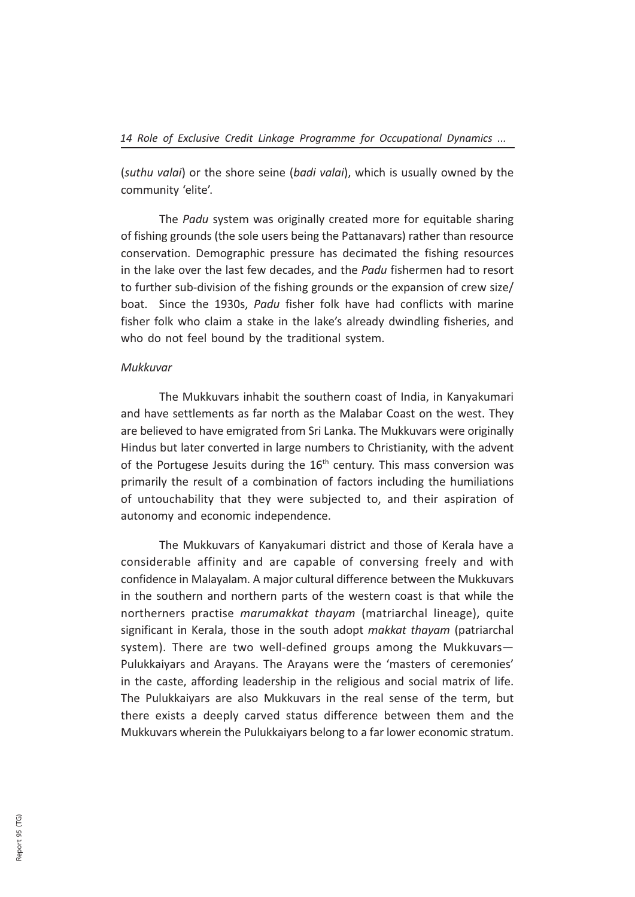(suthu valai) or the shore seine (badi valai), which is usually owned by the community 'elite'.

The Padu system was originally created more for equitable sharing of fishing grounds (the sole users being the Pattanavars) rather than resource conservation. Demographic pressure has decimated the fishing resources in the lake over the last few decades, and the Padu fishermen had to resort to further sub-division of the fishing grounds or the expansion of crew size/ boat. Since the 1930s, Padu fisher folk have had conflicts with marine fisher folk who claim a stake in the lake's already dwindling fisheries, and who do not feel bound by the traditional system.

### Mukkuvar

The Mukkuvars inhabit the southern coast of India, in Kanyakumari and have settlements as far north as the Malabar Coast on the west. They are believed to have emigrated from Sri Lanka. The Mukkuvars were originally Hindus but later converted in large numbers to Christianity, with the advent of the Portugese Jesuits during the  $16<sup>th</sup>$  century. This mass conversion was primarily the result of a combination of factors including the humiliations of untouchability that they were subjected to, and their aspiration of autonomy and economic independence.

The Mukkuvars of Kanyakumari district and those of Kerala have a considerable affinity and are capable of conversing freely and with confidence in Malayalam. A major cultural difference between the Mukkuvars in the southern and northern parts of the western coast is that while the northerners practise marumakkat thayam (matriarchal lineage), quite significant in Kerala, those in the south adopt makkat thayam (patriarchal system). There are two well-defined groups among the Mukkuvars— Pulukkaiyars and Arayans. The Arayans were the 'masters of ceremonies' in the caste, affording leadership in the religious and social matrix of life. The Pulukkaiyars are also Mukkuvars in the real sense of the term, but there exists a deeply carved status difference between them and the Mukkuvars wherein the Pulukkaiyars belong to a far lower economic stratum.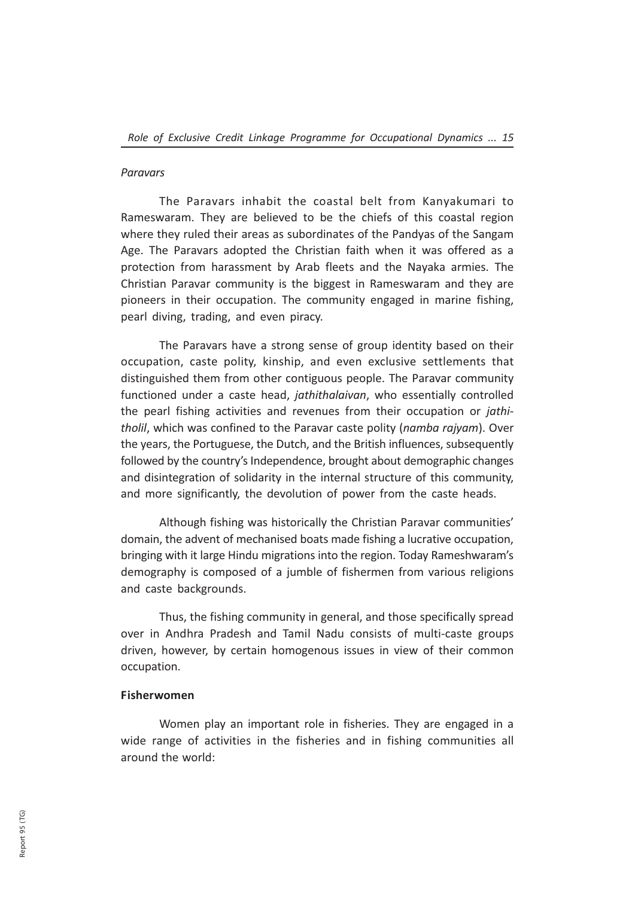### Paravars

The Paravars inhabit the coastal belt from Kanyakumari to Rameswaram. They are believed to be the chiefs of this coastal region where they ruled their areas as subordinates of the Pandyas of the Sangam Age. The Paravars adopted the Christian faith when it was offered as a protection from harassment by Arab fleets and the Nayaka armies. The Christian Paravar community is the biggest in Rameswaram and they are pioneers in their occupation. The community engaged in marine fishing, pearl diving, trading, and even piracy.

The Paravars have a strong sense of group identity based on their occupation, caste polity, kinship, and even exclusive settlements that distinguished them from other contiguous people. The Paravar community functioned under a caste head, jathithalaivan, who essentially controlled the pearl fishing activities and revenues from their occupation or jathitholil, which was confined to the Paravar caste polity (namba rajyam). Over the years, the Portuguese, the Dutch, and the British influences, subsequently followed by the country's Independence, brought about demographic changes and disintegration of solidarity in the internal structure of this community, and more significantly, the devolution of power from the caste heads.

Although fishing was historically the Christian Paravar communities' domain, the advent of mechanised boats made fishing a lucrative occupation, bringing with it large Hindu migrations into the region. Today Rameshwaram's demography is composed of a jumble of fishermen from various religions and caste backgrounds.

Thus, the fishing community in general, and those specifically spread over in Andhra Pradesh and Tamil Nadu consists of multi-caste groups driven, however, by certain homogenous issues in view of their common occupation.

### Fisherwomen

Women play an important role in fisheries. They are engaged in a wide range of activities in the fisheries and in fishing communities all around the world: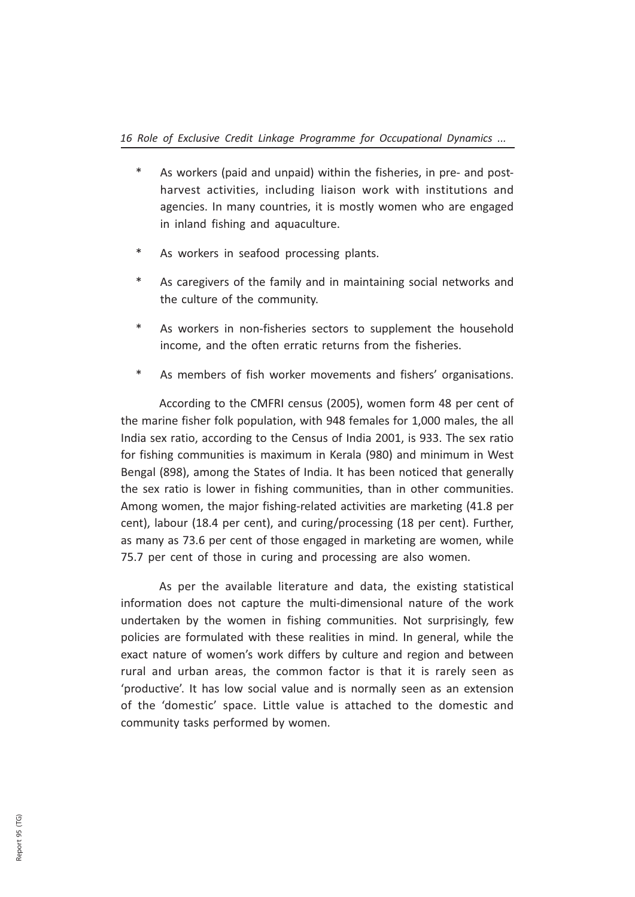- As workers (paid and unpaid) within the fisheries, in pre- and postharvest activities, including liaison work with institutions and agencies. In many countries, it is mostly women who are engaged in inland fishing and aquaculture.
- As workers in seafood processing plants.
- As caregivers of the family and in maintaining social networks and the culture of the community.
- As workers in non-fisheries sectors to supplement the household income, and the often erratic returns from the fisheries.
- \* As members of fish worker movements and fishers' organisations.

According to the CMFRI census (2005), women form 48 per cent of the marine fisher folk population, with 948 females for 1,000 males, the all India sex ratio, according to the Census of India 2001, is 933. The sex ratio for fishing communities is maximum in Kerala (980) and minimum in West Bengal (898), among the States of India. It has been noticed that generally the sex ratio is lower in fishing communities, than in other communities. Among women, the major fishing-related activities are marketing (41.8 per cent), labour (18.4 per cent), and curing/processing (18 per cent). Further, as many as 73.6 per cent of those engaged in marketing are women, while 75.7 per cent of those in curing and processing are also women.

As per the available literature and data, the existing statistical information does not capture the multi-dimensional nature of the work undertaken by the women in fishing communities. Not surprisingly, few policies are formulated with these realities in mind. In general, while the exact nature of women's work differs by culture and region and between rural and urban areas, the common factor is that it is rarely seen as 'productive'. It has low social value and is normally seen as an extension of the 'domestic' space. Little value is attached to the domestic and community tasks performed by women.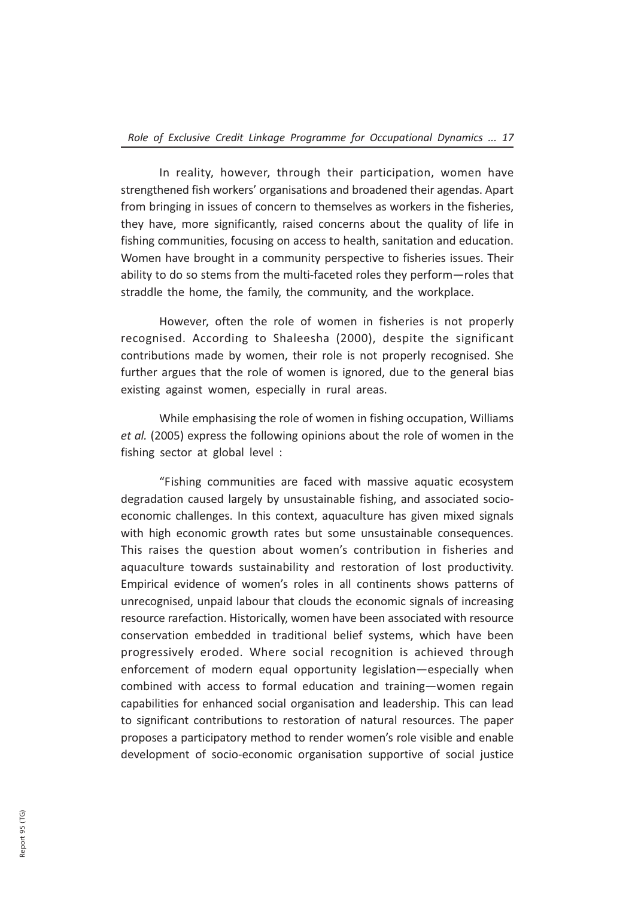In reality, however, through their participation, women have strengthened fish workers' organisations and broadened their agendas. Apart from bringing in issues of concern to themselves as workers in the fisheries, they have, more significantly, raised concerns about the quality of life in fishing communities, focusing on access to health, sanitation and education. Women have brought in a community perspective to fisheries issues. Their ability to do so stems from the multi-faceted roles they perform—roles that straddle the home, the family, the community, and the workplace.

However, often the role of women in fisheries is not properly recognised. According to Shaleesha (2000), despite the significant contributions made by women, their role is not properly recognised. She further argues that the role of women is ignored, due to the general bias existing against women, especially in rural areas.

While emphasising the role of women in fishing occupation, Williams et al. (2005) express the following opinions about the role of women in the fishing sector at global level :

"Fishing communities are faced with massive aquatic ecosystem degradation caused largely by unsustainable fishing, and associated socioeconomic challenges. In this context, aquaculture has given mixed signals with high economic growth rates but some unsustainable consequences. This raises the question about women's contribution in fisheries and aquaculture towards sustainability and restoration of lost productivity. Empirical evidence of women's roles in all continents shows patterns of unrecognised, unpaid labour that clouds the economic signals of increasing resource rarefaction. Historically, women have been associated with resource conservation embedded in traditional belief systems, which have been progressively eroded. Where social recognition is achieved through enforcement of modern equal opportunity legislation—especially when combined with access to formal education and training—women regain capabilities for enhanced social organisation and leadership. This can lead to significant contributions to restoration of natural resources. The paper proposes a participatory method to render women's role visible and enable development of socio-economic organisation supportive of social justice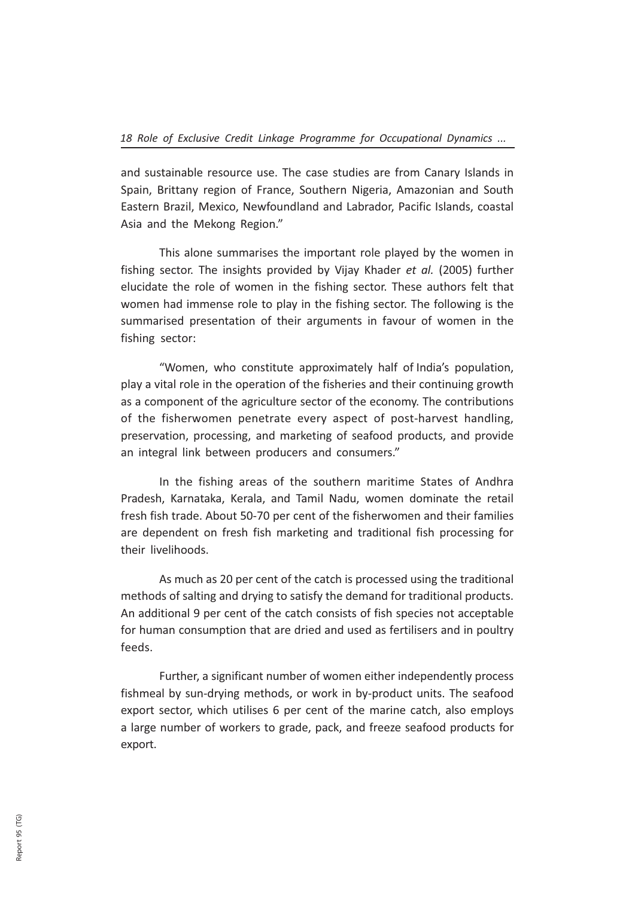and sustainable resource use. The case studies are from Canary Islands in Spain, Brittany region of France, Southern Nigeria, Amazonian and South Eastern Brazil, Mexico, Newfoundland and Labrador, Pacific Islands, coastal Asia and the Mekong Region."

This alone summarises the important role played by the women in fishing sector. The insights provided by Vijay Khader et al. (2005) further elucidate the role of women in the fishing sector. These authors felt that women had immense role to play in the fishing sector. The following is the summarised presentation of their arguments in favour of women in the fishing sector:

"Women, who constitute approximately half of India's population, play a vital role in the operation of the fisheries and their continuing growth as a component of the agriculture sector of the economy. The contributions of the fisherwomen penetrate every aspect of post-harvest handling, preservation, processing, and marketing of seafood products, and provide an integral link between producers and consumers."

In the fishing areas of the southern maritime States of Andhra Pradesh, Karnataka, Kerala, and Tamil Nadu, women dominate the retail fresh fish trade. About 50-70 per cent of the fisherwomen and their families are dependent on fresh fish marketing and traditional fish processing for their livelihoods.

As much as 20 per cent of the catch is processed using the traditional methods of salting and drying to satisfy the demand for traditional products. An additional 9 per cent of the catch consists of fish species not acceptable for human consumption that are dried and used as fertilisers and in poultry feeds.

Further, a significant number of women either independently process fishmeal by sun-drying methods, or work in by-product units. The seafood export sector, which utilises 6 per cent of the marine catch, also employs a large number of workers to grade, pack, and freeze seafood products for export.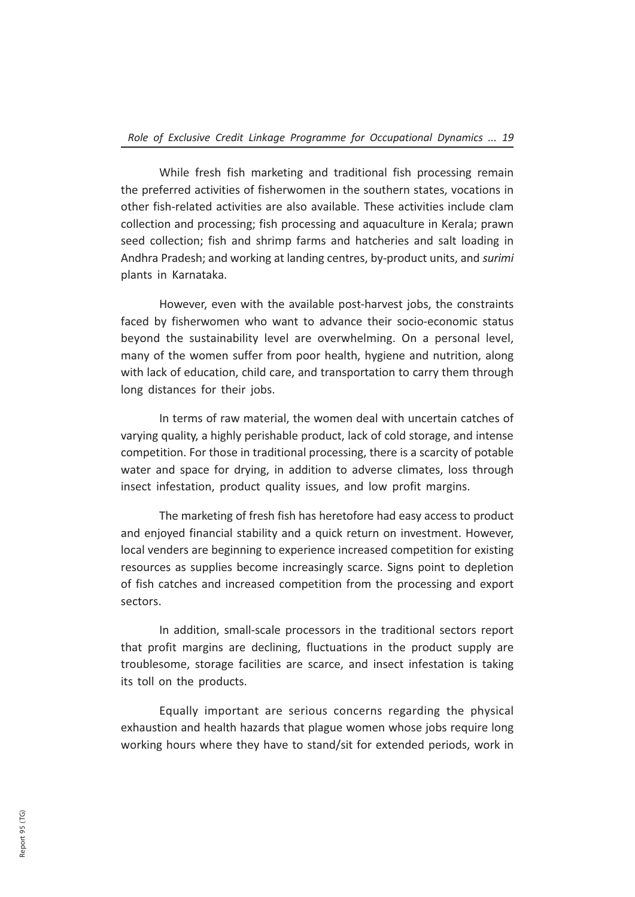While fresh fish marketing and traditional fish processing remain the preferred activities of fisherwomen in the southern states, vocations in other fish-related activities are also available. These activities include clam collection and processing; fish processing and aquaculture in Kerala; prawn seed collection; fish and shrimp farms and hatcheries and salt loading in Andhra Pradesh; and working at landing centres, by-product units, and surimi plants in Karnataka.

However, even with the available post-harvest jobs, the constraints faced by fisherwomen who want to advance their socio-economic status beyond the sustainability level are overwhelming. On a personal level, many of the women suffer from poor health, hygiene and nutrition, along with lack of education, child care, and transportation to carry them through long distances for their jobs.

In terms of raw material, the women deal with uncertain catches of varying quality, a highly perishable product, lack of cold storage, and intense competition. For those in traditional processing, there is a scarcity of potable water and space for drying, in addition to adverse climates, loss through insect infestation, product quality issues, and low profit margins.

The marketing of fresh fish has heretofore had easy access to product and enjoyed financial stability and a quick return on investment. However, local venders are beginning to experience increased competition for existing resources as supplies become increasingly scarce. Signs point to depletion of fish catches and increased competition from the processing and export sectors.

In addition, small-scale processors in the traditional sectors report that profit margins are declining, fluctuations in the product supply are troublesome, storage facilities are scarce, and insect infestation is taking its toll on the products.

Equally important are serious concerns regarding the physical exhaustion and health hazards that plague women whose jobs require long working hours where they have to stand/sit for extended periods, work in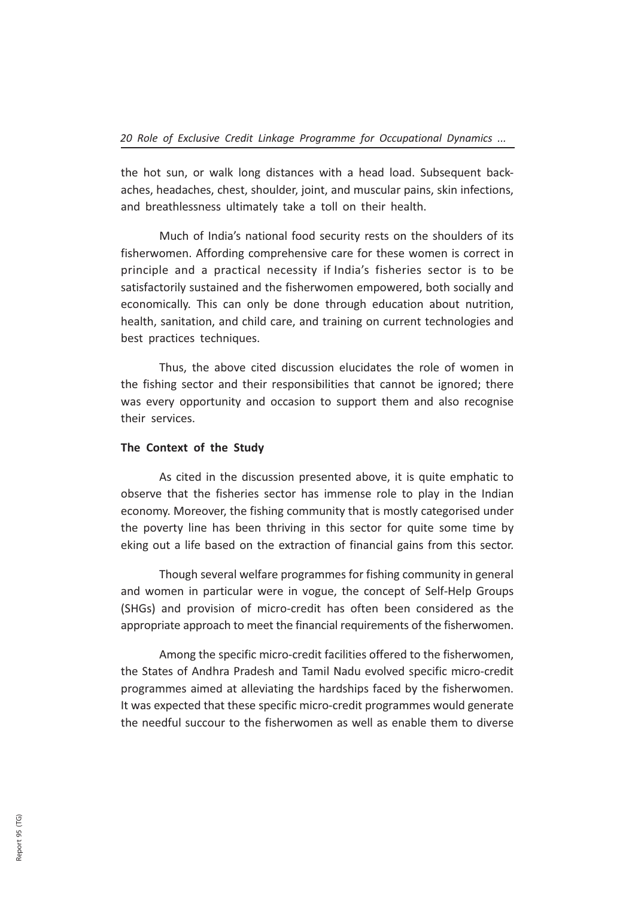the hot sun, or walk long distances with a head load. Subsequent backaches, headaches, chest, shoulder, joint, and muscular pains, skin infections, and breathlessness ultimately take a toll on their health.

Much of India's national food security rests on the shoulders of its fisherwomen. Affording comprehensive care for these women is correct in principle and a practical necessity if India's fisheries sector is to be satisfactorily sustained and the fisherwomen empowered, both socially and economically. This can only be done through education about nutrition, health, sanitation, and child care, and training on current technologies and best practices techniques.

Thus, the above cited discussion elucidates the role of women in the fishing sector and their responsibilities that cannot be ignored; there was every opportunity and occasion to support them and also recognise their services.

### The Context of the Study

As cited in the discussion presented above, it is quite emphatic to observe that the fisheries sector has immense role to play in the Indian economy. Moreover, the fishing community that is mostly categorised under the poverty line has been thriving in this sector for quite some time by eking out a life based on the extraction of financial gains from this sector.

Though several welfare programmes for fishing community in general and women in particular were in vogue, the concept of Self-Help Groups (SHGs) and provision of micro-credit has often been considered as the appropriate approach to meet the financial requirements of the fisherwomen.

Among the specific micro-credit facilities offered to the fisherwomen, the States of Andhra Pradesh and Tamil Nadu evolved specific micro-credit programmes aimed at alleviating the hardships faced by the fisherwomen. It was expected that these specific micro-credit programmes would generate the needful succour to the fisherwomen as well as enable them to diverse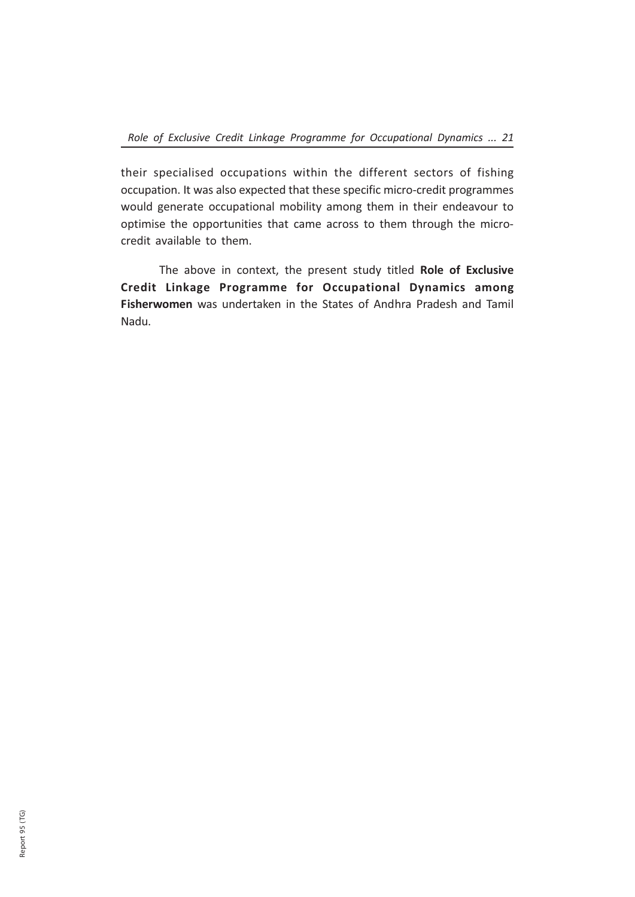their specialised occupations within the different sectors of fishing occupation. It was also expected that these specific micro-credit programmes would generate occupational mobility among them in their endeavour to optimise the opportunities that came across to them through the microcredit available to them.

The above in context, the present study titled Role of Exclusive Credit Linkage Programme for Occupational Dynamics among Fisherwomen was undertaken in the States of Andhra Pradesh and Tamil Nadu.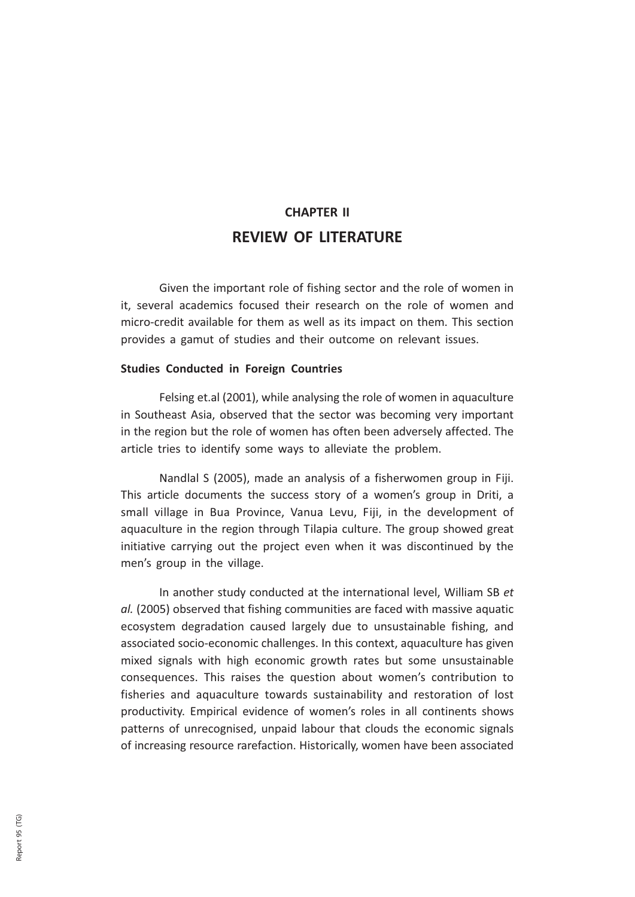# CHAPTER II REVIEW OF LITERATURE

Given the important role of fishing sector and the role of women in it, several academics focused their research on the role of women and micro-credit available for them as well as its impact on them. This section provides a gamut of studies and their outcome on relevant issues.

### Studies Conducted in Foreign Countries

Felsing et.al (2001), while analysing the role of women in aquaculture in Southeast Asia, observed that the sector was becoming very important in the region but the role of women has often been adversely affected. The article tries to identify some ways to alleviate the problem.

Nandlal S (2005), made an analysis of a fisherwomen group in Fiji. This article documents the success story of a women's group in Driti, a small village in Bua Province, Vanua Levu, Fiji, in the development of aquaculture in the region through Tilapia culture. The group showed great initiative carrying out the project even when it was discontinued by the men's group in the village.

In another study conducted at the international level, William SB et al. (2005) observed that fishing communities are faced with massive aquatic ecosystem degradation caused largely due to unsustainable fishing, and associated socio-economic challenges. In this context, aquaculture has given mixed signals with high economic growth rates but some unsustainable consequences. This raises the question about women's contribution to fisheries and aquaculture towards sustainability and restoration of lost productivity. Empirical evidence of women's roles in all continents shows patterns of unrecognised, unpaid labour that clouds the economic signals of increasing resource rarefaction. Historically, women have been associated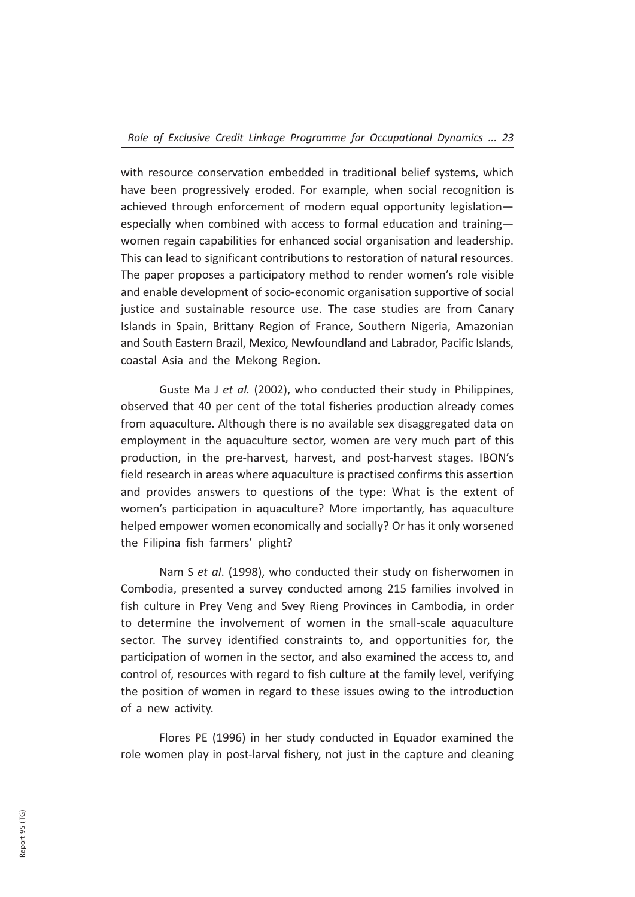with resource conservation embedded in traditional belief systems, which have been progressively eroded. For example, when social recognition is achieved through enforcement of modern equal opportunity legislation especially when combined with access to formal education and training women regain capabilities for enhanced social organisation and leadership. This can lead to significant contributions to restoration of natural resources. The paper proposes a participatory method to render women's role visible and enable development of socio-economic organisation supportive of social justice and sustainable resource use. The case studies are from Canary Islands in Spain, Brittany Region of France, Southern Nigeria, Amazonian and South Eastern Brazil, Mexico, Newfoundland and Labrador, Pacific Islands, coastal Asia and the Mekong Region.

Guste Ma J et al. (2002), who conducted their study in Philippines, observed that 40 per cent of the total fisheries production already comes from aquaculture. Although there is no available sex disaggregated data on employment in the aquaculture sector, women are very much part of this production, in the pre-harvest, harvest, and post-harvest stages. IBON's field research in areas where aquaculture is practised confirms this assertion and provides answers to questions of the type: What is the extent of women's participation in aquaculture? More importantly, has aquaculture helped empower women economically and socially? Or has it only worsened the Filipina fish farmers' plight?

Nam S et al. (1998), who conducted their study on fisherwomen in Combodia, presented a survey conducted among 215 families involved in fish culture in Prey Veng and Svey Rieng Provinces in Cambodia, in order to determine the involvement of women in the small-scale aquaculture sector. The survey identified constraints to, and opportunities for, the participation of women in the sector, and also examined the access to, and control of, resources with regard to fish culture at the family level, verifying the position of women in regard to these issues owing to the introduction of a new activity.

Flores PE (1996) in her study conducted in Equador examined the role women play in post-larval fishery, not just in the capture and cleaning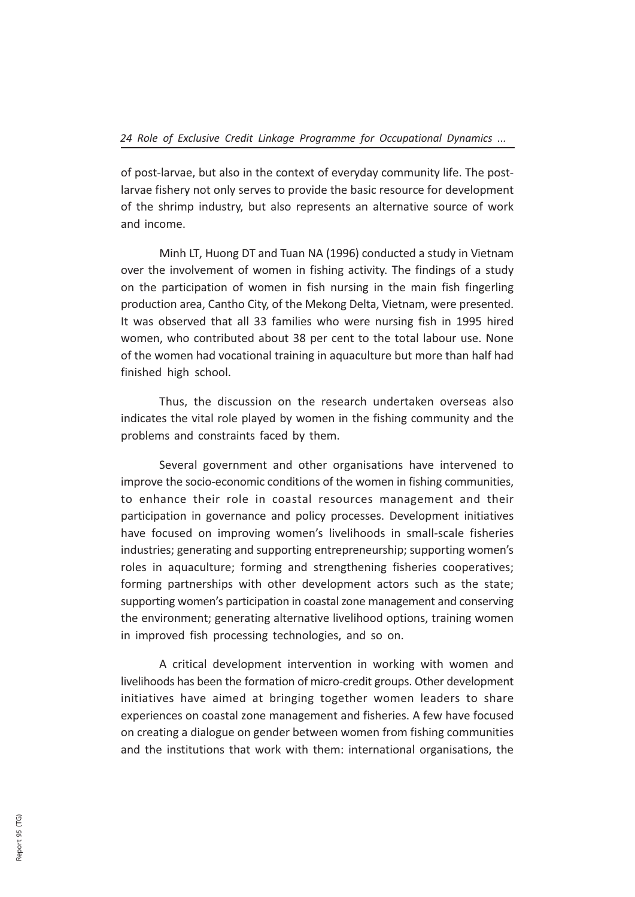of post-larvae, but also in the context of everyday community life. The postlarvae fishery not only serves to provide the basic resource for development of the shrimp industry, but also represents an alternative source of work and income.

Minh LT, Huong DT and Tuan NA (1996) conducted a study in Vietnam over the involvement of women in fishing activity. The findings of a study on the participation of women in fish nursing in the main fish fingerling production area, Cantho City, of the Mekong Delta, Vietnam, were presented. It was observed that all 33 families who were nursing fish in 1995 hired women, who contributed about 38 per cent to the total labour use. None of the women had vocational training in aquaculture but more than half had finished high school.

Thus, the discussion on the research undertaken overseas also indicates the vital role played by women in the fishing community and the problems and constraints faced by them.

Several government and other organisations have intervened to improve the socio-economic conditions of the women in fishing communities, to enhance their role in coastal resources management and their participation in governance and policy processes. Development initiatives have focused on improving women's livelihoods in small-scale fisheries industries; generating and supporting entrepreneurship; supporting women's roles in aquaculture; forming and strengthening fisheries cooperatives; forming partnerships with other development actors such as the state; supporting women's participation in coastal zone management and conserving the environment; generating alternative livelihood options, training women in improved fish processing technologies, and so on.

A critical development intervention in working with women and livelihoods has been the formation of micro-credit groups. Other development initiatives have aimed at bringing together women leaders to share experiences on coastal zone management and fisheries. A few have focused on creating a dialogue on gender between women from fishing communities and the institutions that work with them: international organisations, the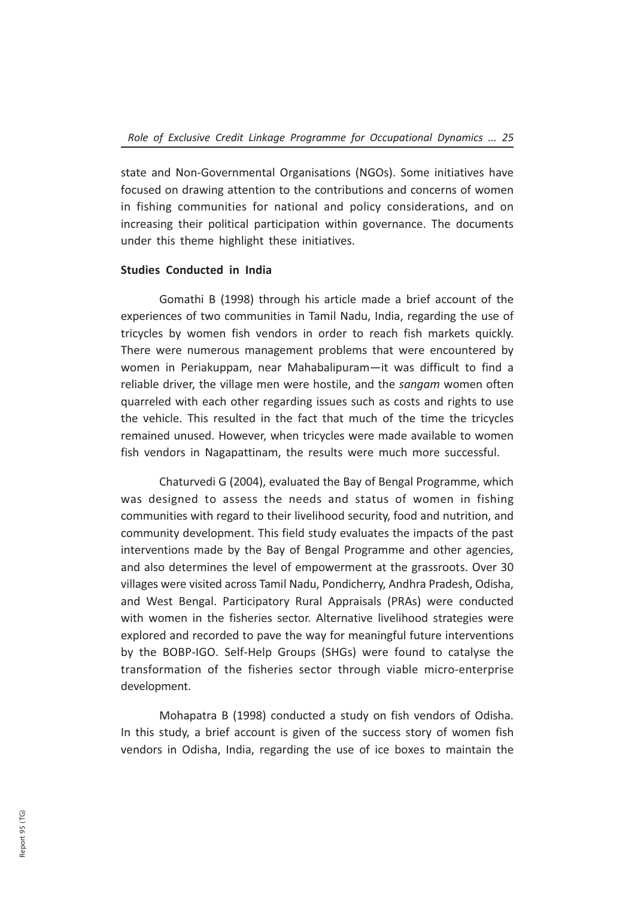state and Non-Governmental Organisations (NGOs). Some initiatives have focused on drawing attention to the contributions and concerns of women in fishing communities for national and policy considerations, and on increasing their political participation within governance. The documents under this theme highlight these initiatives.

### Studies Conducted in India

Gomathi B (1998) through his article made a brief account of the experiences of two communities in Tamil Nadu, India, regarding the use of tricycles by women fish vendors in order to reach fish markets quickly. There were numerous management problems that were encountered by women in Periakuppam, near Mahabalipuram—it was difficult to find a reliable driver, the village men were hostile, and the sangam women often quarreled with each other regarding issues such as costs and rights to use the vehicle. This resulted in the fact that much of the time the tricycles remained unused. However, when tricycles were made available to women fish vendors in Nagapattinam, the results were much more successful.

Chaturvedi G (2004), evaluated the Bay of Bengal Programme, which was designed to assess the needs and status of women in fishing communities with regard to their livelihood security, food and nutrition, and community development. This field study evaluates the impacts of the past interventions made by the Bay of Bengal Programme and other agencies, and also determines the level of empowerment at the grassroots. Over 30 villages were visited across Tamil Nadu, Pondicherry, Andhra Pradesh, Odisha, and West Bengal. Participatory Rural Appraisals (PRAs) were conducted with women in the fisheries sector. Alternative livelihood strategies were explored and recorded to pave the way for meaningful future interventions by the BOBP-IGO. Self-Help Groups (SHGs) were found to catalyse the transformation of the fisheries sector through viable micro-enterprise development.

Mohapatra B (1998) conducted a study on fish vendors of Odisha. In this study, a brief account is given of the success story of women fish vendors in Odisha, India, regarding the use of ice boxes to maintain the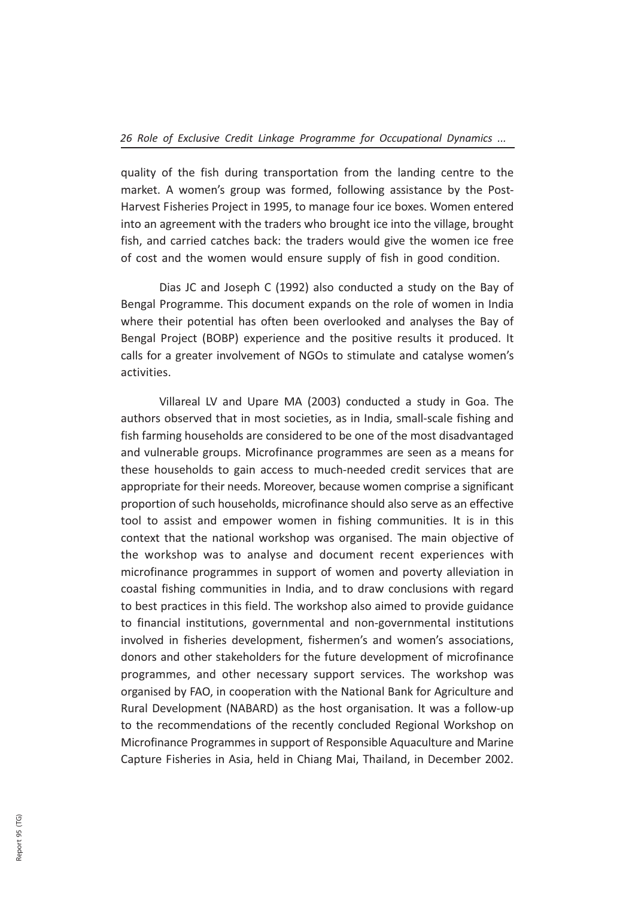quality of the fish during transportation from the landing centre to the market. A women's group was formed, following assistance by the Post-Harvest Fisheries Project in 1995, to manage four ice boxes. Women entered into an agreement with the traders who brought ice into the village, brought fish, and carried catches back: the traders would give the women ice free of cost and the women would ensure supply of fish in good condition.

Dias JC and Joseph C (1992) also conducted a study on the Bay of Bengal Programme. This document expands on the role of women in India where their potential has often been overlooked and analyses the Bay of Bengal Project (BOBP) experience and the positive results it produced. It calls for a greater involvement of NGOs to stimulate and catalyse women's activities.

Villareal LV and Upare MA (2003) conducted a study in Goa. The authors observed that in most societies, as in India, small-scale fishing and fish farming households are considered to be one of the most disadvantaged and vulnerable groups. Microfinance programmes are seen as a means for these households to gain access to much-needed credit services that are appropriate for their needs. Moreover, because women comprise a significant proportion of such households, microfinance should also serve as an effective tool to assist and empower women in fishing communities. It is in this context that the national workshop was organised. The main objective of the workshop was to analyse and document recent experiences with microfinance programmes in support of women and poverty alleviation in coastal fishing communities in India, and to draw conclusions with regard to best practices in this field. The workshop also aimed to provide guidance to financial institutions, governmental and non-governmental institutions involved in fisheries development, fishermen's and women's associations, donors and other stakeholders for the future development of microfinance programmes, and other necessary support services. The workshop was organised by FAO, in cooperation with the National Bank for Agriculture and Rural Development (NABARD) as the host organisation. It was a follow-up to the recommendations of the recently concluded Regional Workshop on Microfinance Programmes in support of Responsible Aquaculture and Marine Capture Fisheries in Asia, held in Chiang Mai, Thailand, in December 2002.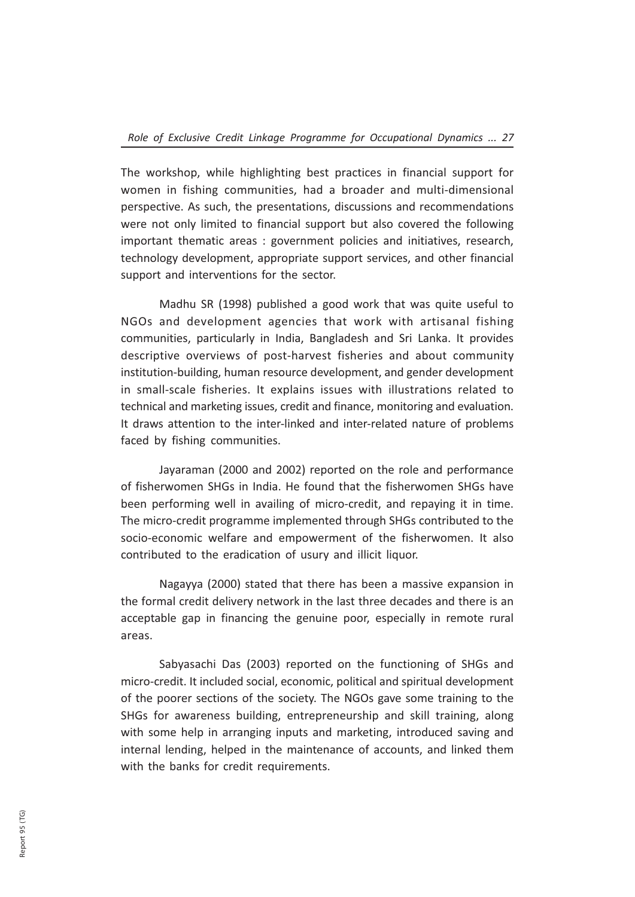The workshop, while highlighting best practices in financial support for women in fishing communities, had a broader and multi-dimensional perspective. As such, the presentations, discussions and recommendations were not only limited to financial support but also covered the following important thematic areas : government policies and initiatives, research, technology development, appropriate support services, and other financial support and interventions for the sector.

Madhu SR (1998) published a good work that was quite useful to NGOs and development agencies that work with artisanal fishing communities, particularly in India, Bangladesh and Sri Lanka. It provides descriptive overviews of post-harvest fisheries and about community institution-building, human resource development, and gender development in small-scale fisheries. It explains issues with illustrations related to technical and marketing issues, credit and finance, monitoring and evaluation. It draws attention to the inter-linked and inter-related nature of problems faced by fishing communities.

Jayaraman (2000 and 2002) reported on the role and performance of fisherwomen SHGs in India. He found that the fisherwomen SHGs have been performing well in availing of micro-credit, and repaying it in time. The micro-credit programme implemented through SHGs contributed to the socio-economic welfare and empowerment of the fisherwomen. It also contributed to the eradication of usury and illicit liquor.

Nagayya (2000) stated that there has been a massive expansion in the formal credit delivery network in the last three decades and there is an acceptable gap in financing the genuine poor, especially in remote rural areas.

Sabyasachi Das (2003) reported on the functioning of SHGs and micro-credit. It included social, economic, political and spiritual development of the poorer sections of the society. The NGOs gave some training to the SHGs for awareness building, entrepreneurship and skill training, along with some help in arranging inputs and marketing, introduced saving and internal lending, helped in the maintenance of accounts, and linked them with the banks for credit requirements.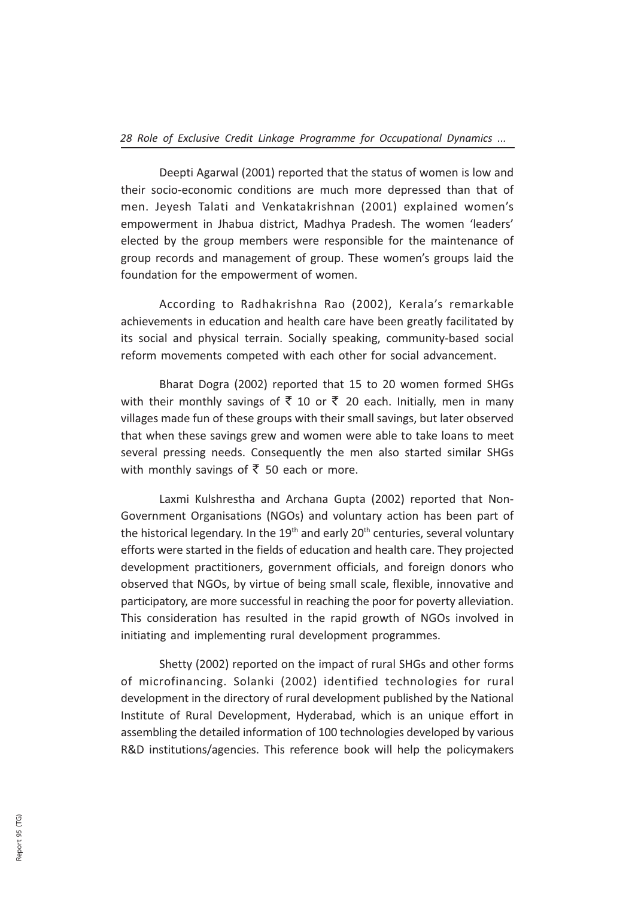Deepti Agarwal (2001) reported that the status of women is low and their socio-economic conditions are much more depressed than that of men. Jeyesh Talati and Venkatakrishnan (2001) explained women's empowerment in Jhabua district, Madhya Pradesh. The women 'leaders' elected by the group members were responsible for the maintenance of group records and management of group. These women's groups laid the foundation for the empowerment of women.

According to Radhakrishna Rao (2002), Kerala's remarkable achievements in education and health care have been greatly facilitated by its social and physical terrain. Socially speaking, community-based social reform movements competed with each other for social advancement.

Bharat Dogra (2002) reported that 15 to 20 women formed SHGs with their monthly savings of  $\bar{\tau}$  10 or  $\bar{\tau}$  20 each. Initially, men in many villages made fun of these groups with their small savings, but later observed that when these savings grew and women were able to take loans to meet several pressing needs. Consequently the men also started similar SHGs with monthly savings of  $\bar{\bar{\xi}}$  50 each or more.

Laxmi Kulshrestha and Archana Gupta (2002) reported that Non-Government Organisations (NGOs) and voluntary action has been part of the historical legendary. In the  $19<sup>th</sup>$  and early 20<sup>th</sup> centuries, several voluntary efforts were started in the fields of education and health care. They projected development practitioners, government officials, and foreign donors who observed that NGOs, by virtue of being small scale, flexible, innovative and participatory, are more successful in reaching the poor for poverty alleviation. This consideration has resulted in the rapid growth of NGOs involved in initiating and implementing rural development programmes.

Shetty (2002) reported on the impact of rural SHGs and other forms of microfinancing. Solanki (2002) identified technologies for rural development in the directory of rural development published by the National Institute of Rural Development, Hyderabad, which is an unique effort in assembling the detailed information of 100 technologies developed by various R&D institutions/agencies. This reference book will help the policymakers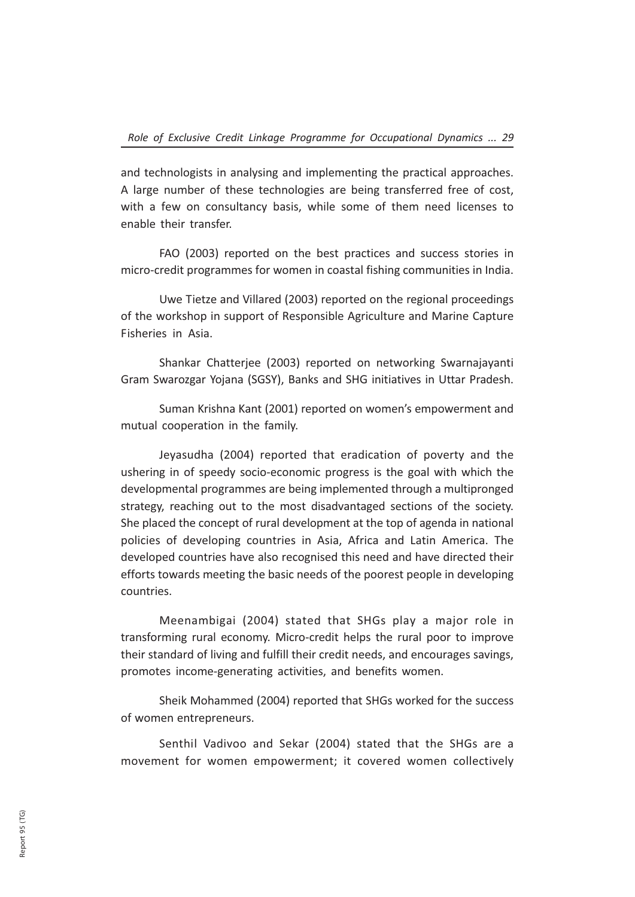and technologists in analysing and implementing the practical approaches. A large number of these technologies are being transferred free of cost, with a few on consultancy basis, while some of them need licenses to enable their transfer.

FAO (2003) reported on the best practices and success stories in micro-credit programmes for women in coastal fishing communities in India.

Uwe Tietze and Villared (2003) reported on the regional proceedings of the workshop in support of Responsible Agriculture and Marine Capture Fisheries in Asia.

Shankar Chatterjee (2003) reported on networking Swarnajayanti Gram Swarozgar Yojana (SGSY), Banks and SHG initiatives in Uttar Pradesh.

Suman Krishna Kant (2001) reported on women's empowerment and mutual cooperation in the family.

Jeyasudha (2004) reported that eradication of poverty and the ushering in of speedy socio-economic progress is the goal with which the developmental programmes are being implemented through a multipronged strategy, reaching out to the most disadvantaged sections of the society. She placed the concept of rural development at the top of agenda in national policies of developing countries in Asia, Africa and Latin America. The developed countries have also recognised this need and have directed their efforts towards meeting the basic needs of the poorest people in developing countries.

Meenambigai (2004) stated that SHGs play a major role in transforming rural economy. Micro-credit helps the rural poor to improve their standard of living and fulfill their credit needs, and encourages savings, promotes income-generating activities, and benefits women.

Sheik Mohammed (2004) reported that SHGs worked for the success of women entrepreneurs.

Senthil Vadivoo and Sekar (2004) stated that the SHGs are a movement for women empowerment; it covered women collectively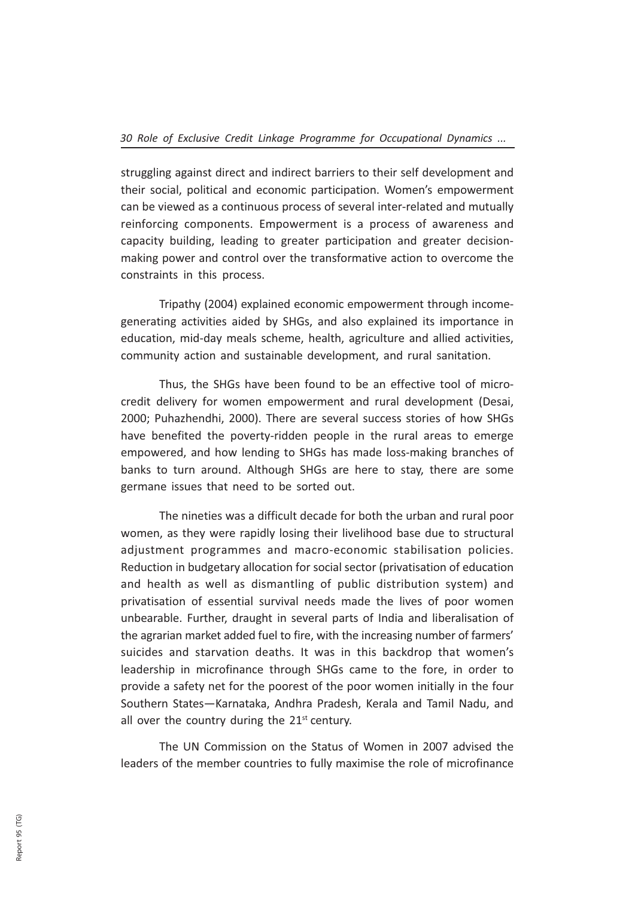struggling against direct and indirect barriers to their self development and their social, political and economic participation. Women's empowerment can be viewed as a continuous process of several inter-related and mutually reinforcing components. Empowerment is a process of awareness and capacity building, leading to greater participation and greater decisionmaking power and control over the transformative action to overcome the constraints in this process.

Tripathy (2004) explained economic empowerment through incomegenerating activities aided by SHGs, and also explained its importance in education, mid-day meals scheme, health, agriculture and allied activities, community action and sustainable development, and rural sanitation.

Thus, the SHGs have been found to be an effective tool of microcredit delivery for women empowerment and rural development (Desai, 2000; Puhazhendhi, 2000). There are several success stories of how SHGs have benefited the poverty-ridden people in the rural areas to emerge empowered, and how lending to SHGs has made loss-making branches of banks to turn around. Although SHGs are here to stay, there are some germane issues that need to be sorted out.

The nineties was a difficult decade for both the urban and rural poor women, as they were rapidly losing their livelihood base due to structural adjustment programmes and macro-economic stabilisation policies. Reduction in budgetary allocation for social sector (privatisation of education and health as well as dismantling of public distribution system) and privatisation of essential survival needs made the lives of poor women unbearable. Further, draught in several parts of India and liberalisation of the agrarian market added fuel to fire, with the increasing number of farmers' suicides and starvation deaths. It was in this backdrop that women's leadership in microfinance through SHGs came to the fore, in order to provide a safety net for the poorest of the poor women initially in the four Southern States—Karnataka, Andhra Pradesh, Kerala and Tamil Nadu, and all over the country during the  $21<sup>st</sup>$  century.

The UN Commission on the Status of Women in 2007 advised the leaders of the member countries to fully maximise the role of microfinance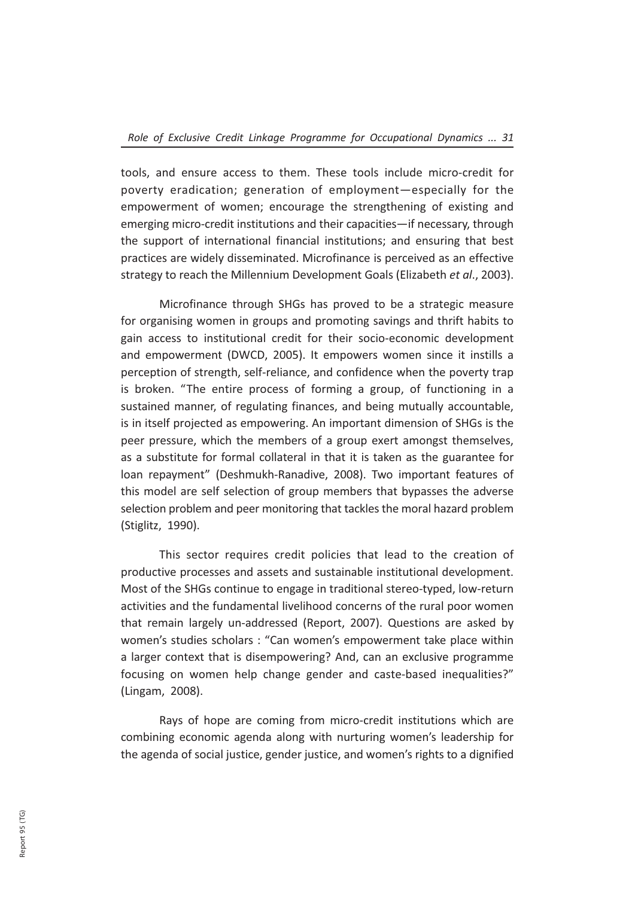tools, and ensure access to them. These tools include micro-credit for poverty eradication; generation of employment—especially for the empowerment of women; encourage the strengthening of existing and emerging micro-credit institutions and their capacities—if necessary, through the support of international financial institutions; and ensuring that best practices are widely disseminated. Microfinance is perceived as an effective strategy to reach the Millennium Development Goals (Elizabeth et al., 2003).

Microfinance through SHGs has proved to be a strategic measure for organising women in groups and promoting savings and thrift habits to gain access to institutional credit for their socio-economic development and empowerment (DWCD, 2005). It empowers women since it instills a perception of strength, self-reliance, and confidence when the poverty trap is broken. "The entire process of forming a group, of functioning in a sustained manner, of regulating finances, and being mutually accountable, is in itself projected as empowering. An important dimension of SHGs is the peer pressure, which the members of a group exert amongst themselves, as a substitute for formal collateral in that it is taken as the guarantee for loan repayment" (Deshmukh-Ranadive, 2008). Two important features of this model are self selection of group members that bypasses the adverse selection problem and peer monitoring that tackles the moral hazard problem (Stiglitz, 1990).

This sector requires credit policies that lead to the creation of productive processes and assets and sustainable institutional development. Most of the SHGs continue to engage in traditional stereo-typed, low-return activities and the fundamental livelihood concerns of the rural poor women that remain largely un-addressed (Report, 2007). Questions are asked by women's studies scholars : "Can women's empowerment take place within a larger context that is disempowering? And, can an exclusive programme focusing on women help change gender and caste-based inequalities?" (Lingam, 2008).

Rays of hope are coming from micro-credit institutions which are combining economic agenda along with nurturing women's leadership for the agenda of social justice, gender justice, and women's rights to a dignified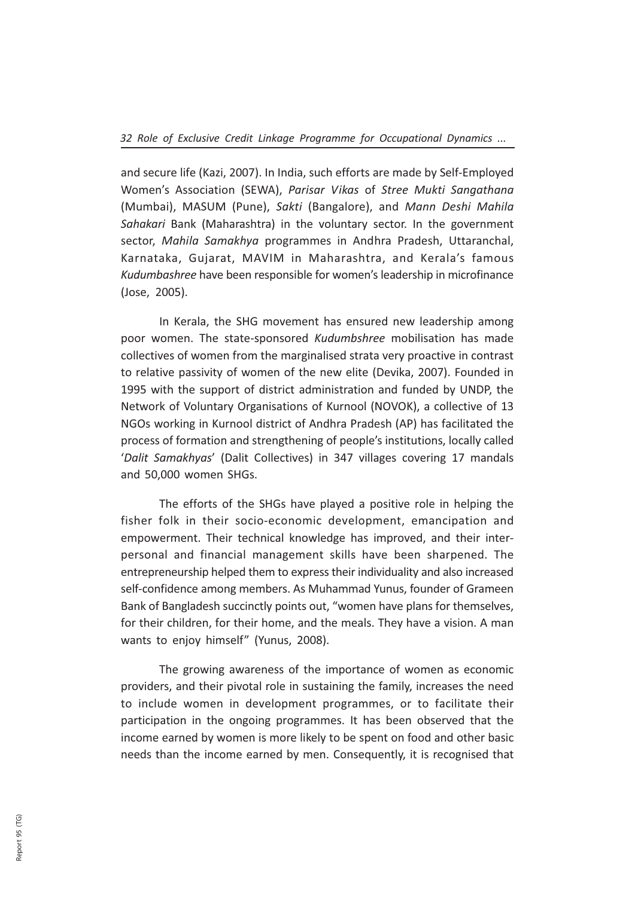and secure life (Kazi, 2007). In India, such efforts are made by Self-Employed Women's Association (SEWA), Parisar Vikas of Stree Mukti Sangathana (Mumbai), MASUM (Pune), Sakti (Bangalore), and Mann Deshi Mahila Sahakari Bank (Maharashtra) in the voluntary sector. In the government sector, Mahila Samakhya programmes in Andhra Pradesh, Uttaranchal, Karnataka, Gujarat, MAVIM in Maharashtra, and Kerala's famous Kudumbashree have been responsible for women's leadership in microfinance (Jose, 2005).

In Kerala, the SHG movement has ensured new leadership among poor women. The state-sponsored Kudumbshree mobilisation has made collectives of women from the marginalised strata very proactive in contrast to relative passivity of women of the new elite (Devika, 2007). Founded in 1995 with the support of district administration and funded by UNDP, the Network of Voluntary Organisations of Kurnool (NOVOK), a collective of 13 NGOs working in Kurnool district of Andhra Pradesh (AP) has facilitated the process of formation and strengthening of people's institutions, locally called 'Dalit Samakhyas' (Dalit Collectives) in 347 villages covering 17 mandals and 50,000 women SHGs.

The efforts of the SHGs have played a positive role in helping the fisher folk in their socio-economic development, emancipation and empowerment. Their technical knowledge has improved, and their interpersonal and financial management skills have been sharpened. The entrepreneurship helped them to express their individuality and also increased self-confidence among members. As Muhammad Yunus, founder of Grameen Bank of Bangladesh succinctly points out, "women have plans for themselves, for their children, for their home, and the meals. They have a vision. A man wants to enjoy himself" (Yunus, 2008).

The growing awareness of the importance of women as economic providers, and their pivotal role in sustaining the family, increases the need to include women in development programmes, or to facilitate their participation in the ongoing programmes. It has been observed that the income earned by women is more likely to be spent on food and other basic needs than the income earned by men. Consequently, it is recognised that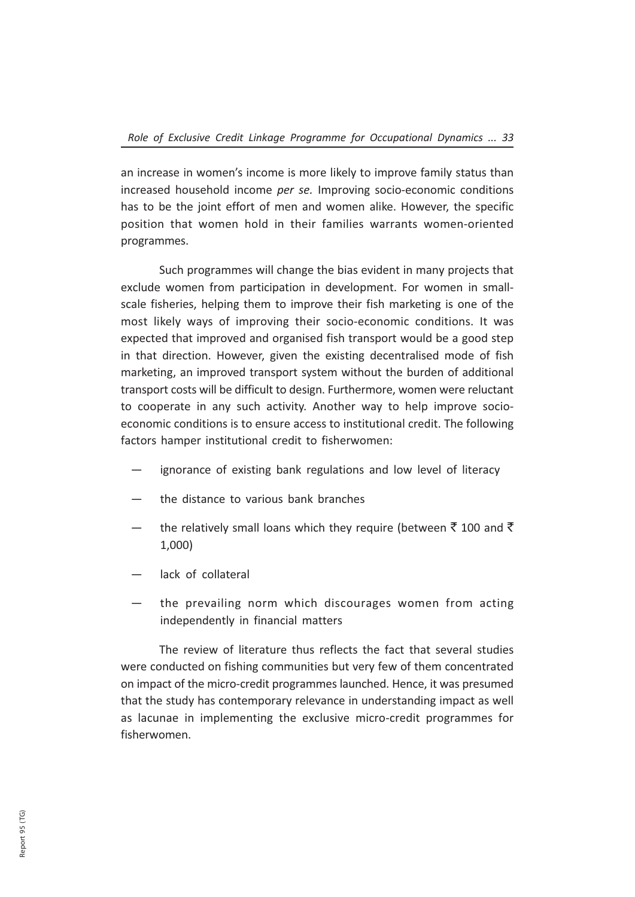an increase in women's income is more likely to improve family status than increased household income per se. Improving socio-economic conditions has to be the joint effort of men and women alike. However, the specific position that women hold in their families warrants women-oriented programmes.

Such programmes will change the bias evident in many projects that exclude women from participation in development. For women in smallscale fisheries, helping them to improve their fish marketing is one of the most likely ways of improving their socio-economic conditions. It was expected that improved and organised fish transport would be a good step in that direction. However, given the existing decentralised mode of fish marketing, an improved transport system without the burden of additional transport costs will be difficult to design. Furthermore, women were reluctant to cooperate in any such activity. Another way to help improve socioeconomic conditions is to ensure access to institutional credit. The following factors hamper institutional credit to fisherwomen:

- ignorance of existing bank regulations and low level of literacy
- the distance to various bank branches
- the relatively small loans which they require (between  $\bar{\tau}$  100 and  $\bar{\tau}$ 1,000)
- lack of collateral
- the prevailing norm which discourages women from acting independently in financial matters

The review of literature thus reflects the fact that several studies were conducted on fishing communities but very few of them concentrated on impact of the micro-credit programmes launched. Hence, it was presumed that the study has contemporary relevance in understanding impact as well as lacunae in implementing the exclusive micro-credit programmes for fisherwomen.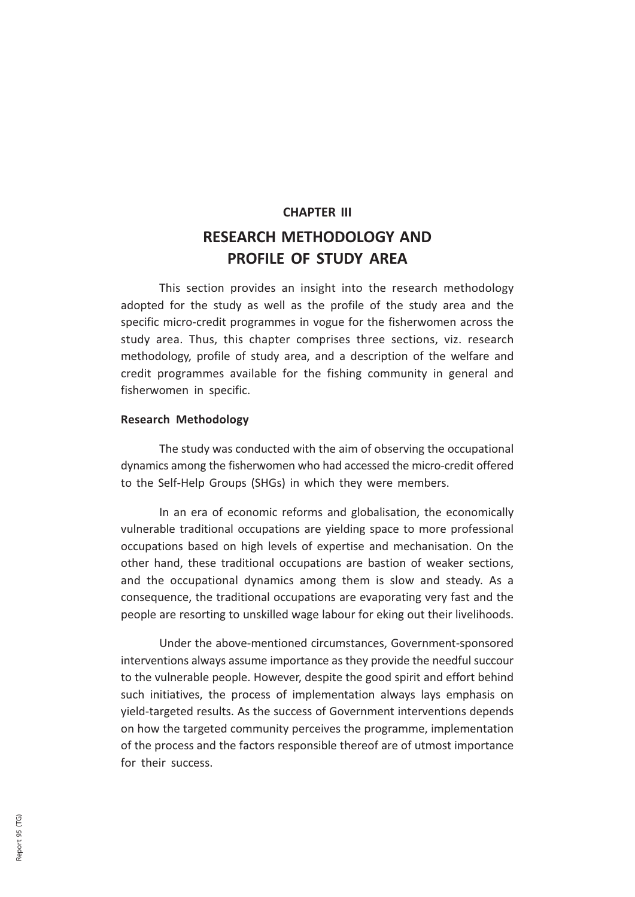# CHAPTER III RESEARCH METHODOLOGY AND PROFILE OF STUDY AREA

This section provides an insight into the research methodology adopted for the study as well as the profile of the study area and the specific micro-credit programmes in vogue for the fisherwomen across the study area. Thus, this chapter comprises three sections, viz. research methodology, profile of study area, and a description of the welfare and credit programmes available for the fishing community in general and fisherwomen in specific.

#### Research Methodology

The study was conducted with the aim of observing the occupational dynamics among the fisherwomen who had accessed the micro-credit offered to the Self-Help Groups (SHGs) in which they were members.

In an era of economic reforms and globalisation, the economically vulnerable traditional occupations are yielding space to more professional occupations based on high levels of expertise and mechanisation. On the other hand, these traditional occupations are bastion of weaker sections, and the occupational dynamics among them is slow and steady. As a consequence, the traditional occupations are evaporating very fast and the people are resorting to unskilled wage labour for eking out their livelihoods.

Under the above-mentioned circumstances, Government-sponsored interventions always assume importance as they provide the needful succour to the vulnerable people. However, despite the good spirit and effort behind such initiatives, the process of implementation always lays emphasis on yield-targeted results. As the success of Government interventions depends on how the targeted community perceives the programme, implementation of the process and the factors responsible thereof are of utmost importance for their success.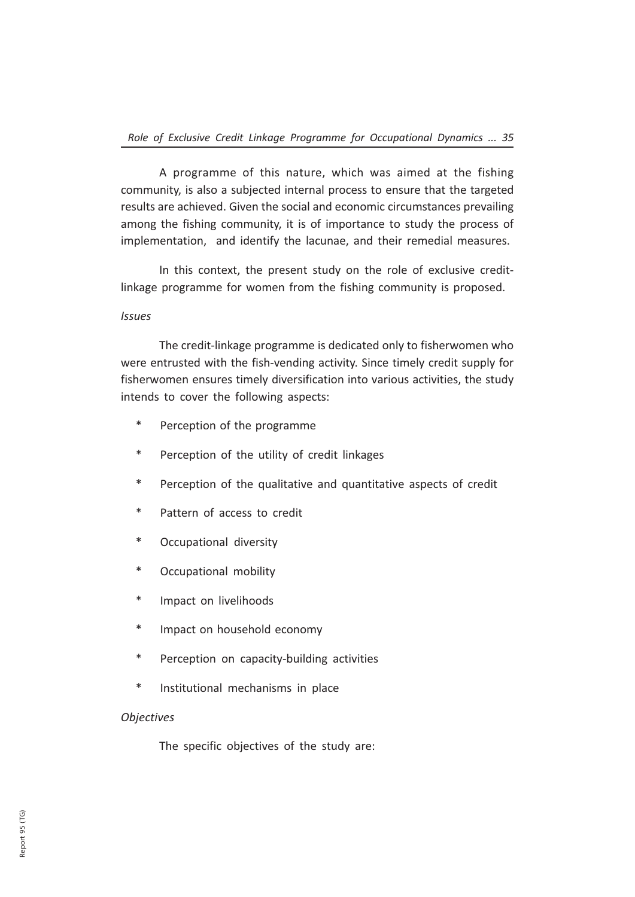A programme of this nature, which was aimed at the fishing community, is also a subjected internal process to ensure that the targeted results are achieved. Given the social and economic circumstances prevailing among the fishing community, it is of importance to study the process of implementation, and identify the lacunae, and their remedial measures.

In this context, the present study on the role of exclusive creditlinkage programme for women from the fishing community is proposed.

## Issues

The credit-linkage programme is dedicated only to fisherwomen who were entrusted with the fish-vending activity. Since timely credit supply for fisherwomen ensures timely diversification into various activities, the study intends to cover the following aspects:

- \* Perception of the programme
- \* Perception of the utility of credit linkages
- \* Perception of the qualitative and quantitative aspects of credit
- \* Pattern of access to credit
- \* Occupational diversity
- \* Occupational mobility
- \* Impact on livelihoods
- \* Impact on household economy
- \* Perception on capacity-building activities
- Institutional mechanisms in place

## **Objectives**

The specific objectives of the study are: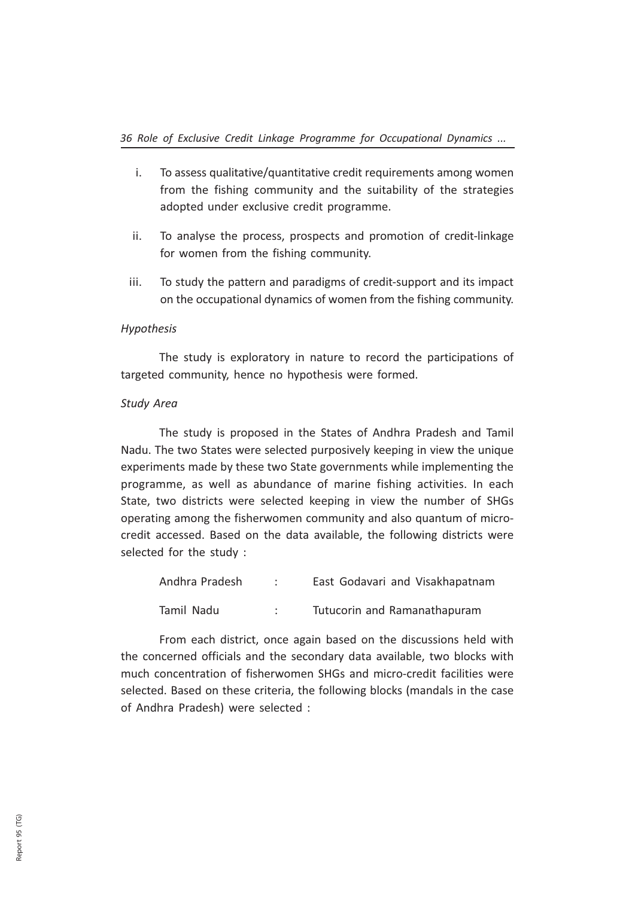- i. To assess qualitative/quantitative credit requirements among women from the fishing community and the suitability of the strategies adopted under exclusive credit programme.
- ii. To analyse the process, prospects and promotion of credit-linkage for women from the fishing community.
- iii. To study the pattern and paradigms of credit-support and its impact on the occupational dynamics of women from the fishing community.

## Hypothesis

The study is exploratory in nature to record the participations of targeted community, hence no hypothesis were formed.

## Study Area

The study is proposed in the States of Andhra Pradesh and Tamil Nadu. The two States were selected purposively keeping in view the unique experiments made by these two State governments while implementing the programme, as well as abundance of marine fishing activities. In each State, two districts were selected keeping in view the number of SHGs operating among the fisherwomen community and also quantum of microcredit accessed. Based on the data available, the following districts were selected for the study :

| Andhra Pradesh | East Godavari and Visakhapatnam |
|----------------|---------------------------------|
| Tamil Nadu     | Tutucorin and Ramanathapuram    |

From each district, once again based on the discussions held with the concerned officials and the secondary data available, two blocks with much concentration of fisherwomen SHGs and micro-credit facilities were selected. Based on these criteria, the following blocks (mandals in the case of Andhra Pradesh) were selected :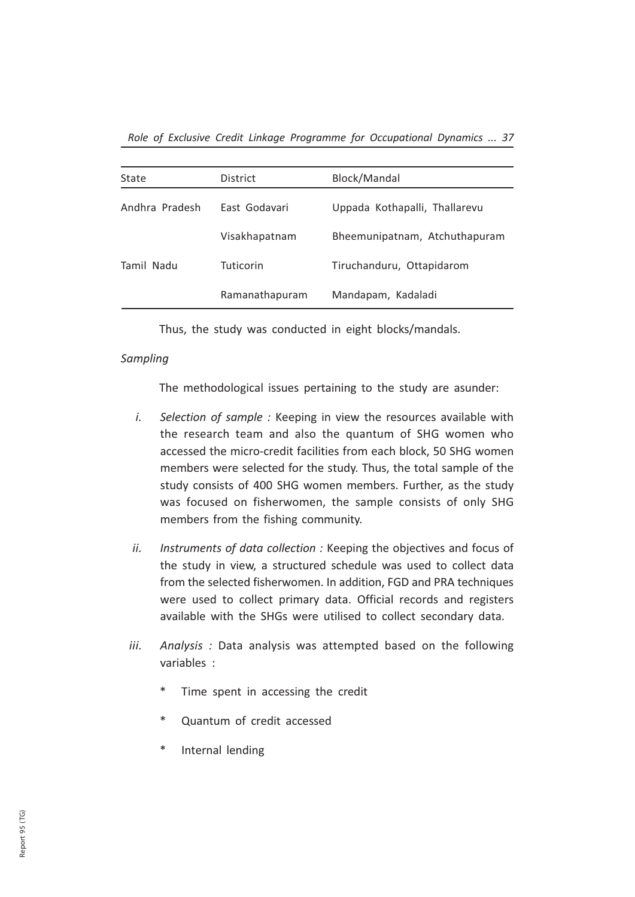Role of Exclusive Credit Linkage Programme for Occupational Dynamics ... 37

| State          | District       | Block/Mandal                  |
|----------------|----------------|-------------------------------|
| Andhra Pradesh | East Godavari  | Uppada Kothapalli, Thallarevu |
|                | Visakhapatnam  | Bheemunipatnam, Atchuthapuram |
| Tamil Nadu     | Tuticorin      | Tiruchanduru, Ottapidarom     |
|                | Ramanathapuram | Mandapam, Kadaladi            |

Thus, the study was conducted in eight blocks/mandals.

## Sampling

The methodological issues pertaining to the study are asunder:

- i. Selection of sample : Keeping in view the resources available with the research team and also the quantum of SHG women who accessed the micro-credit facilities from each block, 50 SHG women members were selected for the study. Thus, the total sample of the study consists of 400 SHG women members. Further, as the study was focused on fisherwomen, the sample consists of only SHG members from the fishing community.
- ii. Instruments of data collection : Keeping the objectives and focus of the study in view, a structured schedule was used to collect data from the selected fisherwomen. In addition, FGD and PRA techniques were used to collect primary data. Official records and registers available with the SHGs were utilised to collect secondary data.
- iii. Analysis: Data analysis was attempted based on the following variables :
	- \* Time spent in accessing the credit
	- \* Quantum of credit accessed
	- \* Internal lending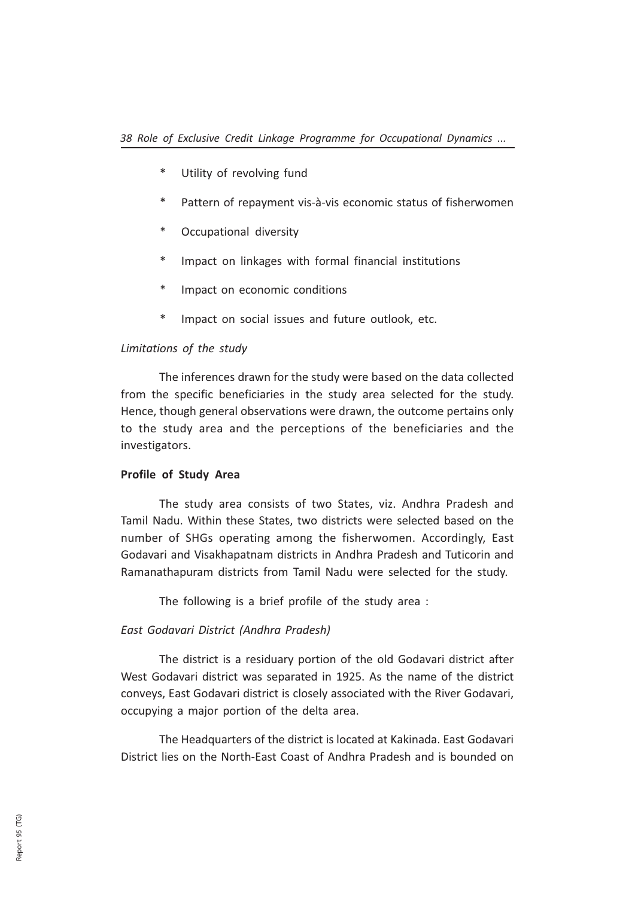- \* Utility of revolving fund
- \* Pattern of repayment vis-à-vis economic status of fisherwomen
- \* Occupational diversity
- \* Impact on linkages with formal financial institutions
- \* Impact on economic conditions
- \* Impact on social issues and future outlook, etc.

### Limitations of the study

The inferences drawn for the study were based on the data collected from the specific beneficiaries in the study area selected for the study. Hence, though general observations were drawn, the outcome pertains only to the study area and the perceptions of the beneficiaries and the investigators.

### Profile of Study Area

The study area consists of two States, viz. Andhra Pradesh and Tamil Nadu. Within these States, two districts were selected based on the number of SHGs operating among the fisherwomen. Accordingly, East Godavari and Visakhapatnam districts in Andhra Pradesh and Tuticorin and Ramanathapuram districts from Tamil Nadu were selected for the study.

The following is a brief profile of the study area :

#### East Godavari District (Andhra Pradesh)

The district is a residuary portion of the old Godavari district after West Godavari district was separated in 1925. As the name of the district conveys, East Godavari district is closely associated with the River Godavari, occupying a major portion of the delta area.

The Headquarters of the district is located at Kakinada. East Godavari District lies on the North-East Coast of Andhra Pradesh and is bounded on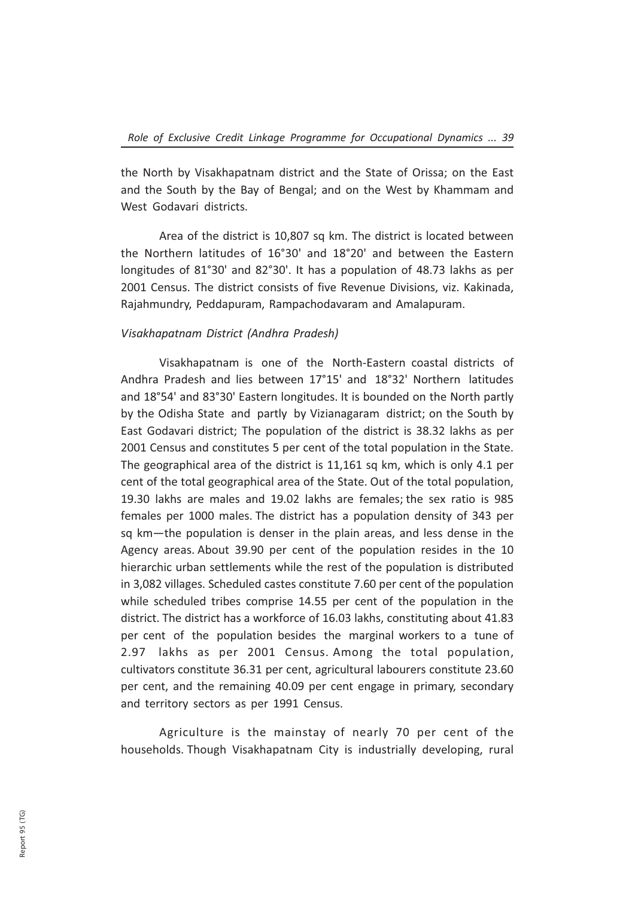the North by Visakhapatnam district and the State of Orissa; on the East and the South by the Bay of Bengal; and on the West by Khammam and West Godavari districts.

Area of the district is 10,807 sq km. The district is located between the Northern latitudes of 16°30' and 18°20' and between the Eastern longitudes of 81°30' and 82°30'. It has a population of 48.73 lakhs as per 2001 Census. The district consists of five Revenue Divisions, viz. Kakinada, Rajahmundry, Peddapuram, Rampachodavaram and Amalapuram.

## Visakhapatnam District (Andhra Pradesh)

Visakhapatnam is one of the North-Eastern coastal districts of Andhra Pradesh and lies between 17°15' and 18°32' Northern latitudes and 18°54' and 83°30' Eastern longitudes. It is bounded on the North partly by the Odisha State and partly by Vizianagaram district; on the South by East Godavari district; The population of the district is 38.32 lakhs as per 2001 Census and constitutes 5 per cent of the total population in the State. The geographical area of the district is 11,161 sq km, which is only 4.1 per cent of the total geographical area of the State. Out of the total population, 19.30 lakhs are males and 19.02 lakhs are females; the sex ratio is 985 females per 1000 males. The district has a population density of 343 per sq km—the population is denser in the plain areas, and less dense in the Agency areas. About 39.90 per cent of the population resides in the 10 hierarchic urban settlements while the rest of the population is distributed in 3,082 villages. Scheduled castes constitute 7.60 per cent of the population while scheduled tribes comprise 14.55 per cent of the population in the district. The district has a workforce of 16.03 lakhs, constituting about 41.83 per cent of the population besides the marginal workers to a tune of 2.97 lakhs as per 2001 Census. Among the total population, cultivators constitute 36.31 per cent, agricultural labourers constitute 23.60 per cent, and the remaining 40.09 per cent engage in primary, secondary and territory sectors as per 1991 Census.

Agriculture is the mainstay of nearly 70 per cent of the households. Though Visakhapatnam City is industrially developing, rural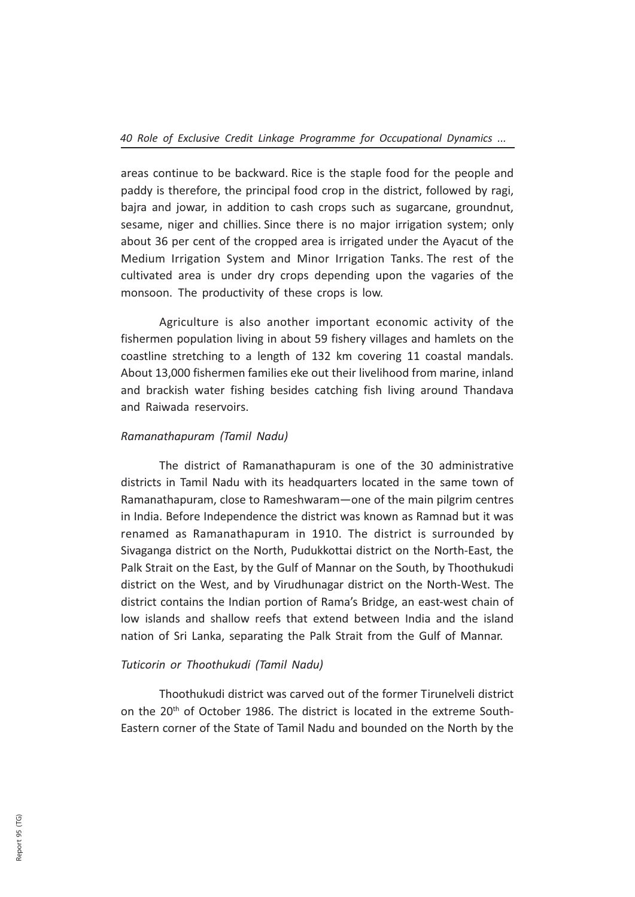areas continue to be backward. Rice is the staple food for the people and paddy is therefore, the principal food crop in the district, followed by ragi, bajra and jowar, in addition to cash crops such as sugarcane, groundnut, sesame, niger and chillies. Since there is no major irrigation system; only about 36 per cent of the cropped area is irrigated under the Ayacut of the Medium Irrigation System and Minor Irrigation Tanks. The rest of the cultivated area is under dry crops depending upon the vagaries of the monsoon. The productivity of these crops is low.

Agriculture is also another important economic activity of the fishermen population living in about 59 fishery villages and hamlets on the coastline stretching to a length of 132 km covering 11 coastal mandals. About 13,000 fishermen families eke out their livelihood from marine, inland and brackish water fishing besides catching fish living around Thandava and Raiwada reservoirs.

## Ramanathapuram (Tamil Nadu)

The district of Ramanathapuram is one of the 30 administrative districts in Tamil Nadu with its headquarters located in the same town of Ramanathapuram, close to Rameshwaram—one of the main pilgrim centres in India. Before Independence the district was known as Ramnad but it was renamed as Ramanathapuram in 1910. The district is surrounded by Sivaganga district on the North, Pudukkottai district on the North-East, the Palk Strait on the East, by the Gulf of Mannar on the South, by Thoothukudi district on the West, and by Virudhunagar district on the North-West. The district contains the Indian portion of Rama's Bridge, an east-west chain of low islands and shallow reefs that extend between India and the island nation of Sri Lanka, separating the Palk Strait from the Gulf of Mannar.

## Tuticorin or Thoothukudi (Tamil Nadu)

Thoothukudi district was carved out of the former Tirunelveli district on the 20<sup>th</sup> of October 1986. The district is located in the extreme South-Eastern corner of the State of Tamil Nadu and bounded on the North by the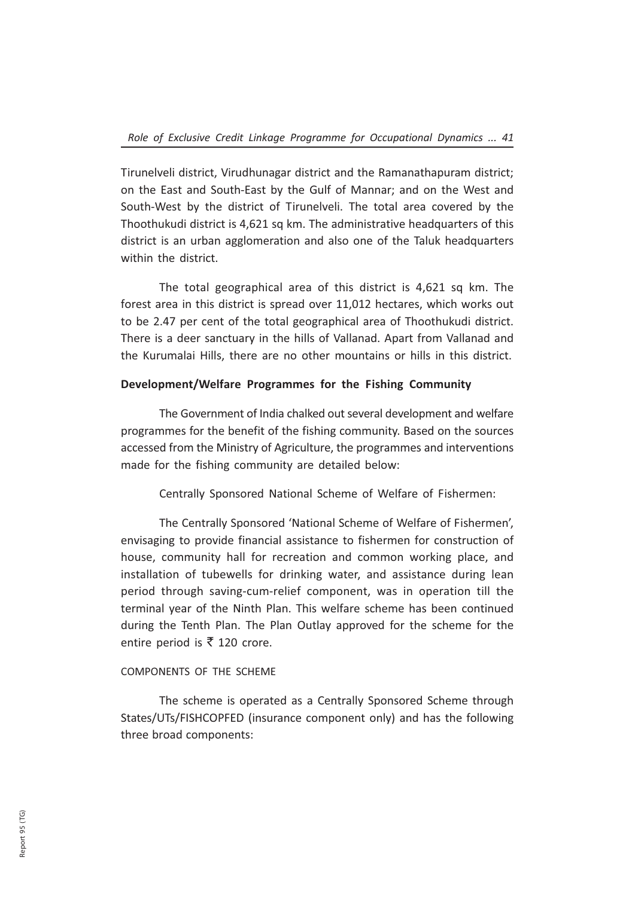Tirunelveli district, Virudhunagar district and the Ramanathapuram district; on the East and South-East by the Gulf of Mannar; and on the West and South-West by the district of Tirunelveli. The total area covered by the Thoothukudi district is 4,621 sq km. The administrative headquarters of this district is an urban agglomeration and also one of the Taluk headquarters within the district.

The total geographical area of this district is 4,621 sq km. The forest area in this district is spread over 11,012 hectares, which works out to be 2.47 per cent of the total geographical area of Thoothukudi district. There is a deer sanctuary in the hills of Vallanad. Apart from Vallanad and the Kurumalai Hills, there are no other mountains or hills in this district.

## Development/Welfare Programmes for the Fishing Community

The Government of India chalked out several development and welfare programmes for the benefit of the fishing community. Based on the sources accessed from the Ministry of Agriculture, the programmes and interventions made for the fishing community are detailed below:

Centrally Sponsored National Scheme of Welfare of Fishermen:

The Centrally Sponsored 'National Scheme of Welfare of Fishermen', envisaging to provide financial assistance to fishermen for construction of house, community hall for recreation and common working place, and installation of tubewells for drinking water, and assistance during lean period through saving-cum-relief component, was in operation till the terminal year of the Ninth Plan. This welfare scheme has been continued during the Tenth Plan. The Plan Outlay approved for the scheme for the entire period is  $\bar{\tau}$  120 crore.

## COMPONENTS OF THE SCHEME

The scheme is operated as a Centrally Sponsored Scheme through States/UTs/FISHCOPFED (insurance component only) and has the following three broad components: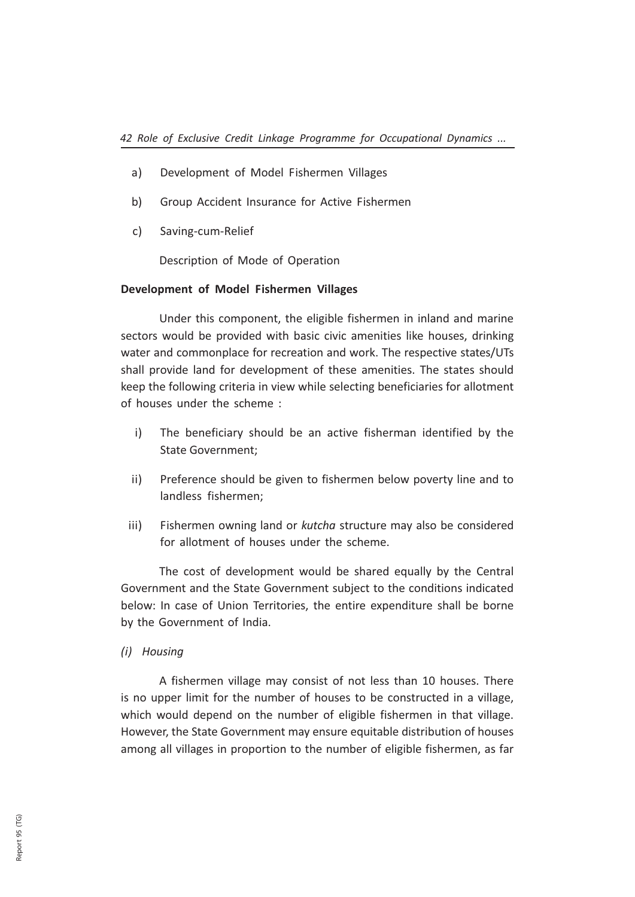- a) Development of Model Fishermen Villages
- b) Group Accident Insurance for Active Fishermen
- c) Saving-cum-Relief

Description of Mode of Operation

#### Development of Model Fishermen Villages

Under this component, the eligible fishermen in inland and marine sectors would be provided with basic civic amenities like houses, drinking water and commonplace for recreation and work. The respective states/UTs shall provide land for development of these amenities. The states should keep the following criteria in view while selecting beneficiaries for allotment of houses under the scheme :

- i) The beneficiary should be an active fisherman identified by the State Government;
- ii) Preference should be given to fishermen below poverty line and to landless fishermen;
- iii) Fishermen owning land or kutcha structure may also be considered for allotment of houses under the scheme.

The cost of development would be shared equally by the Central Government and the State Government subject to the conditions indicated below: In case of Union Territories, the entire expenditure shall be borne by the Government of India.

#### (i) Housing

A fishermen village may consist of not less than 10 houses. There is no upper limit for the number of houses to be constructed in a village, which would depend on the number of eligible fishermen in that village. However, the State Government may ensure equitable distribution of houses among all villages in proportion to the number of eligible fishermen, as far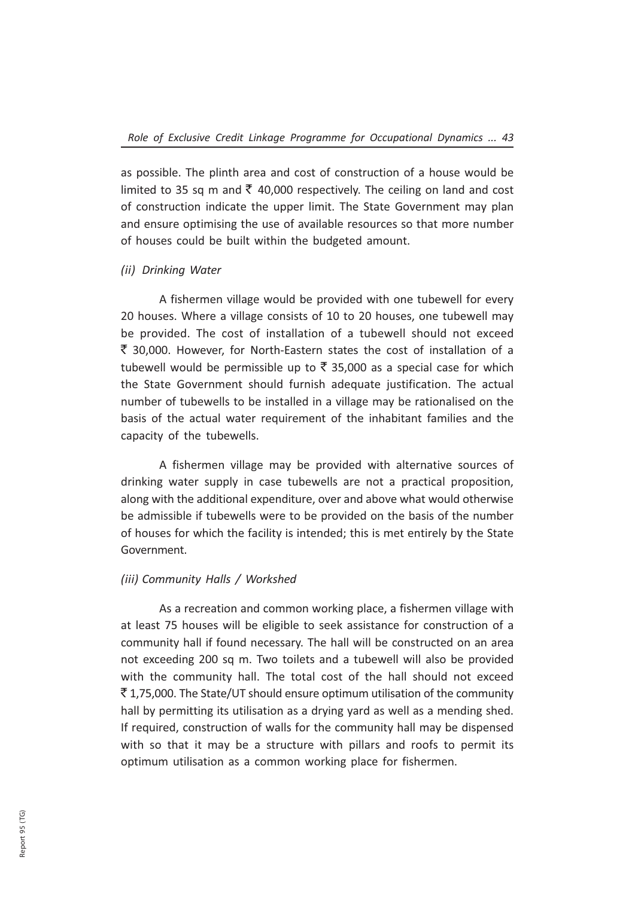as possible. The plinth area and cost of construction of a house would be limited to 35 sq m and  $\bar{\tau}$  40,000 respectively. The ceiling on land and cost of construction indicate the upper limit. The State Government may plan and ensure optimising the use of available resources so that more number of houses could be built within the budgeted amount.

#### (ii) Drinking Water

A fishermen village would be provided with one tubewell for every 20 houses. Where a village consists of 10 to 20 houses, one tubewell may be provided. The cost of installation of a tubewell should not exceed  $\bar{\tau}$  30,000. However, for North-Eastern states the cost of installation of a tubewell would be permissible up to  $\bar{\tau}$  35,000 as a special case for which the State Government should furnish adequate justification. The actual number of tubewells to be installed in a village may be rationalised on the basis of the actual water requirement of the inhabitant families and the capacity of the tubewells.

A fishermen village may be provided with alternative sources of drinking water supply in case tubewells are not a practical proposition, along with the additional expenditure, over and above what would otherwise be admissible if tubewells were to be provided on the basis of the number of houses for which the facility is intended; this is met entirely by the State Government.

## (iii) Community Halls / Workshed

As a recreation and common working place, a fishermen village with at least 75 houses will be eligible to seek assistance for construction of a community hall if found necessary. The hall will be constructed on an area not exceeding 200 sq m. Two toilets and a tubewell will also be provided with the community hall. The total cost of the hall should not exceed  $\bar{\tau}$  1,75,000. The State/UT should ensure optimum utilisation of the community hall by permitting its utilisation as a drying yard as well as a mending shed. If required, construction of walls for the community hall may be dispensed with so that it may be a structure with pillars and roofs to permit its optimum utilisation as a common working place for fishermen.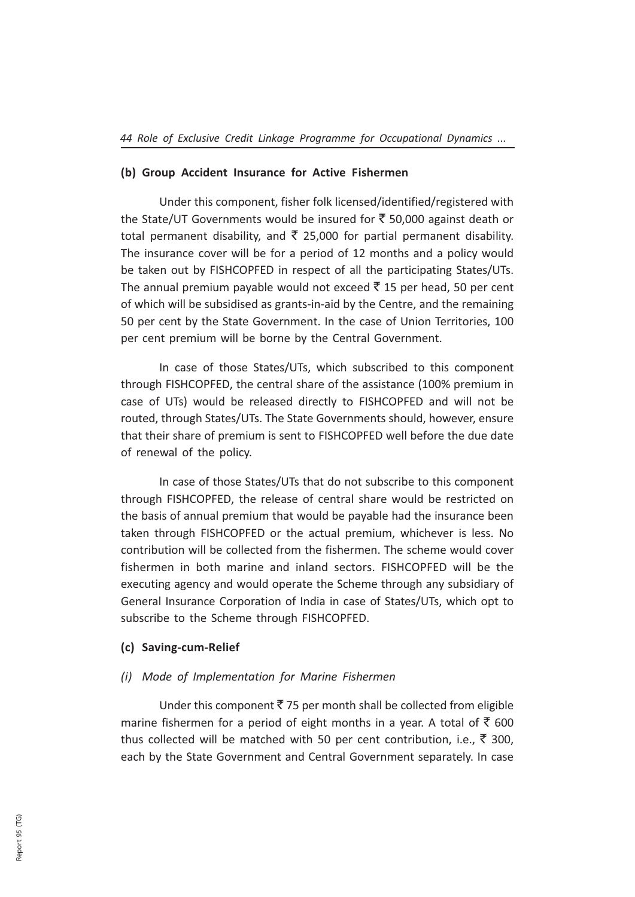#### (b) Group Accident Insurance for Active Fishermen

Under this component, fisher folk licensed/identified/registered with the State/UT Governments would be insured for  $\bar{\xi}$  50,000 against death or total permanent disability, and  $\bar{\tau}$  25,000 for partial permanent disability. The insurance cover will be for a period of 12 months and a policy would be taken out by FISHCOPFED in respect of all the participating States/UTs. The annual premium payable would not exceed  $\bar{\tau}$  15 per head, 50 per cent of which will be subsidised as grants-in-aid by the Centre, and the remaining 50 per cent by the State Government. In the case of Union Territories, 100 per cent premium will be borne by the Central Government.

In case of those States/UTs, which subscribed to this component through FISHCOPFED, the central share of the assistance (100% premium in case of UTs) would be released directly to FISHCOPFED and will not be routed, through States/UTs. The State Governments should, however, ensure that their share of premium is sent to FISHCOPFED well before the due date of renewal of the policy.

In case of those States/UTs that do not subscribe to this component through FISHCOPFED, the release of central share would be restricted on the basis of annual premium that would be payable had the insurance been taken through FISHCOPFED or the actual premium, whichever is less. No contribution will be collected from the fishermen. The scheme would cover fishermen in both marine and inland sectors. FISHCOPFED will be the executing agency and would operate the Scheme through any subsidiary of General Insurance Corporation of India in case of States/UTs, which opt to subscribe to the Scheme through FISHCOPFED.

#### (c) Saving-cum-Relief

## (i) Mode of Implementation for Marine Fishermen

Under this component  $\bar{\tau}$  75 per month shall be collected from eligible marine fishermen for a period of eight months in a year. A total of  $\overline{\mathfrak{S}}$  600 thus collected will be matched with 50 per cent contribution, i.e.,  $\bar{\tau}$  300, each by the State Government and Central Government separately. In case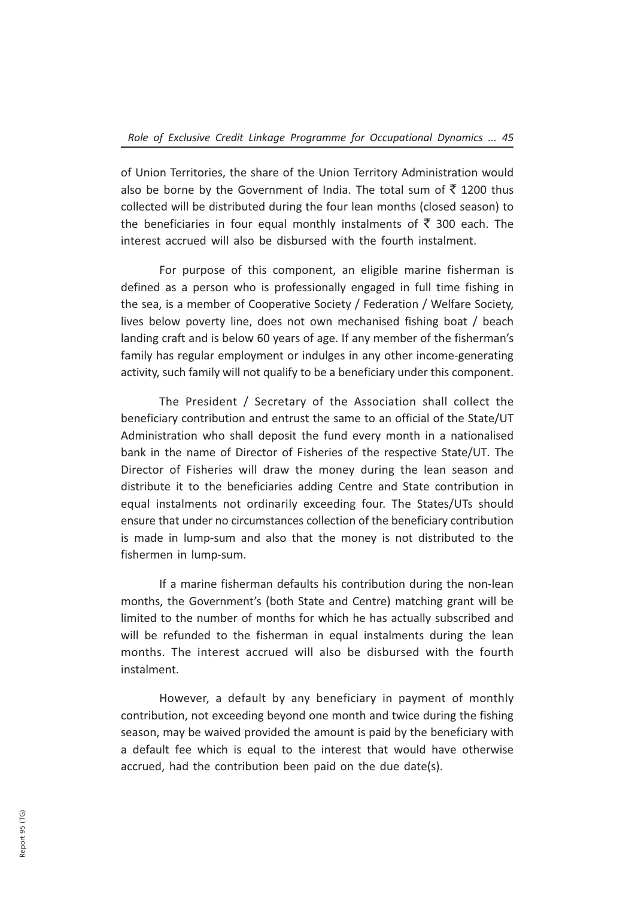of Union Territories, the share of the Union Territory Administration would also be borne by the Government of India. The total sum of  $\bar{\tau}$  1200 thus collected will be distributed during the four lean months (closed season) to the beneficiaries in four equal monthly instalments of  $\bar{\tau}$  300 each. The interest accrued will also be disbursed with the fourth instalment.

For purpose of this component, an eligible marine fisherman is defined as a person who is professionally engaged in full time fishing in the sea, is a member of Cooperative Society / Federation / Welfare Society, lives below poverty line, does not own mechanised fishing boat / beach landing craft and is below 60 years of age. If any member of the fisherman's family has regular employment or indulges in any other income-generating activity, such family will not qualify to be a beneficiary under this component.

The President / Secretary of the Association shall collect the beneficiary contribution and entrust the same to an official of the State/UT Administration who shall deposit the fund every month in a nationalised bank in the name of Director of Fisheries of the respective State/UT. The Director of Fisheries will draw the money during the lean season and distribute it to the beneficiaries adding Centre and State contribution in equal instalments not ordinarily exceeding four. The States/UTs should ensure that under no circumstances collection of the beneficiary contribution is made in lump-sum and also that the money is not distributed to the fishermen in lump-sum.

If a marine fisherman defaults his contribution during the non-lean months, the Government's (both State and Centre) matching grant will be limited to the number of months for which he has actually subscribed and will be refunded to the fisherman in equal instalments during the lean months. The interest accrued will also be disbursed with the fourth instalment.

However, a default by any beneficiary in payment of monthly contribution, not exceeding beyond one month and twice during the fishing season, may be waived provided the amount is paid by the beneficiary with a default fee which is equal to the interest that would have otherwise accrued, had the contribution been paid on the due date(s).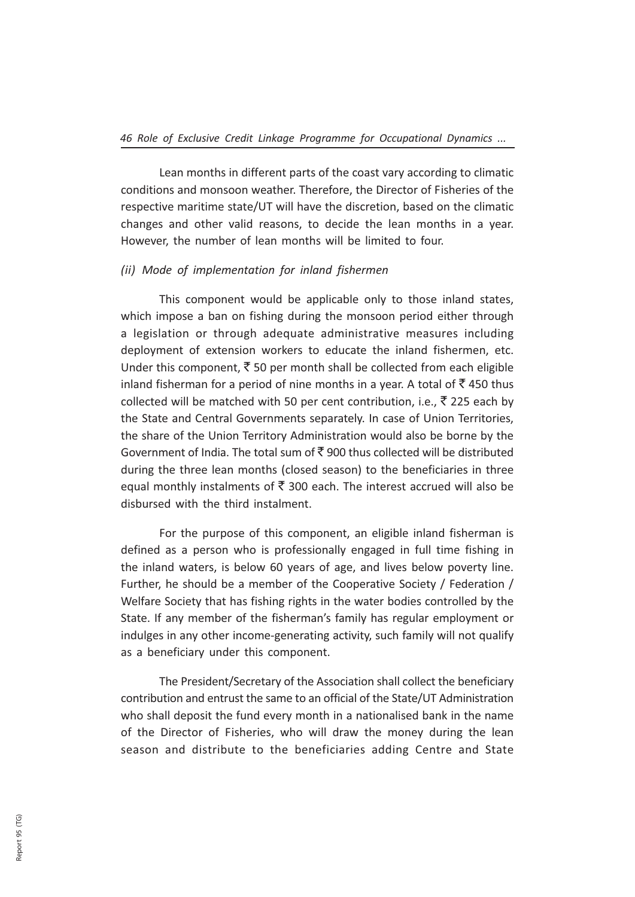Lean months in different parts of the coast vary according to climatic conditions and monsoon weather. Therefore, the Director of Fisheries of the respective maritime state/UT will have the discretion, based on the climatic changes and other valid reasons, to decide the lean months in a year. However, the number of lean months will be limited to four.

#### (ii) Mode of implementation for inland fishermen

This component would be applicable only to those inland states, which impose a ban on fishing during the monsoon period either through a legislation or through adequate administrative measures including deployment of extension workers to educate the inland fishermen, etc. Under this component,  $\bar{\tau}$  50 per month shall be collected from each eligible inland fisherman for a period of nine months in a year. A total of  $\bar{z}$  450 thus collected will be matched with 50 per cent contribution, i.e.,  $\bar{\tau}$  225 each by the State and Central Governments separately. In case of Union Territories, the share of the Union Territory Administration would also be borne by the Government of India. The total sum of  $\bar{\bar{\zeta}}$  900 thus collected will be distributed during the three lean months (closed season) to the beneficiaries in three equal monthly instalments of  $\bar{\tau}$  300 each. The interest accrued will also be disbursed with the third instalment.

For the purpose of this component, an eligible inland fisherman is defined as a person who is professionally engaged in full time fishing in the inland waters, is below 60 years of age, and lives below poverty line. Further, he should be a member of the Cooperative Society / Federation / Welfare Society that has fishing rights in the water bodies controlled by the State. If any member of the fisherman's family has regular employment or indulges in any other income-generating activity, such family will not qualify as a beneficiary under this component.

The President/Secretary of the Association shall collect the beneficiary contribution and entrust the same to an official of the State/UT Administration who shall deposit the fund every month in a nationalised bank in the name of the Director of Fisheries, who will draw the money during the lean season and distribute to the beneficiaries adding Centre and State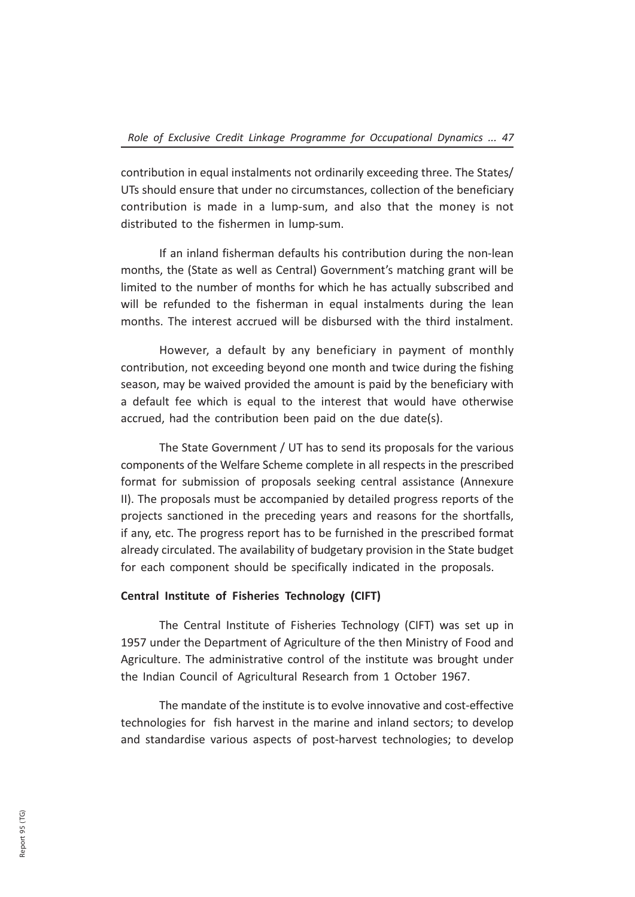contribution in equal instalments not ordinarily exceeding three. The States/ UTs should ensure that under no circumstances, collection of the beneficiary contribution is made in a lump-sum, and also that the money is not distributed to the fishermen in lump-sum.

If an inland fisherman defaults his contribution during the non-lean months, the (State as well as Central) Government's matching grant will be limited to the number of months for which he has actually subscribed and will be refunded to the fisherman in equal instalments during the lean months. The interest accrued will be disbursed with the third instalment.

However, a default by any beneficiary in payment of monthly contribution, not exceeding beyond one month and twice during the fishing season, may be waived provided the amount is paid by the beneficiary with a default fee which is equal to the interest that would have otherwise accrued, had the contribution been paid on the due date(s).

The State Government / UT has to send its proposals for the various components of the Welfare Scheme complete in all respects in the prescribed format for submission of proposals seeking central assistance (Annexure II). The proposals must be accompanied by detailed progress reports of the projects sanctioned in the preceding years and reasons for the shortfalls, if any, etc. The progress report has to be furnished in the prescribed format already circulated. The availability of budgetary provision in the State budget for each component should be specifically indicated in the proposals.

#### Central Institute of Fisheries Technology (CIFT)

The Central Institute of Fisheries Technology (CIFT) was set up in 1957 under the Department of Agriculture of the then Ministry of Food and Agriculture. The administrative control of the institute was brought under the Indian Council of Agricultural Research from 1 October 1967.

The mandate of the institute is to evolve innovative and cost-effective technologies for fish harvest in the marine and inland sectors; to develop and standardise various aspects of post-harvest technologies; to develop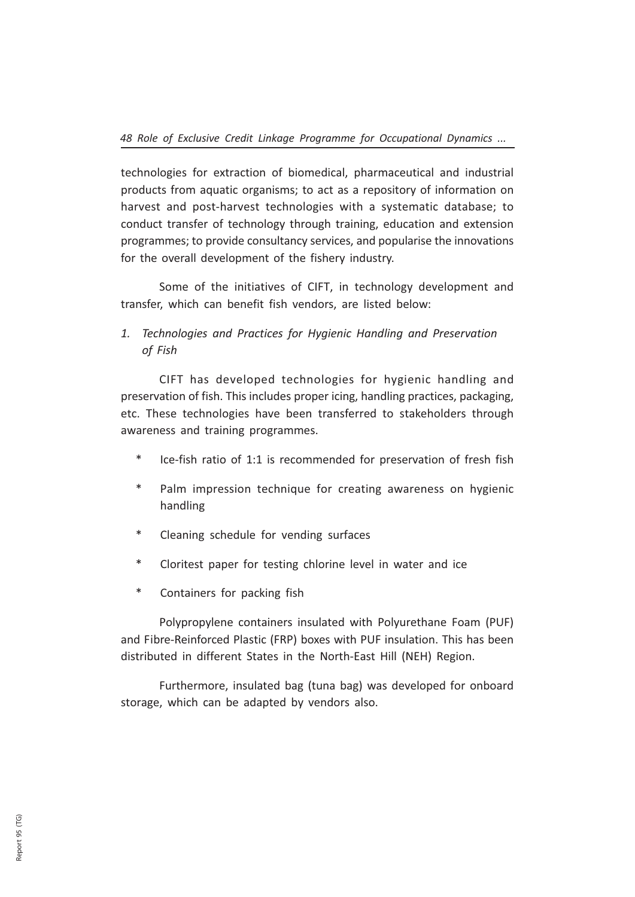technologies for extraction of biomedical, pharmaceutical and industrial products from aquatic organisms; to act as a repository of information on harvest and post-harvest technologies with a systematic database; to conduct transfer of technology through training, education and extension programmes; to provide consultancy services, and popularise the innovations for the overall development of the fishery industry.

Some of the initiatives of CIFT, in technology development and transfer, which can benefit fish vendors, are listed below:

1. Technologies and Practices for Hygienic Handling and Preservation of Fish

CIFT has developed technologies for hygienic handling and preservation of fish. This includes proper icing, handling practices, packaging, etc. These technologies have been transferred to stakeholders through awareness and training programmes.

- Ice-fish ratio of 1:1 is recommended for preservation of fresh fish
- \* Palm impression technique for creating awareness on hygienic handling
- \* Cleaning schedule for vending surfaces
- \* Cloritest paper for testing chlorine level in water and ice
- \* Containers for packing fish

Polypropylene containers insulated with Polyurethane Foam (PUF) and Fibre-Reinforced Plastic (FRP) boxes with PUF insulation. This has been distributed in different States in the North-East Hill (NEH) Region.

Furthermore, insulated bag (tuna bag) was developed for onboard storage, which can be adapted by vendors also.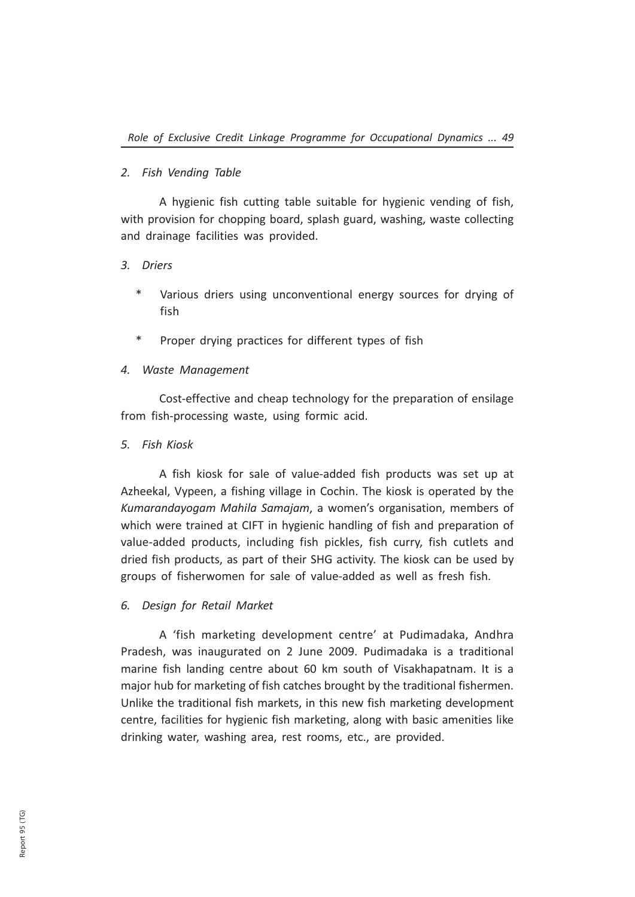## 2. Fish Vending Table

A hygienic fish cutting table suitable for hygienic vending of fish, with provision for chopping board, splash guard, washing, waste collecting and drainage facilities was provided.

## 3. Driers

- Various driers using unconventional energy sources for drying of fish
- Proper drying practices for different types of fish

## 4. Waste Management

Cost-effective and cheap technology for the preparation of ensilage from fish-processing waste, using formic acid.

## 5. Fish Kiosk

A fish kiosk for sale of value-added fish products was set up at Azheekal, Vypeen, a fishing village in Cochin. The kiosk is operated by the Kumarandayogam Mahila Samajam, a women's organisation, members of which were trained at CIFT in hygienic handling of fish and preparation of value-added products, including fish pickles, fish curry, fish cutlets and dried fish products, as part of their SHG activity. The kiosk can be used by groups of fisherwomen for sale of value-added as well as fresh fish.

## 6. Design for Retail Market

A 'fish marketing development centre' at Pudimadaka, Andhra Pradesh, was inaugurated on 2 June 2009. Pudimadaka is a traditional marine fish landing centre about 60 km south of Visakhapatnam. It is a major hub for marketing of fish catches brought by the traditional fishermen. Unlike the traditional fish markets, in this new fish marketing development centre, facilities for hygienic fish marketing, along with basic amenities like drinking water, washing area, rest rooms, etc., are provided.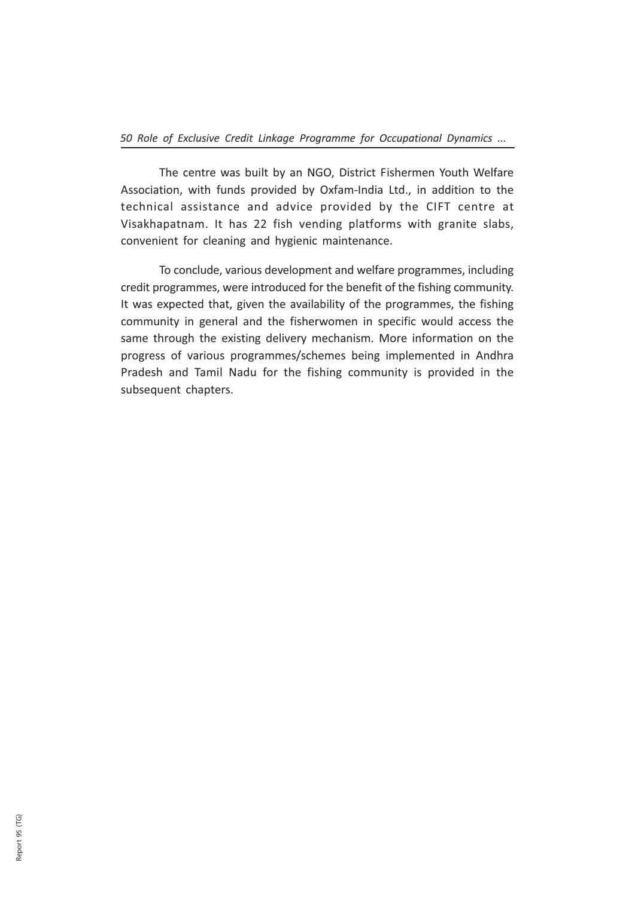The centre was built by an NGO, District Fishermen Youth Welfare Association, with funds provided by Oxfam-India Ltd., in addition to the technical assistance and advice provided by the CIFT centre at Visakhapatnam. It has 22 fish vending platforms with granite slabs, convenient for cleaning and hygienic maintenance.

To conclude, various development and welfare programmes, including credit programmes, were introduced for the benefit of the fishing community. It was expected that, given the availability of the programmes, the fishing community in general and the fisherwomen in specific would access the same through the existing delivery mechanism. More information on the progress of various programmes/schemes being implemented in Andhra Pradesh and Tamil Nadu for the fishing community is provided in the subsequent chapters.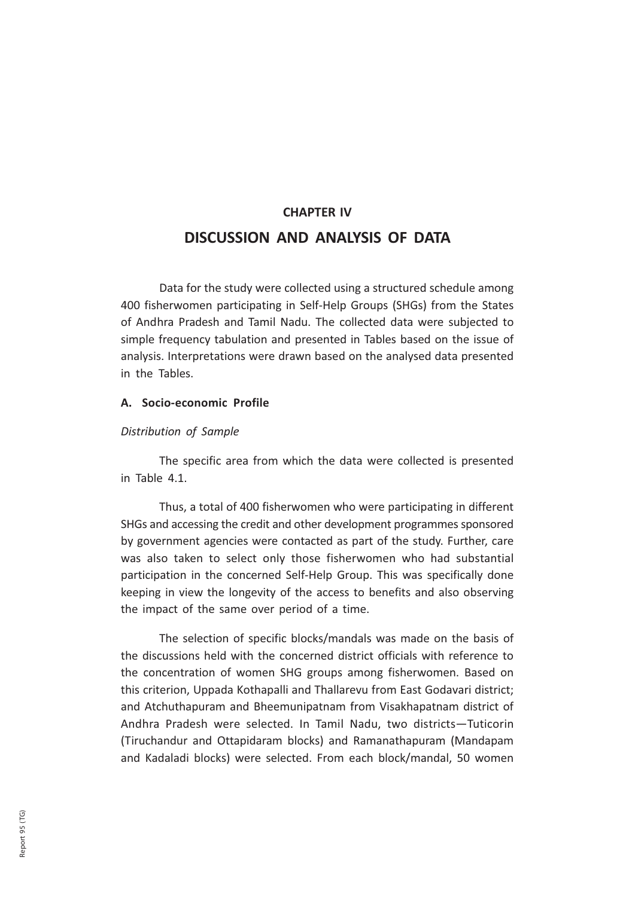# CHAPTER IV DISCUSSION AND ANALYSIS OF DATA

Data for the study were collected using a structured schedule among 400 fisherwomen participating in Self-Help Groups (SHGs) from the States of Andhra Pradesh and Tamil Nadu. The collected data were subjected to simple frequency tabulation and presented in Tables based on the issue of analysis. Interpretations were drawn based on the analysed data presented in the Tables.

## A. Socio-economic Profile

## Distribution of Sample

The specific area from which the data were collected is presented in Table 4.1.

Thus, a total of 400 fisherwomen who were participating in different SHGs and accessing the credit and other development programmes sponsored by government agencies were contacted as part of the study. Further, care was also taken to select only those fisherwomen who had substantial participation in the concerned Self-Help Group. This was specifically done keeping in view the longevity of the access to benefits and also observing the impact of the same over period of a time.

The selection of specific blocks/mandals was made on the basis of the discussions held with the concerned district officials with reference to the concentration of women SHG groups among fisherwomen. Based on this criterion, Uppada Kothapalli and Thallarevu from East Godavari district; and Atchuthapuram and Bheemunipatnam from Visakhapatnam district of Andhra Pradesh were selected. In Tamil Nadu, two districts—Tuticorin (Tiruchandur and Ottapidaram blocks) and Ramanathapuram (Mandapam and Kadaladi blocks) were selected. From each block/mandal, 50 women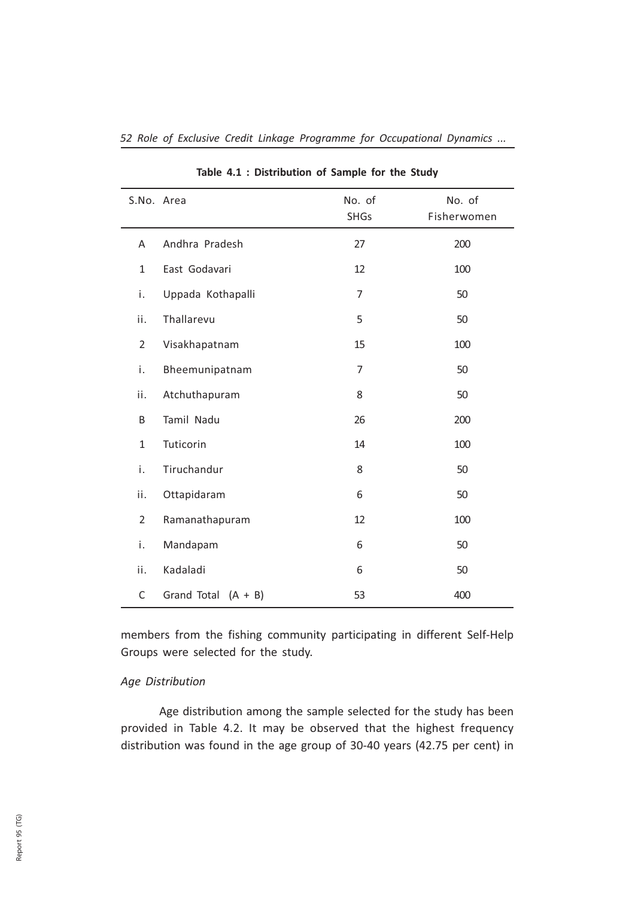| S.No. Area     |                       | No. of<br><b>SHGs</b> | No. of<br>Fisherwomen |
|----------------|-----------------------|-----------------------|-----------------------|
| Α              | Andhra Pradesh        | 27                    | 200                   |
| $\mathbf{1}$   | East Godavari         | 12                    | 100                   |
| i.             | Uppada Kothapalli     | $\overline{7}$        | 50                    |
| ii.            | Thallarevu            | 5                     | 50                    |
| $\overline{2}$ | Visakhapatnam         | 15                    | 100                   |
| i.             | Bheemunipatnam        | $\overline{7}$        | 50                    |
| ii.            | Atchuthapuram         | 8                     | 50                    |
| B              | Tamil Nadu            | 26                    | 200                   |
| $\mathbf{1}$   | Tuticorin             | 14                    | 100                   |
| i.             | Tiruchandur           | 8                     | 50                    |
| ii.            | Ottapidaram           | 6                     | 50                    |
| $\overline{2}$ | Ramanathapuram        | 12                    | 100                   |
| i.             | Mandapam              | 6                     | 50                    |
| ii.            | Kadaladi              | 6                     | 50                    |
| $\mathsf C$    | Grand Total $(A + B)$ | 53                    | 400                   |

52 Role of Exclusive Credit Linkage Programme for Occupational Dynamics ...

Table 4.1 : Distribution of Sample for the Study

members from the fishing community participating in different Self-Help Groups were selected for the study.

## Age Distribution

Age distribution among the sample selected for the study has been provided in Table 4.2. It may be observed that the highest frequency distribution was found in the age group of 30-40 years (42.75 per cent) in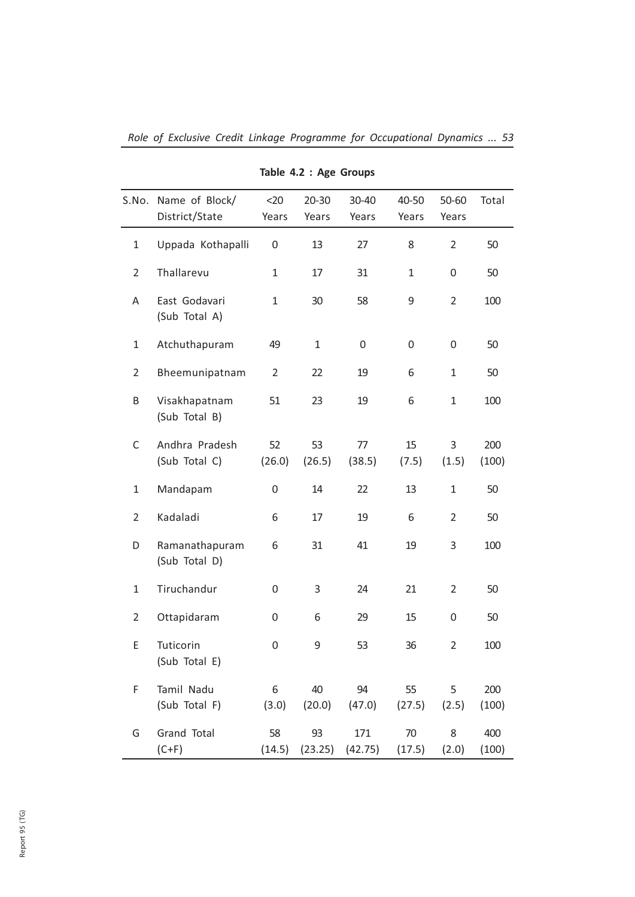|                | S.No. Name of Block/            | $20$           | 20-30         | 30-40          | 40-50        | 50-60          | Total        |
|----------------|---------------------------------|----------------|---------------|----------------|--------------|----------------|--------------|
|                | District/State                  | Years          | Years         | Years          | Years        | Years          |              |
| $\mathbf{1}$   | Uppada Kothapalli               | 0              | 13            | 27             | 8            | $\overline{2}$ | 50           |
| $\overline{2}$ | Thallarevu                      | 1              | 17            | 31             | $\mathbf{1}$ | 0              | 50           |
| A              | East Godavari<br>(Sub Total A)  | 1              | 30            | 58             | 9            | $\overline{2}$ | 100          |
| $\mathbf{1}$   | Atchuthapuram                   | 49             | $\mathbf{1}$  | 0              | 0            | 0              | 50           |
| $\overline{2}$ | Bheemunipatnam                  | $\overline{2}$ | 22            | 19             | 6            | $\mathbf{1}$   | 50           |
| Β              | Visakhapatnam<br>(Sub Total B)  | 51             | 23            | 19             | 6            | $\mathbf{1}$   | 100          |
| C              | Andhra Pradesh<br>(Sub Total C) | 52<br>(26.0)   | 53<br>(26.5)  | 77<br>(38.5)   | 15<br>(7.5)  | 3<br>(1.5)     | 200<br>(100) |
| $\mathbf{1}$   | Mandapam                        | 0              | 14            | 22             | 13           | $\mathbf{1}$   | 50           |
| $\overline{2}$ | Kadaladi                        | 6              | 17            | 19             | 6            | $\overline{2}$ | 50           |
| D              | Ramanathapuram<br>(Sub Total D) | 6              | 31            | 41             | 19           | 3              | 100          |
| $\mathbf{1}$   | Tiruchandur                     | 0              | 3             | 24             | 21           | $\overline{2}$ | 50           |
| $\overline{2}$ | Ottapidaram                     | 0              | 6             | 29             | 15           | 0              | 50           |
| E              | Tuticorin<br>(Sub Total E)      | 0              | 9             | 53             | 36           | $\overline{2}$ | 100          |
| F              | Tamil Nadu<br>(Sub Total F)     | 6<br>(3.0)     | 40<br>(20.0)  | 94<br>(47.0)   | 55<br>(27.5) | 5<br>(2.5)     | 200<br>(100) |
| G              | Grand Total<br>$(C+F)$          | 58<br>(14.5)   | 93<br>(23.25) | 171<br>(42.75) | 70<br>(17.5) | 8<br>(2.0)     | 400<br>(100) |

Table 4.2 : Age Groups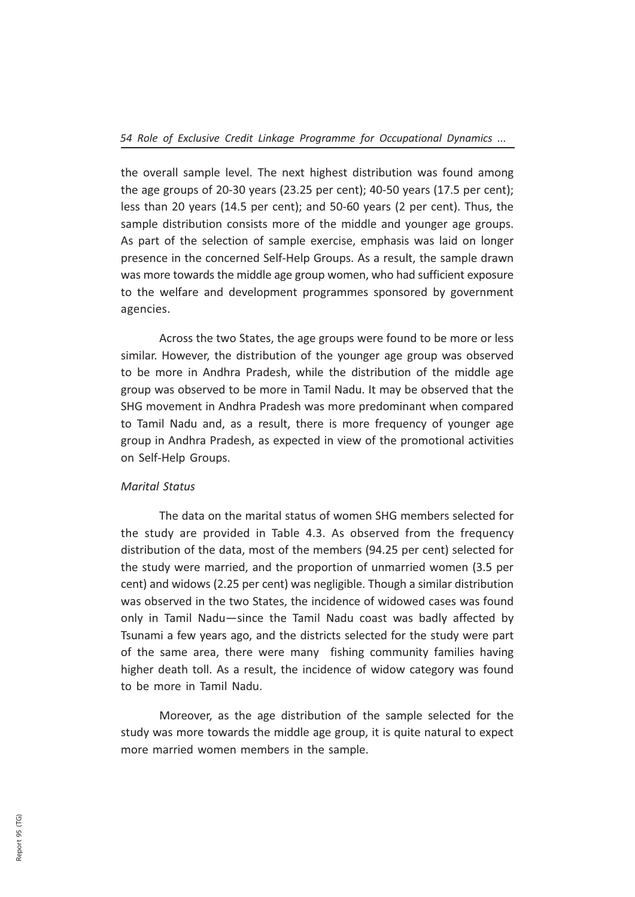the overall sample level. The next highest distribution was found among the age groups of 20-30 years (23.25 per cent); 40-50 years (17.5 per cent); less than 20 years (14.5 per cent); and 50-60 years (2 per cent). Thus, the sample distribution consists more of the middle and younger age groups. As part of the selection of sample exercise, emphasis was laid on longer presence in the concerned Self-Help Groups. As a result, the sample drawn was more towards the middle age group women, who had sufficient exposure to the welfare and development programmes sponsored by government agencies.

Across the two States, the age groups were found to be more or less similar. However, the distribution of the younger age group was observed to be more in Andhra Pradesh, while the distribution of the middle age group was observed to be more in Tamil Nadu. It may be observed that the SHG movement in Andhra Pradesh was more predominant when compared to Tamil Nadu and, as a result, there is more frequency of younger age group in Andhra Pradesh, as expected in view of the promotional activities on Self-Help Groups.

#### Marital Status

The data on the marital status of women SHG members selected for the study are provided in Table 4.3. As observed from the frequency distribution of the data, most of the members (94.25 per cent) selected for the study were married, and the proportion of unmarried women (3.5 per cent) and widows (2.25 per cent) was negligible. Though a similar distribution was observed in the two States, the incidence of widowed cases was found only in Tamil Nadu—since the Tamil Nadu coast was badly affected by Tsunami a few years ago, and the districts selected for the study were part of the same area, there were many fishing community families having higher death toll. As a result, the incidence of widow category was found to be more in Tamil Nadu.

Moreover, as the age distribution of the sample selected for the study was more towards the middle age group, it is quite natural to expect more married women members in the sample.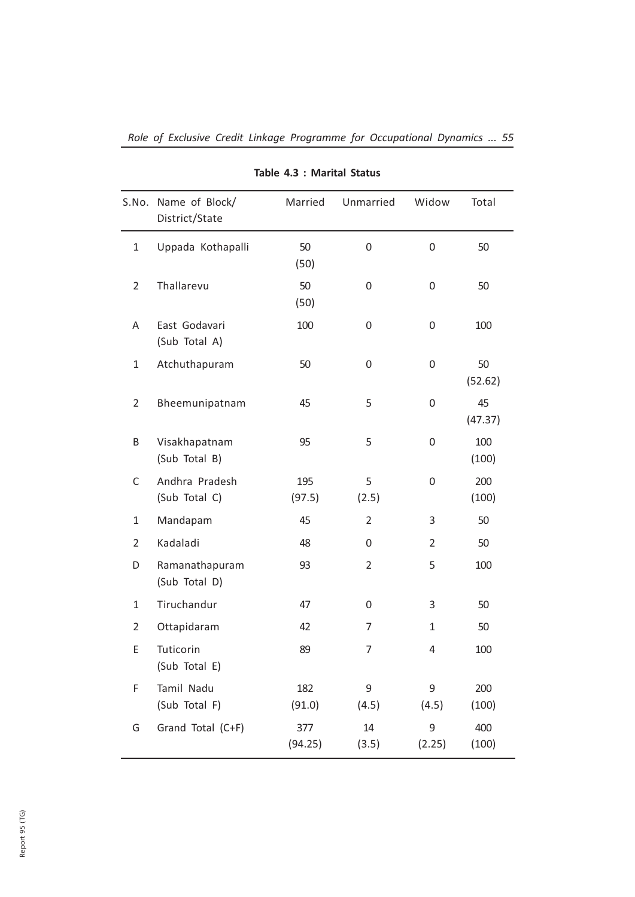|                | S.No. Name of Block/<br>District/State | Married        | Unmarried      | Widow        | Total         |
|----------------|----------------------------------------|----------------|----------------|--------------|---------------|
| $\mathbf{1}$   | Uppada Kothapalli                      | 50<br>(50)     | 0              | 0            | 50            |
| $\overline{2}$ | Thallarevu                             | 50<br>(50)     | 0              | 0            | 50            |
| Α              | East Godavari<br>(Sub Total A)         | 100            | 0              | 0            | 100           |
| $\mathbf{1}$   | Atchuthapuram                          | 50             | 0              | 0            | 50<br>(52.62) |
| $\overline{2}$ | Bheemunipatnam                         | 45             | 5              | 0            | 45<br>(47.37) |
| Β              | Visakhapatnam<br>(Sub Total B)         | 95             | 5              | 0            | 100<br>(100)  |
| C              | Andhra Pradesh<br>(Sub Total C)        | 195<br>(97.5)  | 5<br>(2.5)     | 0            | 200<br>(100)  |
| $\mathbf{1}$   | Mandapam                               | 45             | $\overline{2}$ | 3            | 50            |
| $\overline{2}$ | Kadaladi                               | 48             | $\Omega$       | 2            | 50            |
| D              | Ramanathapuram<br>(Sub Total D)        | 93             | $\overline{2}$ | 5            | 100           |
| $\mathbf{1}$   | Tiruchandur                            | 47             | 0              | 3            | 50            |
| $\overline{2}$ | Ottapidaram                            | 42             | 7              | $\mathbf{1}$ | 50            |
| E              | Tuticorin<br>(Sub Total E)             | 89             | $\overline{7}$ | 4            | 100           |
| F              | Tamil Nadu<br>(Sub Total F)            | 182<br>(91.0)  | 9<br>(4.5)     | 9<br>(4.5)   | 200<br>(100)  |
| G              | Grand Total (C+F)                      | 377<br>(94.25) | 14<br>(3.5)    | 9<br>(2.25)  | 400<br>(100)  |

Role of Exclusive Credit Linkage Programme for Occupational Dynamics ... 55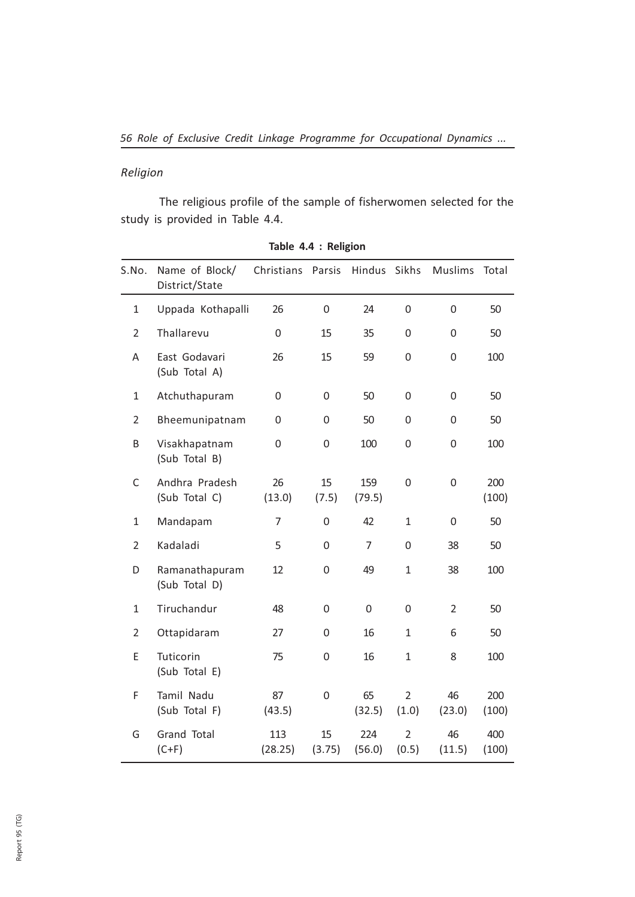## Religion

The religious profile of the sample of fisherwomen selected for the study is provided in Table 4.4.

| S.No.          | Name of Block/<br>District/State | Christians       | Parsis           | Hindus        | Sikhs                   | <b>Muslims</b> | Total        |
|----------------|----------------------------------|------------------|------------------|---------------|-------------------------|----------------|--------------|
| 1              | Uppada Kothapalli                | 26               | $\boldsymbol{0}$ | 24            | $\mathbf 0$             | 0              | 50           |
| $\overline{2}$ | Thallarevu                       | $\boldsymbol{0}$ | 15               | 35            | 0                       | $\overline{0}$ | 50           |
| Α              | East Godavari<br>(Sub Total A)   | 26               | 15               | 59            | 0                       | 0              | 100          |
| $\mathbf{1}$   | Atchuthapuram                    | 0                | $\boldsymbol{0}$ | 50            | 0                       | $\mathsf 0$    | 50           |
| $\overline{2}$ | Bheemunipatnam                   | 0                | 0                | 50            | 0                       | 0              | 50           |
| B              | Visakhapatnam<br>(Sub Total B)   | 0                | 0                | 100           | 0                       | 0              | 100          |
| C              | Andhra Pradesh<br>(Sub Total C)  | 26<br>(13.0)     | 15<br>(7.5)      | 159<br>(79.5) | 0                       | 0              | 200<br>(100) |
| 1              | Mandapam                         | 7                | 0                | 42            | 1                       | 0              | 50           |
| $\overline{2}$ | Kadaladi                         | 5                | 0                | 7             | 0                       | 38             | 50           |
| D              | Ramanathapuram<br>(Sub Total D)  | 12               | 0                | 49            | $\mathbf{1}$            | 38             | 100          |
| $\mathbf{1}$   | Tiruchandur                      | 48               | $\boldsymbol{0}$ | 0             | 0                       | $\overline{2}$ | 50           |
| $\overline{2}$ | Ottapidaram                      | 27               | 0                | 16            | $\mathbf{1}$            | 6              | 50           |
| E              | Tuticorin<br>(Sub Total E)       | 75               | 0                | 16            | $\mathbf{1}$            | 8              | 100          |
| F              | Tamil Nadu<br>(Sub Total F)      | 87<br>(43.5)     | 0                | 65<br>(32.5)  | $\overline{2}$<br>(1.0) | 46<br>(23.0)   | 200<br>(100) |
| G              | Grand Total<br>$(C+F)$           | 113<br>(28.25)   | 15<br>(3.75)     | 224<br>(56.0) | $\overline{2}$<br>(0.5) | 46<br>(11.5)   | 400<br>(100) |

| Table 4.4 : Religion |  |  |  |  |  |
|----------------------|--|--|--|--|--|
|----------------------|--|--|--|--|--|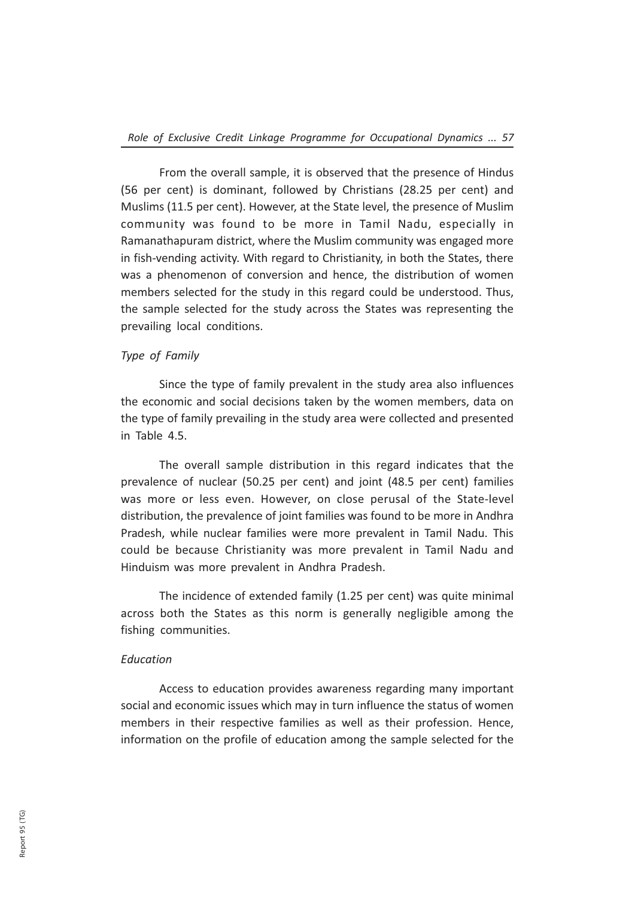From the overall sample, it is observed that the presence of Hindus (56 per cent) is dominant, followed by Christians (28.25 per cent) and Muslims (11.5 per cent). However, at the State level, the presence of Muslim community was found to be more in Tamil Nadu, especially in Ramanathapuram district, where the Muslim community was engaged more in fish-vending activity. With regard to Christianity, in both the States, there was a phenomenon of conversion and hence, the distribution of women members selected for the study in this regard could be understood. Thus, the sample selected for the study across the States was representing the prevailing local conditions.

## Type of Family

Since the type of family prevalent in the study area also influences the economic and social decisions taken by the women members, data on the type of family prevailing in the study area were collected and presented in Table 4.5.

The overall sample distribution in this regard indicates that the prevalence of nuclear (50.25 per cent) and joint (48.5 per cent) families was more or less even. However, on close perusal of the State-level distribution, the prevalence of joint families was found to be more in Andhra Pradesh, while nuclear families were more prevalent in Tamil Nadu. This could be because Christianity was more prevalent in Tamil Nadu and Hinduism was more prevalent in Andhra Pradesh.

The incidence of extended family (1.25 per cent) was quite minimal across both the States as this norm is generally negligible among the fishing communities.

#### Education

Access to education provides awareness regarding many important social and economic issues which may in turn influence the status of women members in their respective families as well as their profession. Hence, information on the profile of education among the sample selected for the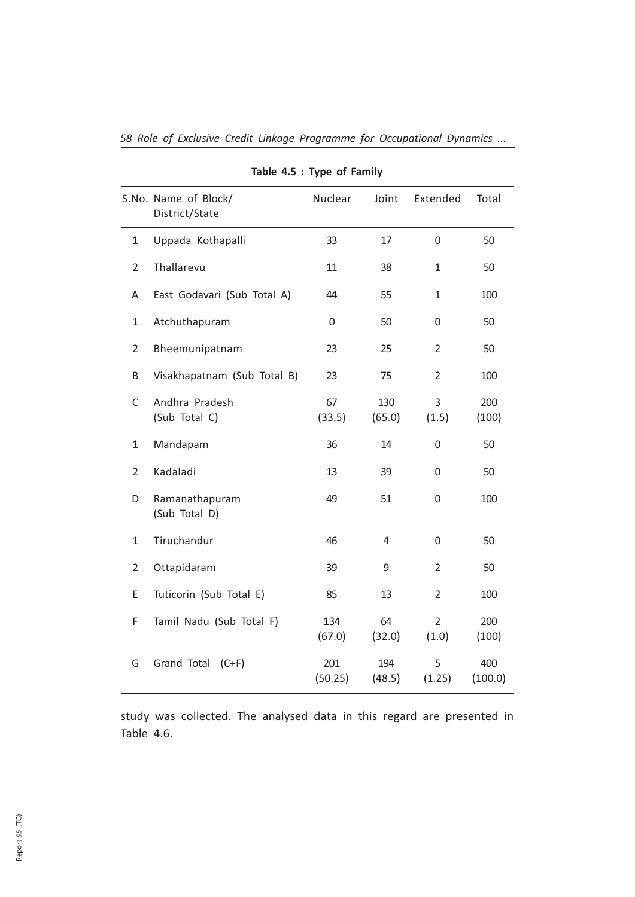|                | S.No. Name of Block/            | Nuclear        | Joint         | Extended                | Total          |
|----------------|---------------------------------|----------------|---------------|-------------------------|----------------|
|                | District/State                  |                |               |                         |                |
| 1              | Uppada Kothapalli               | 33             | 17            | 0                       | 50             |
| $\overline{2}$ | Thallarevu                      | 11             | 38            | $\mathbf{1}$            | 50             |
| A              | East Godavari (Sub Total A)     | 44             | 55            | $\mathbf{1}$            | 100            |
| $\mathbf{1}$   | Atchuthapuram                   | 0              | 50            | 0                       | 50             |
| $\overline{2}$ | Bheemunipatnam                  | 23             | 25            | $\overline{2}$          | 50             |
| В              | Visakhapatnam (Sub Total B)     | 23             | 75            | $\overline{2}$          | 100            |
| C              | Andhra Pradesh<br>(Sub Total C) | 67<br>(33.5)   | 130<br>(65.0) | 3<br>(1.5)              | 200<br>(100)   |
| 1              | Mandapam                        | 36             | 14            | 0                       | 50             |
| $\overline{2}$ | Kadaladi                        | 13             | 39            | 0                       | 50             |
| D              | Ramanathapuram<br>(Sub Total D) | 49             | 51            | 0                       | 100            |
| 1              | Tiruchandur                     | 46             | 4             | 0                       | 50             |
| 2              | Ottapidaram                     | 39             | 9             | $\overline{2}$          | 50             |
| E              | Tuticorin (Sub Total E)         | 85             | 13            | $\overline{2}$          | 100            |
| F              | Tamil Nadu (Sub Total F)        | 134<br>(67.0)  | 64<br>(32.0)  | $\overline{2}$<br>(1.0) | 200<br>(100)   |
| G              | Grand Total (C+F)               | 201<br>(50.25) | 194<br>(48.5) | 5<br>(1.25)             | 400<br>(100.0) |

58 Role of Exclusive Credit Linkage Programme for Occupational Dynamics ...

Table 4.5 : Type of Family

study was collected. The analysed data in this regard are presented in Table 4.6.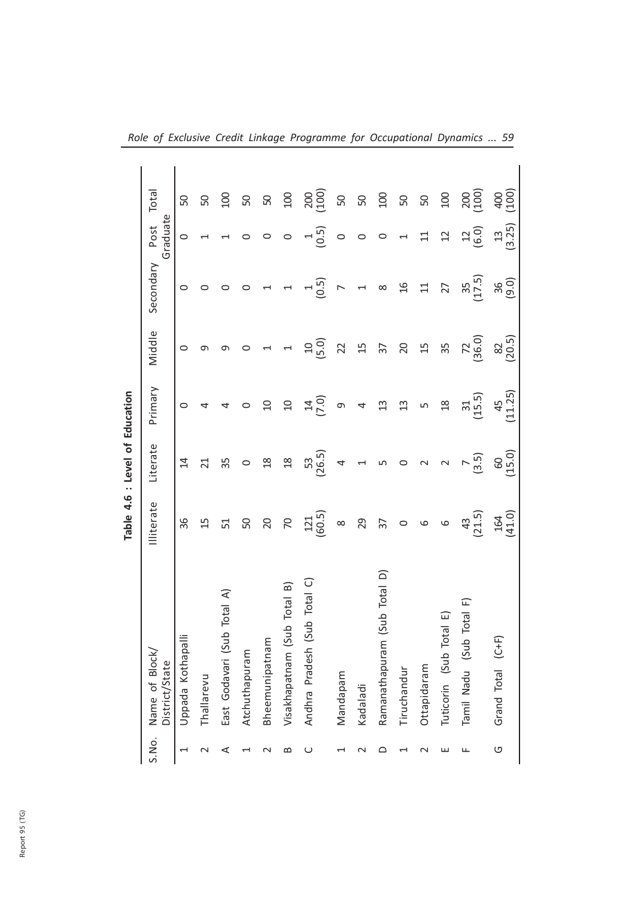|                          |                                 |                 | Table 4.6 : Level of Education |                          |                           |                     |                          |                   |  |
|--------------------------|---------------------------------|-----------------|--------------------------------|--------------------------|---------------------------|---------------------|--------------------------|-------------------|--|
| S.No.                    | Name of Block<br>District/State | Illiterate      | Literate                       | Primary                  | Middle                    | Secondary           | Graduate<br>Post         | Total             |  |
| $\overline{\phantom{0}}$ | Uppada Kothapall                | 96              | $\overline{4}$                 | $\circ$                  | $\circ$                   | $\circ$             | $\circ$                  | SO                |  |
| $\scriptstyle\sim$       | Thallarevu                      | $\overline{1}$  | $\overline{21}$                |                          | ഗ                         | 0                   |                          | ${\sf S}0$        |  |
| ⋖                        | East Godavari (Sub Total A)     | 51              | 35                             | 4                        | ഗ                         | $\circ$             |                          | $\Xi$             |  |
|                          | Atchuthapuram                   | 50              | $\circ$                        | $\circ$                  | $\circ$                   | 0                   |                          | $50\,$            |  |
|                          | Bheemunipatnam                  | $20$            | $^{28}$                        | $\Omega$                 | $\overline{\phantom{0}}$  |                     | O                        | $50\,$            |  |
| ≃                        | Visakhapatnam (Sub Total B)     | $\mathcal{R}$   | $\mathop{2\mathrm{S}}$         | $\Xi$                    | $\overline{\phantom{0}}$  |                     | $\circ$                  | $100$             |  |
| ပ                        | Andhra Pradesh (Sub Total C)    | $121$<br>(60.5) | 53<br>(26.5)                   | (7.0)                    | (5.0)                     | (0.5)               | (0.5)                    | $2000$<br>$(100)$ |  |
|                          | Mandapam                        | $\infty$        | $\overline{4}$                 | თ                        | $\overline{2}$            | $\triangleright$    | $\circ$                  | ${\tt S}$         |  |
| N                        | Kadaladi                        | 29              | $\overline{\phantom{0}}$       | $\overline{\mathcal{A}}$ | $\Xi$                     | $\overline{a}$      | $\circ$                  | SQ                |  |
| $\Omega$                 | (Sub Total D)<br>Ramanathapuram | $\overline{37}$ | $\mathsf{L}\cap$               | $\mathfrak{U}$           | $\overline{37}$           | $\infty$            | $\circ$                  | $100$             |  |
| ⊣                        | Tiruchandur                     | $\circ$         | $\circ$                        | $\Xi$                    | $\Omega$                  | $\mathfrak{A}$      | $\overline{\phantom{0}}$ | $50\,$            |  |
| N                        | Ottapidaram                     | $\circ$         | $\sim$                         | $\mathsf{L}\cap$         | $\overline{\mathfrak{U}}$ | $\Xi$               | $\Xi$                    | ${\sf S}$         |  |
| ш                        | Tuticorin (Sub Total E)         | $\circ$         | $\sim$                         | $\frac{8}{2}$            | 35                        | 27                  | $\Xi$                    | $100$             |  |
| Щ                        | Total F)<br>Tamil Nadu (Sub     | (21.5)          | (3.5)                          | (15.5)                   | $72^{200}$                | $\frac{35}{(17.5)}$ | (6.0)                    | $200$<br>(100)    |  |
| O                        | Grand Total (C+F)               | $164$<br>(41.0) | 60<br>(15.0)                   | (11.25)                  | $\frac{82}{(20.5)}$       | $36$<br>$(9.0)$     | $\frac{13}{(3.25)}$      | $400$<br>(100)    |  |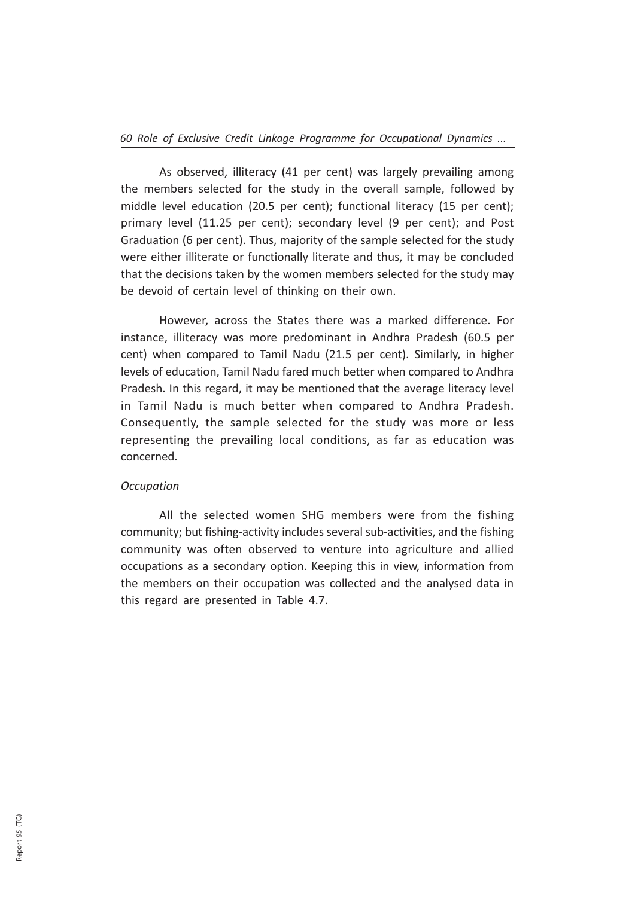As observed, illiteracy (41 per cent) was largely prevailing among the members selected for the study in the overall sample, followed by middle level education (20.5 per cent); functional literacy (15 per cent); primary level (11.25 per cent); secondary level (9 per cent); and Post Graduation (6 per cent). Thus, majority of the sample selected for the study were either illiterate or functionally literate and thus, it may be concluded that the decisions taken by the women members selected for the study may be devoid of certain level of thinking on their own.

However, across the States there was a marked difference. For instance, illiteracy was more predominant in Andhra Pradesh (60.5 per cent) when compared to Tamil Nadu (21.5 per cent). Similarly, in higher levels of education, Tamil Nadu fared much better when compared to Andhra Pradesh. In this regard, it may be mentioned that the average literacy level in Tamil Nadu is much better when compared to Andhra Pradesh. Consequently, the sample selected for the study was more or less representing the prevailing local conditions, as far as education was concerned.

#### **Occupation**

All the selected women SHG members were from the fishing community; but fishing-activity includes several sub-activities, and the fishing community was often observed to venture into agriculture and allied occupations as a secondary option. Keeping this in view, information from the members on their occupation was collected and the analysed data in this regard are presented in Table 4.7.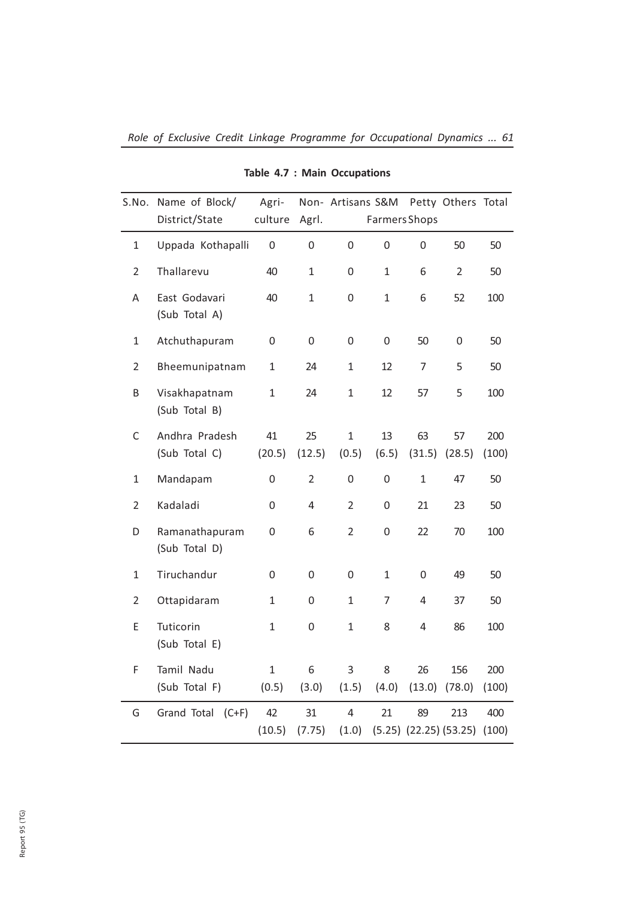| S.No.          | Name of Block/<br>District/State | Agri-<br>culture      | Agrl.            | Non- Artisans S&M Petty Others Total | Farmers Shops  |                |                                             |              |
|----------------|----------------------------------|-----------------------|------------------|--------------------------------------|----------------|----------------|---------------------------------------------|--------------|
| 1              | Uppada Kothapalli                | 0                     | 0                | 0                                    | 0              | $\mathbf 0$    | 50                                          | 50           |
| $\overline{2}$ | Thallarevu                       | 40                    | $\mathbf{1}$     | 0                                    | $\mathbf{1}$   | 6              | $\overline{2}$                              | 50           |
| A              | East Godavari<br>(Sub Total A)   | 40                    | $\mathbf{1}$     | 0                                    | $\mathbf{1}$   | 6              | 52                                          | 100          |
| $\mathbf{1}$   | Atchuthapuram                    | 0                     | $\boldsymbol{0}$ | 0                                    | 0              | 50             | 0                                           | 50           |
| $\overline{2}$ | Bheemunipatnam                   | $\mathbf{1}$          | 24               | $\mathbf{1}$                         | 12             | $\overline{7}$ | 5                                           | 50           |
| B              | Visakhapatnam<br>(Sub Total B)   | $\mathbf{1}$          | 24               | $\mathbf{1}$                         | 12             | 57             | 5                                           | 100          |
| $\mathsf C$    | Andhra Pradesh<br>(Sub Total C)  | 41<br>(20.5)          | 25<br>(12.5)     | $\mathbf{1}$<br>(0.5)                | 13<br>(6.5)    | 63<br>(31.5)   | 57<br>(28.5)                                | 200<br>(100) |
| $\mathbf{1}$   | Mandapam                         | 0                     | $\overline{2}$   | 0                                    | $\mathsf 0$    | $\mathbf{1}$   | 47                                          | 50           |
| $\overline{2}$ | Kadaladi                         | 0                     | 4                | $\overline{2}$                       | 0              | 21             | 23                                          | 50           |
| D              | Ramanathapuram<br>(Sub Total D)  | 0                     | 6                | $\overline{2}$                       | 0              | 22             | 70                                          | 100          |
| 1              | Tiruchandur                      | 0                     | 0                | 0                                    | 1              | 0              | 49                                          | 50           |
| $\overline{2}$ | Ottapidaram                      | $\mathbf{1}$          | 0                | $\mathbf{1}$                         | $\overline{7}$ | $\overline{4}$ | 37                                          | 50           |
| E              | Tuticorin<br>(Sub Total E)       | $\mathbf{1}$          | 0                | $\mathbf{1}$                         | 8              | $\overline{4}$ | 86                                          | 100          |
| F              | Tamil Nadu<br>(Sub Total F)      | $\mathbf{1}$<br>(0.5) | 6<br>(3.0)       | 3<br>(1.5)                           | 8<br>(4.0)     | 26<br>(13.0)   | 156<br>(78.0)                               | 200<br>(100) |
| G              | Grand Total (C+F)                | 42<br>(10.5)          | 31<br>(7.75)     | 4<br>(1.0)                           | 21             | 89             | 213<br>$(5.25)$ $(22.25)$ $(53.25)$ $(100)$ | 400          |

Table 4.7 : Main Occupations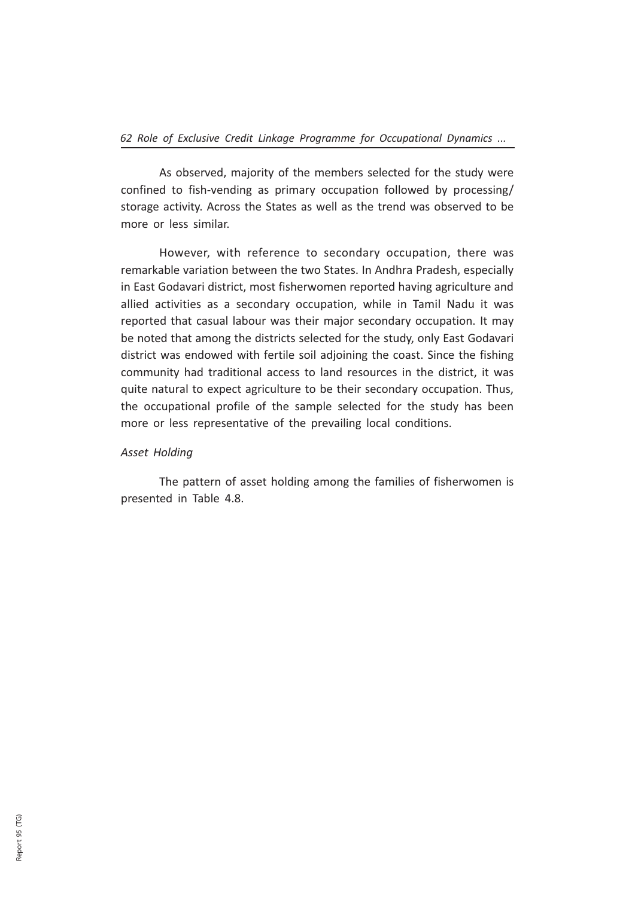As observed, majority of the members selected for the study were confined to fish-vending as primary occupation followed by processing/ storage activity. Across the States as well as the trend was observed to be more or less similar.

However, with reference to secondary occupation, there was remarkable variation between the two States. In Andhra Pradesh, especially in East Godavari district, most fisherwomen reported having agriculture and allied activities as a secondary occupation, while in Tamil Nadu it was reported that casual labour was their major secondary occupation. It may be noted that among the districts selected for the study, only East Godavari district was endowed with fertile soil adjoining the coast. Since the fishing community had traditional access to land resources in the district, it was quite natural to expect agriculture to be their secondary occupation. Thus, the occupational profile of the sample selected for the study has been more or less representative of the prevailing local conditions.

## Asset Holding

The pattern of asset holding among the families of fisherwomen is presented in Table 4.8.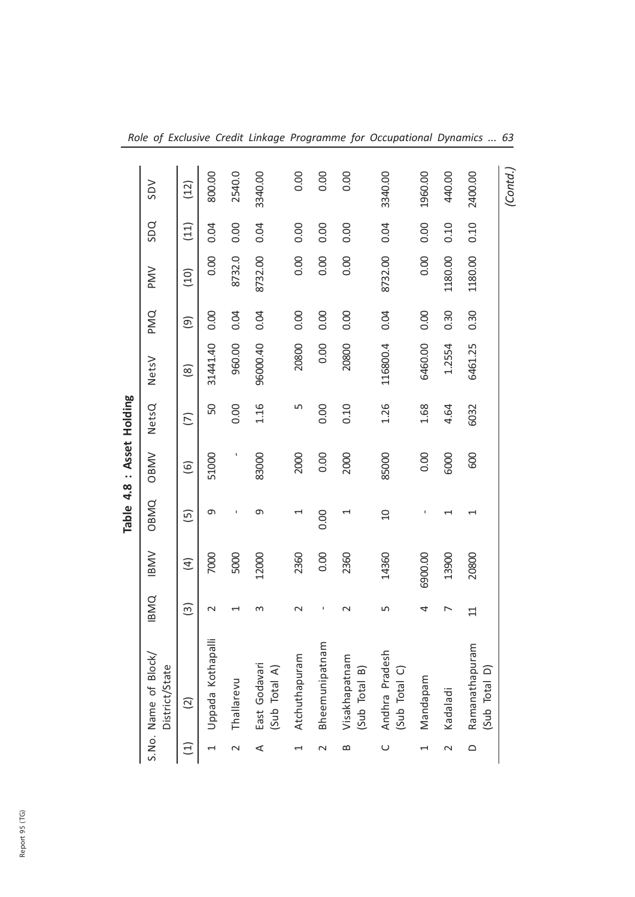|                 | <b>SDV</b>                            | (12)                                                | 800.00           | 2540.0     | 3340.00                        | 0.00                     | 0.00           | 0.00                           | 3340.00                         | 1960.00  | 440.00   | 2400.00                         | (Contd., |
|-----------------|---------------------------------------|-----------------------------------------------------|------------------|------------|--------------------------------|--------------------------|----------------|--------------------------------|---------------------------------|----------|----------|---------------------------------|----------|
|                 | SDQ                                   | (11)                                                | 0.04             | 0.00       | 0.04                           | 0.00                     | 0.00           | 0.00                           | 0.04                            | 0.00     | 0.10     | 0.10                            |          |
|                 | PMV                                   | (10)                                                | 0.00             | 8732.0     | 8732.00                        | 0.00                     | 0.00           | 0.00                           | 8732.00                         | 0.00     | 1180.00  | 1180.00                         |          |
|                 | PMQ                                   | $\left( \begin{matrix} 0 \\ 0 \end{matrix} \right)$ | 0.00             | 0.04       | 0.04                           | 0.00                     | 0.00           | 0.00                           | 0.04                            | 0.00     | 0.30     | 0.30                            |          |
|                 | NetsV                                 | $\left( 8\right)$                                   | 31441.40         | 960.00     | 96000.40                       | 20800                    | 0.00           | 20800                          | 116800.4                        | 6460.00  | 1.2554   | 6461.25                         |          |
| : Asset Holding | NetsQ                                 | (7)                                                 | 50               | 0.00       | 1.16                           | ഹ                        | 0.00           | 0.10                           | 1.26                            | 1.68     | 4.64     | 6032                            |          |
|                 | <b>OBMV</b>                           | $\overline{6}$                                      | 51000            |            | 83000                          | 2000                     | 0.00           | 2000                           | 85000                           | 0.00     | 6000     | 600                             |          |
| Table 4.8       | <b>OBMQ</b>                           | $\overline{5}$                                      | თ                |            | Φ                              | $\overline{\phantom{0}}$ | 0.00           |                                | g                               | ı        |          | $\overline{\phantom{0}}$        |          |
|                 | <b>IBMV</b>                           | $\left( 4\right)$                                   | 7000             | 5000       | 12000                          | 2360                     | 0.00           | 2360                           | 14360                           | 6900.00  | 13900    | 20800                           |          |
|                 | <b>IBMQ</b>                           | $\widetilde{\Xi}$                                   | $\sim$           |            | m                              | $\sim$                   | J.             | $\sim$                         | ь                               | 4        | ↖        | $\Xi$                           |          |
|                 | S.No. Name of Block<br>District/State | $\widetilde{c}$                                     | Uppada Kothapall | Thallarevu | East Godavari<br>(Sub Total A) | Atchuthapuram            | Bheemunipatnam | Visakhapatnam<br>(Sub Total B) | Andhra Pradesh<br>(Sub Total C) | Mandapam | Kadaladi | Ramanathapuram<br>(Sub Total D) |          |
|                 |                                       | $\widehat{\Xi}$                                     |                  | $\sim$     | $\prec$                        | $\overline{\phantom{0}}$ | $\sim$         | $\bf{m}$                       | $\cup$                          | 1        | $\sim$   | $\bigcirc$                      |          |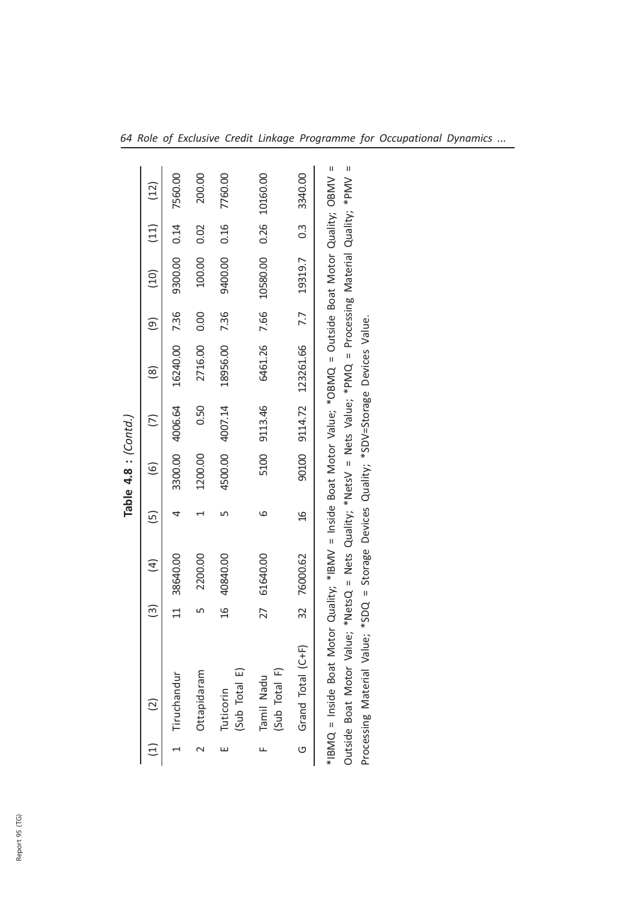|   |                                                                                                                                                                                                                                                                                                                              |                   |                         |               | Table $4.8$ : (Contd.) |                 |               |      |              |               |          |
|---|------------------------------------------------------------------------------------------------------------------------------------------------------------------------------------------------------------------------------------------------------------------------------------------------------------------------------|-------------------|-------------------------|---------------|------------------------|-----------------|---------------|------|--------------|---------------|----------|
|   |                                                                                                                                                                                                                                                                                                                              | $\widetilde{\Xi}$ | $\widehat{\mathcal{A}}$ | $\tilde{e}$   | $\widetilde{\circ}$    |                 | ၜႍ            | ම    | (10)         | (11)          | (12)     |
|   | Tiruchandur                                                                                                                                                                                                                                                                                                                  | $\Xi$             | 38640.00                |               |                        | 3300.00 4006.64 | 16240.00 7.36 |      | 9300.00 0.14 |               | 7560.00  |
|   | Ottapidaram                                                                                                                                                                                                                                                                                                                  |                   | 2200.00                 |               | 1200.00                | 0.50            | 2716.00       | 0.00 | 100.00       | 0.02          | 200.00   |
| ш | (Sub Total E)<br>Tuticorin                                                                                                                                                                                                                                                                                                   | $\frac{9}{2}$     | 40840.00                |               | 4500.00                | 4007.14         | 18956.00 7.36 |      | 9400.00      | 0.16          | 7760.00  |
| щ | (Sub Total F)<br>Tamil Nadu                                                                                                                                                                                                                                                                                                  | 27                | 61640.00                | ဖ             | 5100                   | 9113.46         | 6461.26 7.66  |      | 10580.00     | 0.26          | 10160.00 |
| ပ | Grand Total (C+F)                                                                                                                                                                                                                                                                                                            | 32                | 76000.62                | $\frac{6}{1}$ | 90100                  | 9114.72         | 123261.66     | 7.7  | 19319.7      | $\frac{3}{2}$ | 3340.00  |
|   | *IBMQ = Inside Boat Motor Quality; *IBMV = Inside Boat Motor Value; *OBMQ = Outside Boat Motor Quality; OBMV =<br>Outside Boat Motor Value; *NetsQ = Nets Quality; *NetsV = Nets Value; *PMQ = Processing Material Quality; *PMV =<br>Processing Material Value; *SDQ = Storage Devices Quality; *SDV=Storage Devices Value. |                   |                         |               |                        |                 |               |      |              |               |          |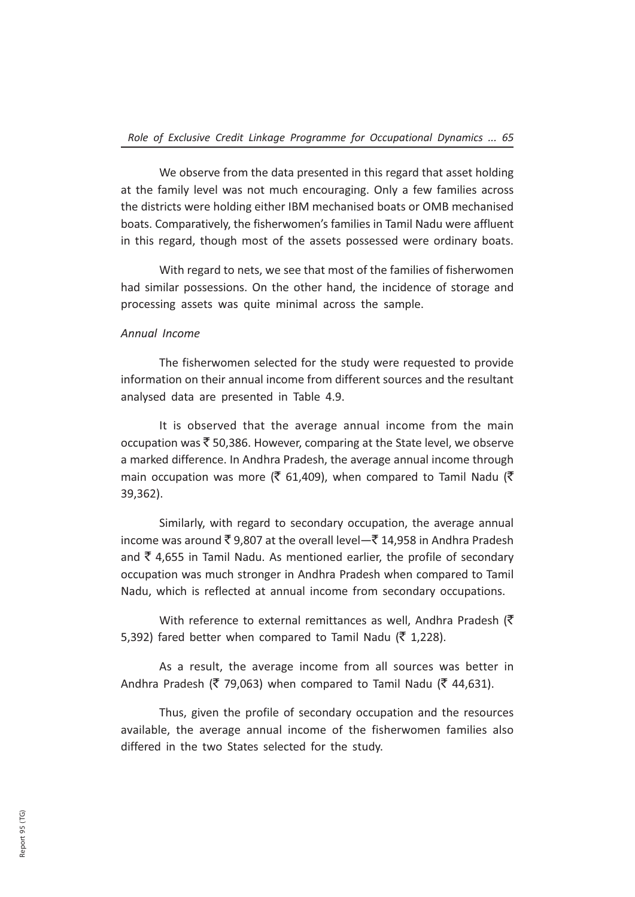We observe from the data presented in this regard that asset holding at the family level was not much encouraging. Only a few families across the districts were holding either IBM mechanised boats or OMB mechanised boats. Comparatively, the fisherwomen's families in Tamil Nadu were affluent in this regard, though most of the assets possessed were ordinary boats.

With regard to nets, we see that most of the families of fisherwomen had similar possessions. On the other hand, the incidence of storage and processing assets was quite minimal across the sample.

### Annual Income

The fisherwomen selected for the study were requested to provide information on their annual income from different sources and the resultant analysed data are presented in Table 4.9.

It is observed that the average annual income from the main occupation was  $\bar{\mathfrak{S}}$  50,386. However, comparing at the State level, we observe a marked difference. In Andhra Pradesh, the average annual income through main occupation was more (₹ 61,409), when compared to Tamil Nadu (₹ 39,362).

Similarly, with regard to secondary occupation, the average annual income was around  $\bar{\xi}$  9,807 at the overall level— $\bar{\xi}$  14,958 in Andhra Pradesh and  $\bar{\tau}$  4,655 in Tamil Nadu. As mentioned earlier, the profile of secondary occupation was much stronger in Andhra Pradesh when compared to Tamil Nadu, which is reflected at annual income from secondary occupations.

With reference to external remittances as well, Andhra Pradesh ( $\bar{\tau}$ 5,392) fared better when compared to Tamil Nadu ( $\bar{z}$  1,228).

As a result, the average income from all sources was better in Andhra Pradesh ( $\bar{\zeta}$  79,063) when compared to Tamil Nadu ( $\bar{\zeta}$  44,631).

Thus, given the profile of secondary occupation and the resources available, the average annual income of the fisherwomen families also differed in the two States selected for the study.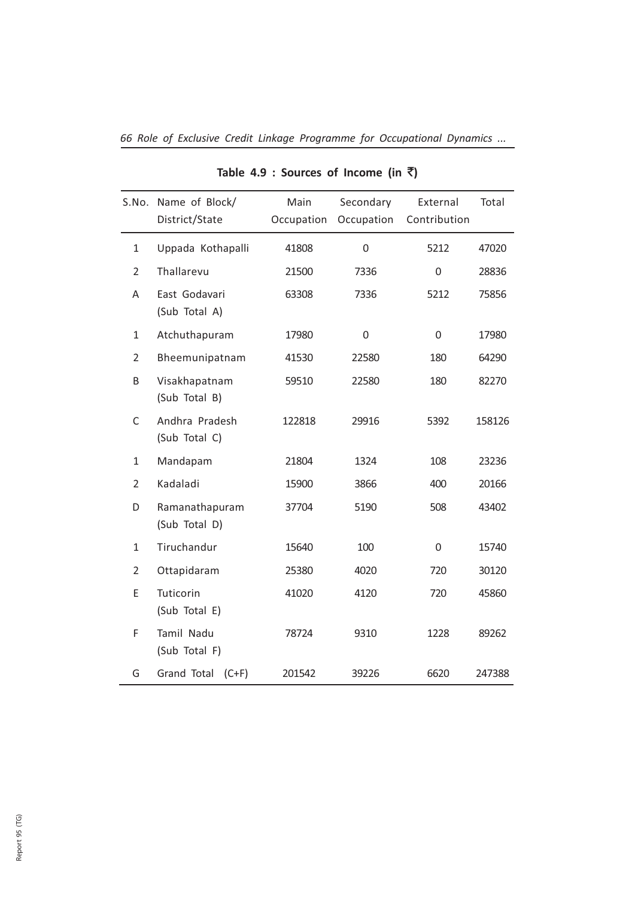|                | S.No. Name of Block/<br>District/State | Main<br>Occupation | Secondary<br>Occupation | External<br>Contribution | Total  |
|----------------|----------------------------------------|--------------------|-------------------------|--------------------------|--------|
| $\mathbf{1}$   | Uppada Kothapalli                      | 41808              | $\mathbf 0$             | 5212                     | 47020  |
| $\overline{2}$ | Thallarevu                             | 21500              | 7336                    | 0                        | 28836  |
| A              | East Godavari<br>(Sub Total A)         | 63308              | 7336                    | 5212                     | 75856  |
| $\mathbf{1}$   | Atchuthapuram                          | 17980              | $\mathbf 0$             | 0                        | 17980  |
| $\overline{2}$ | Bheemunipatnam                         | 41530              | 22580                   | 180                      | 64290  |
| B              | Visakhapatnam<br>(Sub Total B)         | 59510              | 22580                   | 180                      | 82270  |
| C              | Andhra Pradesh<br>(Sub Total C)        | 122818             | 29916                   | 5392                     | 158126 |
| $\mathbf{1}$   | Mandapam                               | 21804              | 1324                    | 108                      | 23236  |
| $\overline{2}$ | Kadaladi                               | 15900              | 3866                    | 400                      | 20166  |
| D              | Ramanathapuram<br>(Sub Total D)        | 37704              | 5190                    | 508                      | 43402  |
| $\mathbf{1}$   | Tiruchandur                            | 15640              | 100                     | 0                        | 15740  |
| $\overline{2}$ | Ottapidaram                            | 25380              | 4020                    | 720                      | 30120  |
| E              | Tuticorin<br>(Sub Total E)             | 41020              | 4120                    | 720                      | 45860  |
| F              | Tamil Nadu<br>(Sub Total F)            | 78724              | 9310                    | 1228                     | 89262  |
| G              | Grand Total<br>$(C+F)$                 | 201542             | 39226                   | 6620                     | 247388 |

## Table 4.9 : Sources of Income (in  $\bar{z}$ )

66 Role of Exclusive Credit Linkage Programme for Occupational Dynamics ...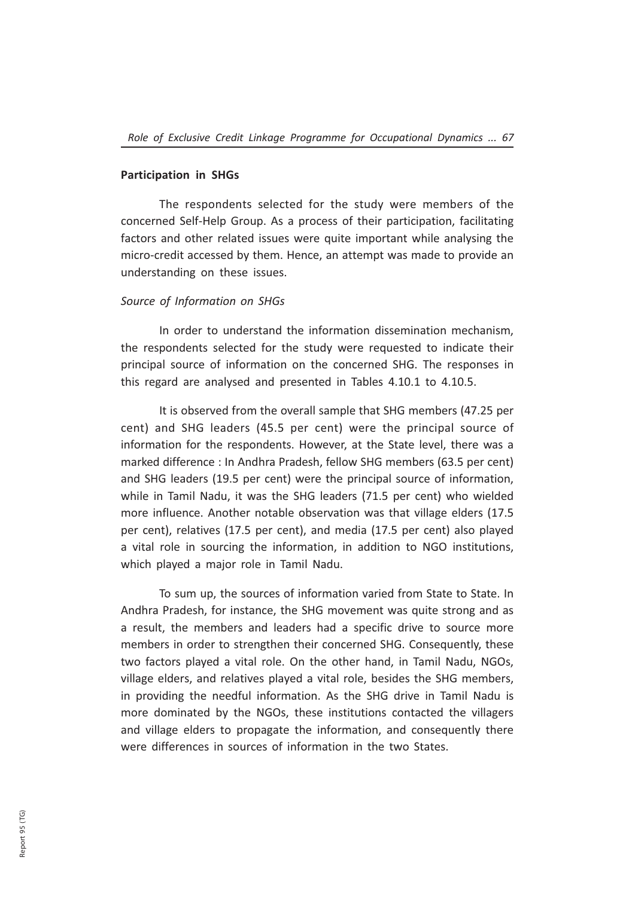#### Participation in SHGs

The respondents selected for the study were members of the concerned Self-Help Group. As a process of their participation, facilitating factors and other related issues were quite important while analysing the micro-credit accessed by them. Hence, an attempt was made to provide an understanding on these issues.

#### Source of Information on SHGs

In order to understand the information dissemination mechanism, the respondents selected for the study were requested to indicate their principal source of information on the concerned SHG. The responses in this regard are analysed and presented in Tables 4.10.1 to 4.10.5.

It is observed from the overall sample that SHG members (47.25 per cent) and SHG leaders (45.5 per cent) were the principal source of information for the respondents. However, at the State level, there was a marked difference : In Andhra Pradesh, fellow SHG members (63.5 per cent) and SHG leaders (19.5 per cent) were the principal source of information, while in Tamil Nadu, it was the SHG leaders (71.5 per cent) who wielded more influence. Another notable observation was that village elders (17.5 per cent), relatives (17.5 per cent), and media (17.5 per cent) also played a vital role in sourcing the information, in addition to NGO institutions, which played a major role in Tamil Nadu.

To sum up, the sources of information varied from State to State. In Andhra Pradesh, for instance, the SHG movement was quite strong and as a result, the members and leaders had a specific drive to source more members in order to strengthen their concerned SHG. Consequently, these two factors played a vital role. On the other hand, in Tamil Nadu, NGOs, village elders, and relatives played a vital role, besides the SHG members, in providing the needful information. As the SHG drive in Tamil Nadu is more dominated by the NGOs, these institutions contacted the villagers and village elders to propagate the information, and consequently there were differences in sources of information in the two States.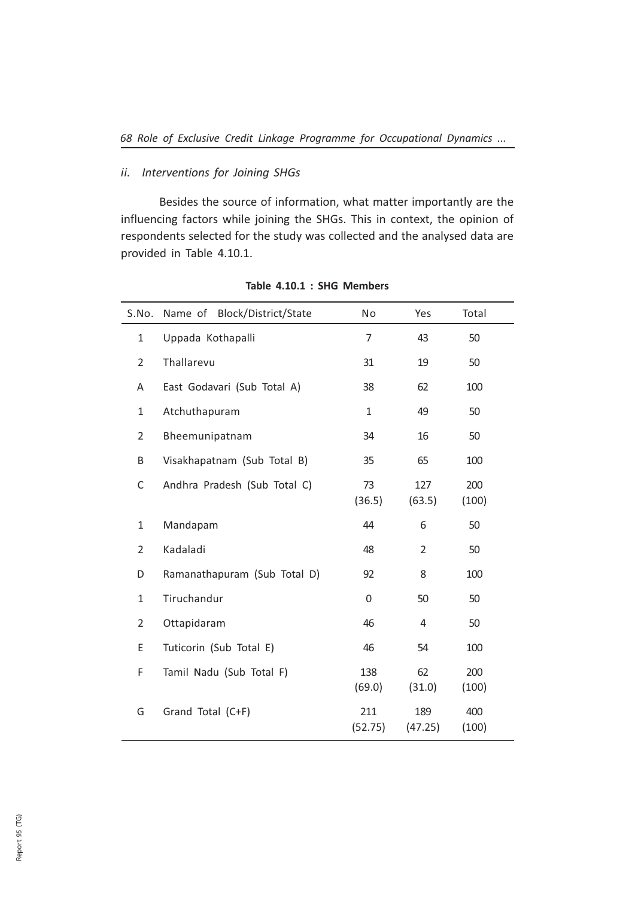## ii. Interventions for Joining SHGs

Besides the source of information, what matter importantly are the influencing factors while joining the SHGs. This in context, the opinion of respondents selected for the study was collected and the analysed data are provided in Table 4.10.1.

| S.No.          | Block/District/State<br>Name of | No             | Yes            | Total        |
|----------------|---------------------------------|----------------|----------------|--------------|
| $\mathbf{1}$   | Uppada Kothapalli               | $\overline{7}$ | 43             | 50           |
| $\overline{2}$ | Thallarevu                      | 31             | 19             | 50           |
| Α              | East Godavari (Sub Total A)     | 38             | 62             | 100          |
| $\mathbf{1}$   | Atchuthapuram                   | $\mathbf{1}$   | 49             | 50           |
| $\overline{2}$ | Bheemunipatnam                  | 34             | 16             | 50           |
| B              | Visakhapatnam (Sub Total B)     | 35             | 65             | 100          |
| C              | Andhra Pradesh (Sub Total C)    | 73<br>(36.5)   | 127<br>(63.5)  | 200<br>(100) |
| $\mathbf{1}$   | Mandapam                        | 44             | 6              | 50           |
| $\overline{2}$ | Kadaladi                        | 48             | $\overline{2}$ | 50           |
| D              | Ramanathapuram (Sub Total D)    | 92             | 8              | 100          |
| 1              | Tiruchandur                     | $\Omega$       | 50             | 50           |
| $\overline{2}$ | Ottapidaram                     | 46             | 4              | 50           |
| E              | Tuticorin (Sub Total E)         | 46             | 54             | 100          |
| F              | Tamil Nadu (Sub Total F)        | 138<br>(69.0)  | 62<br>(31.0)   | 200<br>(100) |
| G              | Grand Total (C+F)               | 211<br>(52.75) | 189<br>(47.25) | 400<br>(100) |

Table 4.10.1 : SHG Members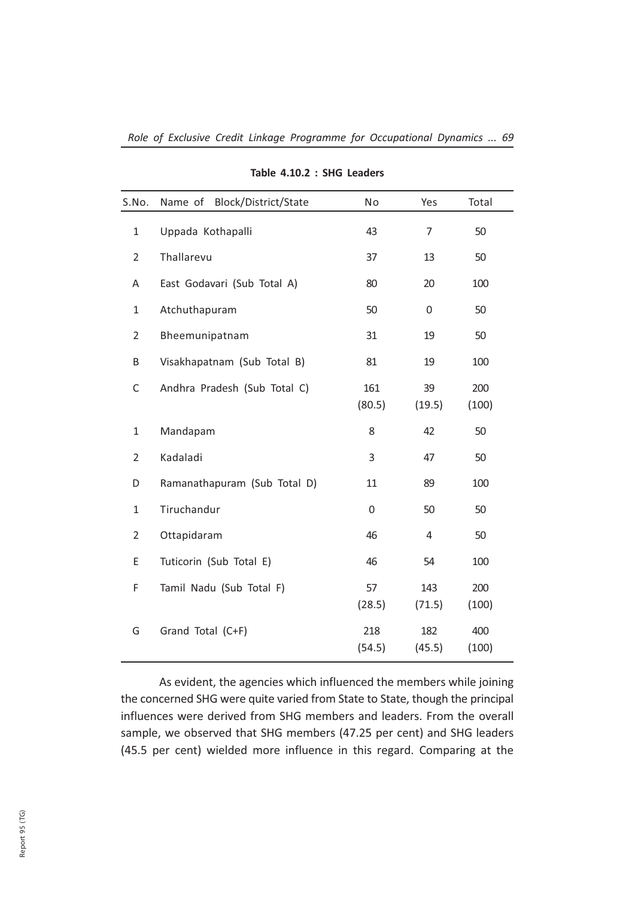| Block/District/State<br>Name of | No            | Yes            | Total        |
|---------------------------------|---------------|----------------|--------------|
| Uppada Kothapalli               | 43            | $\overline{7}$ | 50           |
| Thallarevu                      | 37            | 13             | 50           |
| East Godavari (Sub Total A)     | 80            | 20             | 100          |
| Atchuthapuram                   | 50            | $\mathbf 0$    | 50           |
| Bheemunipatnam                  | 31            | 19             | 50           |
| Visakhapatnam (Sub Total B)     | 81            | 19             | 100          |
| Andhra Pradesh (Sub Total C)    | 161<br>(80.5) | 39<br>(19.5)   | 200<br>(100) |
| Mandapam                        | 8             | 42             | 50           |
| Kadaladi                        | 3             | 47             | 50           |
| Ramanathapuram (Sub Total D)    | 11            | 89             | 100          |
| Tiruchandur                     | 0             | 50             | 50           |
| Ottapidaram                     | 46            | $\overline{4}$ | 50           |
| Tuticorin (Sub Total E)         | 46            | 54             | 100          |
| Tamil Nadu (Sub Total F)        | 57<br>(28.5)  | 143<br>(71.5)  | 200<br>(100) |
| Grand Total (C+F)               | 218<br>(54.5) | 182<br>(45.5)  | 400<br>(100) |
|                                 |               |                |              |

## Table 4.10.2 : SHG Leaders

As evident, the agencies which influenced the members while joining the concerned SHG were quite varied from State to State, though the principal influences were derived from SHG members and leaders. From the overall sample, we observed that SHG members (47.25 per cent) and SHG leaders (45.5 per cent) wielded more influence in this regard. Comparing at the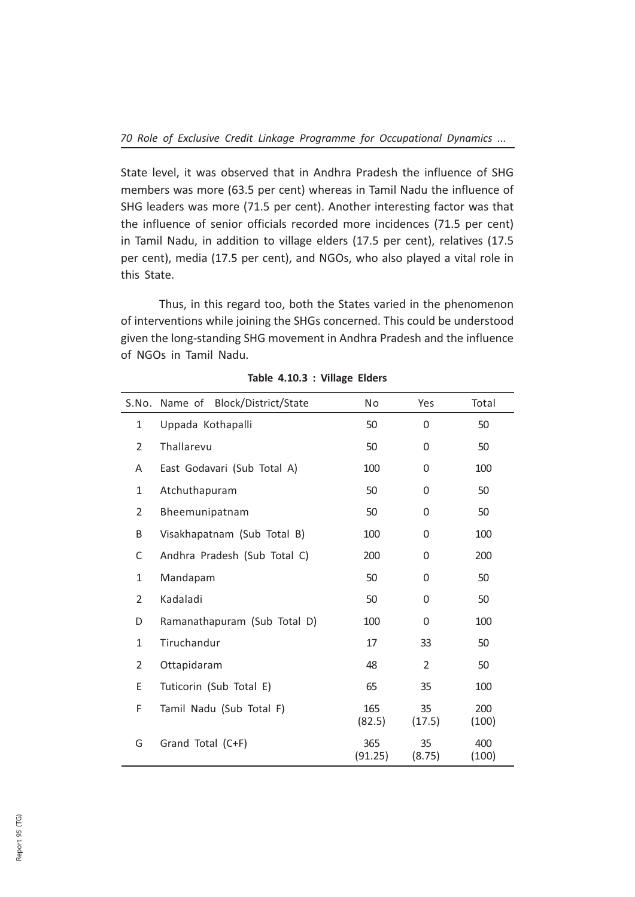State level, it was observed that in Andhra Pradesh the influence of SHG members was more (63.5 per cent) whereas in Tamil Nadu the influence of SHG leaders was more (71.5 per cent). Another interesting factor was that the influence of senior officials recorded more incidences (71.5 per cent) in Tamil Nadu, in addition to village elders (17.5 per cent), relatives (17.5 per cent), media (17.5 per cent), and NGOs, who also played a vital role in this State.

Thus, in this regard too, both the States varied in the phenomenon of interventions while joining the SHGs concerned. This could be understood given the long-standing SHG movement in Andhra Pradesh and the influence of NGOs in Tamil Nadu.

| S.No.          | Name of Block/District/State | No             | Yes            | Total        |
|----------------|------------------------------|----------------|----------------|--------------|
| 1              | Uppada Kothapalli            | 50             | 0              | 50           |
| $\overline{2}$ | Thallarevu                   | 50             | 0              | 50           |
| A              | East Godavari (Sub Total A)  | 100            | 0              | 100          |
| 1              | Atchuthapuram                | 50             | 0              | 50           |
| 2              | Bheemunipatnam               | 50             | 0              | 50           |
| B              | Visakhapatnam (Sub Total B)  | 100            | 0              | 100          |
| C              | Andhra Pradesh (Sub Total C) | 200            | $\Omega$       | 200          |
| $\mathbf{1}$   | Mandapam                     | 50             | 0              | 50           |
| $\overline{2}$ | Kadaladi                     | 50             | 0              | 50           |
| D              | Ramanathapuram (Sub Total D) | 100            | 0              | 100          |
| 1              | Tiruchandur                  | 17             | 33             | 50           |
| 2              | Ottapidaram                  | 48             | $\overline{2}$ | 50           |
| E              | Tuticorin (Sub Total E)      | 65             | 35             | 100          |
| F              | Tamil Nadu (Sub Total F)     | 165<br>(82.5)  | 35<br>(17.5)   | 200<br>(100) |
| G              | Grand Total (C+F)            | 365<br>(91.25) | 35<br>(8.75)   | 400<br>(100) |

Table 4.10.3 : Village Elders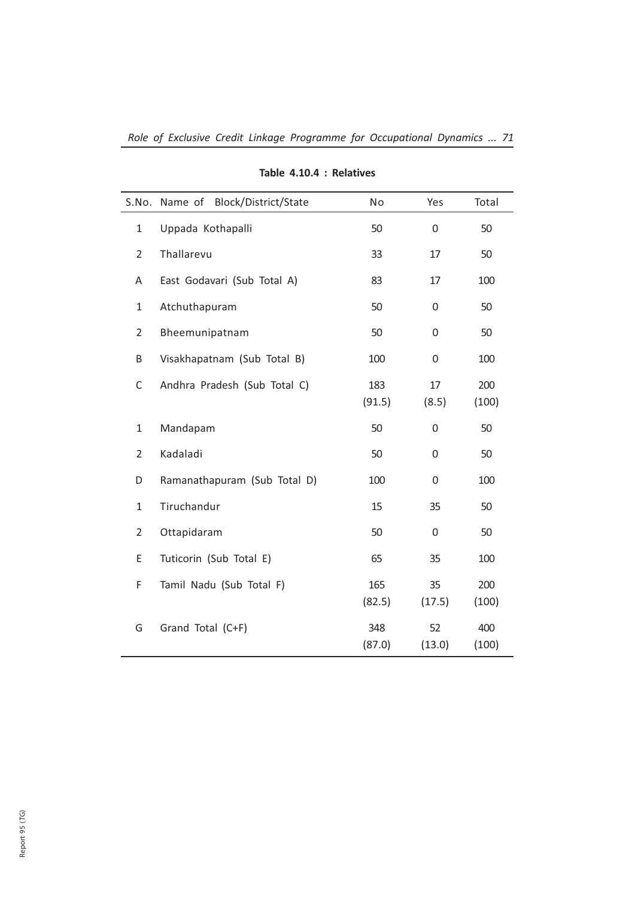| S.No.          | Block/District/State<br>Name of | No            | Yes          | Total        |
|----------------|---------------------------------|---------------|--------------|--------------|
| $\mathbf{1}$   | Uppada Kothapalli               | 50            | $\mathbf 0$  | 50           |
| $\overline{2}$ | Thallarevu                      | 33            | 17           | 50           |
| A              | East Godavari (Sub Total A)     | 83            | 17           | 100          |
| $\mathbf{1}$   | Atchuthapuram                   | 50            | 0            | 50           |
| $\overline{2}$ | Bheemunipatnam                  | 50            | 0            | 50           |
| B              | Visakhapatnam (Sub Total B)     | 100           | 0            | 100          |
| $\mathsf C$    | Andhra Pradesh (Sub Total C)    | 183<br>(91.5) | 17<br>(8.5)  | 200<br>(100) |
| $\mathbf{1}$   | Mandapam                        | 50            | $\mathbf 0$  | 50           |
| $\overline{2}$ | Kadaladi                        | 50            | 0            | 50           |
| D              | Ramanathapuram (Sub Total D)    | 100           | 0            | 100          |
| $\mathbf{1}$   | Tiruchandur                     | 15            | 35           | 50           |
| $\overline{2}$ | Ottapidaram                     | 50            | 0            | 50           |
| Е              | Tuticorin (Sub Total E)         | 65            | 35           | 100          |
| F              | Tamil Nadu (Sub Total F)        | 165<br>(82.5) | 35<br>(17.5) | 200<br>(100) |
| G              | Grand Total (C+F)               | 348<br>(87.0) | 52<br>(13.0) | 400<br>(100) |

## Table 4.10.4 : Relatives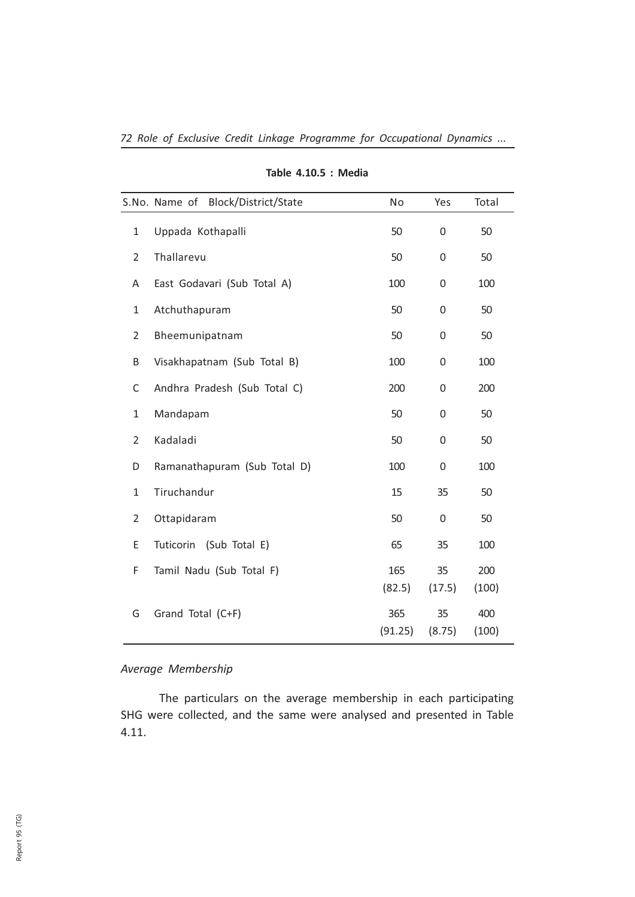|                | S.No. Name of Block/District/State | No             | Yes          | Total        |
|----------------|------------------------------------|----------------|--------------|--------------|
| 1              | Uppada Kothapalli                  | 50             | 0            | 50           |
| $\overline{2}$ | Thallarevu                         | 50             | 0            | 50           |
| A              | East Godavari (Sub Total A)        | 100            | $\Omega$     | 100          |
| 1              | Atchuthapuram                      | 50             | 0            | 50           |
| $\overline{2}$ | Bheemunipatnam                     | 50             | 0            | 50           |
| B              | Visakhapatnam (Sub Total B)        | 100            | 0            | 100          |
| C              | Andhra Pradesh (Sub Total C)       | 200            | 0            | 200          |
| $\mathbf{1}$   | Mandapam                           | 50             | 0            | 50           |
| $\overline{2}$ | Kadaladi                           | 50             | 0            | 50           |
| D              | Ramanathapuram (Sub Total D)       | 100            | 0            | 100          |
| 1              | Tiruchandur                        | 15             | 35           | 50           |
| 2              | Ottapidaram                        | 50             | 0            | 50           |
| Ε              | Tuticorin (Sub Total E)            | 65             | 35           | 100          |
| F              | Tamil Nadu (Sub Total F)           | 165<br>(82.5)  | 35<br>(17.5) | 200<br>(100) |
| G              | Grand Total (C+F)                  | 365<br>(91.25) | 35<br>(8.75) | 400<br>(100) |

## Table 4.10.5 : Media

## Average Membership

The particulars on the average membership in each participating SHG were collected, and the same were analysed and presented in Table 4.11.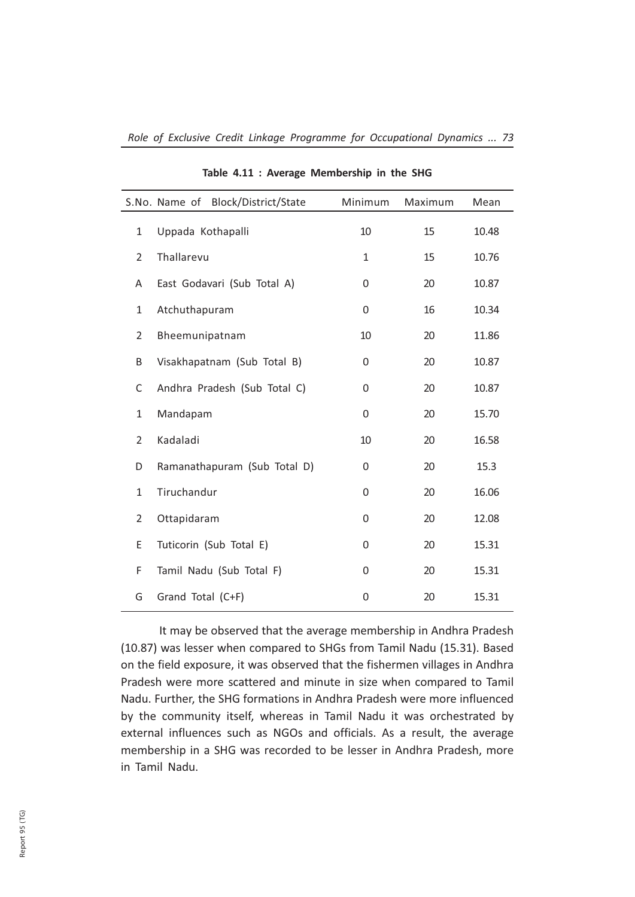|                | S.No. Name of Block/District/State | Minimum | Maximum | Mean  |
|----------------|------------------------------------|---------|---------|-------|
| $\mathbf{1}$   | Uppada Kothapalli                  | 10      | 15      | 10.48 |
| $\overline{2}$ | Thallarevu                         | 1       | 15      | 10.76 |
| A              | East Godavari (Sub Total A)        | 0       | 20      | 10.87 |
| 1              | Atchuthapuram                      | 0       | 16      | 10.34 |
| $\overline{2}$ | Bheemunipatnam                     | 10      | 20      | 11.86 |
| B              | Visakhapatnam (Sub Total B)        | 0       | 20      | 10.87 |
| C              | Andhra Pradesh (Sub Total C)       | 0       | 20      | 10.87 |
| $\mathbf{1}$   | Mandapam                           | 0       | 20      | 15.70 |
| $\overline{2}$ | Kadaladi                           | 10      | 20      | 16.58 |
| D              | Ramanathapuram (Sub Total D)       | 0       | 20      | 15.3  |
| $\mathbf{1}$   | Tiruchandur                        | 0       | 20      | 16.06 |
| $\overline{2}$ | Ottapidaram                        | 0       | 20      | 12.08 |
| E              | Tuticorin (Sub Total E)            | 0       | 20      | 15.31 |
| F              | Tamil Nadu (Sub Total F)           | 0       | 20      | 15.31 |
| G              | Grand Total (C+F)                  | 0       | 20      | 15.31 |
|                |                                    |         |         |       |

Table 4.11 : Average Membership in the SHG

It may be observed that the average membership in Andhra Pradesh (10.87) was lesser when compared to SHGs from Tamil Nadu (15.31). Based on the field exposure, it was observed that the fishermen villages in Andhra Pradesh were more scattered and minute in size when compared to Tamil Nadu. Further, the SHG formations in Andhra Pradesh were more influenced by the community itself, whereas in Tamil Nadu it was orchestrated by external influences such as NGOs and officials. As a result, the average membership in a SHG was recorded to be lesser in Andhra Pradesh, more in Tamil Nadu.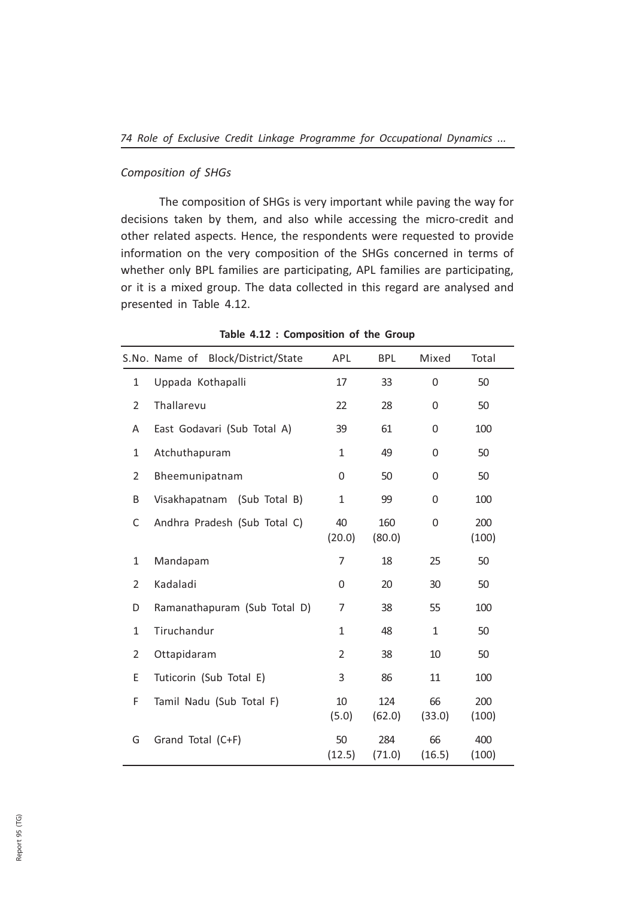#### Composition of SHGs

The composition of SHGs is very important while paving the way for decisions taken by them, and also while accessing the micro-credit and other related aspects. Hence, the respondents were requested to provide information on the very composition of the SHGs concerned in terms of whether only BPL families are participating, APL families are participating, or it is a mixed group. The data collected in this regard are analysed and presented in Table 4.12.

|                | S.No. Name of Block/District/State | APL          | <b>BPL</b>    | Mixed        | Total        |
|----------------|------------------------------------|--------------|---------------|--------------|--------------|
| $\mathbf{1}$   | Uppada Kothapalli                  | 17           | 33            | 0            | 50           |
| $\overline{2}$ | Thallarevu                         | 22           | 28            | 0            | 50           |
| Α              | East Godavari (Sub Total A)        | 39           | 61            | 0            | 100          |
| $\mathbf{1}$   | Atchuthapuram                      | $\mathbf{1}$ | 49            | $\Omega$     | 50           |
| $\overline{2}$ | Bheemunipatnam                     | 0            | 50            | 0            | 50           |
| Β              | Visakhapatnam (Sub Total B)        | $\mathbf{1}$ | 99            | 0            | 100          |
| C              | Andhra Pradesh (Sub Total C)       | 40<br>(20.0) | 160<br>(80.0) | 0            | 200<br>(100) |
| $\mathbf{1}$   | Mandapam                           | 7            | 18            | 25           | 50           |
| $\overline{2}$ | Kadaladi                           | 0            | 20            | 30           | 50           |
| D              | Ramanathapuram (Sub Total D)       | 7            | 38            | 55           | 100          |
| $\mathbf{1}$   | Tiruchandur                        | 1            | 48            | $\mathbf{1}$ | 50           |
| $\overline{2}$ | Ottapidaram                        | 2            | 38            | 10           | 50           |
| Ε              | Tuticorin (Sub Total E)            | 3            | 86            | 11           | 100          |
| F              | Tamil Nadu (Sub Total F)           | 10<br>(5.0)  | 124<br>(62.0) | 66<br>(33.0) | 200<br>(100) |
| G              | Grand Total (C+F)                  | 50<br>(12.5) | 284<br>(71.0) | 66<br>(16.5) | 400<br>(100) |

Table 4.12 : Composition of the Group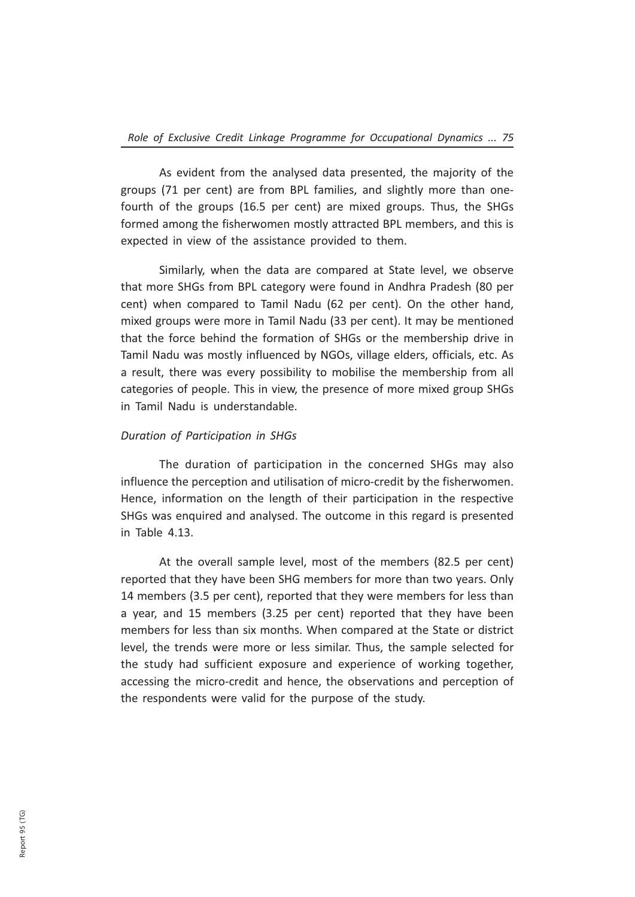As evident from the analysed data presented, the majority of the groups (71 per cent) are from BPL families, and slightly more than onefourth of the groups (16.5 per cent) are mixed groups. Thus, the SHGs formed among the fisherwomen mostly attracted BPL members, and this is expected in view of the assistance provided to them.

Similarly, when the data are compared at State level, we observe that more SHGs from BPL category were found in Andhra Pradesh (80 per cent) when compared to Tamil Nadu (62 per cent). On the other hand, mixed groups were more in Tamil Nadu (33 per cent). It may be mentioned that the force behind the formation of SHGs or the membership drive in Tamil Nadu was mostly influenced by NGOs, village elders, officials, etc. As a result, there was every possibility to mobilise the membership from all categories of people. This in view, the presence of more mixed group SHGs in Tamil Nadu is understandable.

#### Duration of Participation in SHGs

The duration of participation in the concerned SHGs may also influence the perception and utilisation of micro-credit by the fisherwomen. Hence, information on the length of their participation in the respective SHGs was enquired and analysed. The outcome in this regard is presented in Table 4.13.

At the overall sample level, most of the members (82.5 per cent) reported that they have been SHG members for more than two years. Only 14 members (3.5 per cent), reported that they were members for less than a year, and 15 members (3.25 per cent) reported that they have been members for less than six months. When compared at the State or district level, the trends were more or less similar. Thus, the sample selected for the study had sufficient exposure and experience of working together, accessing the micro-credit and hence, the observations and perception of the respondents were valid for the purpose of the study.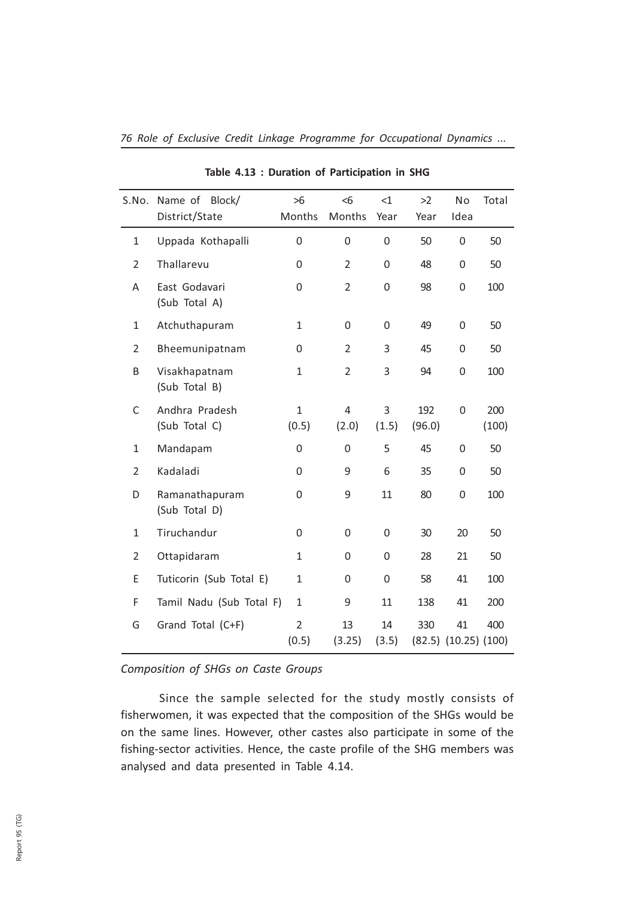| S.No.          | Name of<br>Block/<br>District/State | $>6$<br>Months          | < 6<br>Months           | <1<br>Year  | >2<br>Year                        | No<br>Idea | Total        |
|----------------|-------------------------------------|-------------------------|-------------------------|-------------|-----------------------------------|------------|--------------|
| 1              | Uppada Kothapalli                   | 0                       | $\Omega$                | 0           | 50                                | 0          | 50           |
| $\overline{2}$ | Thallarevu                          | 0                       | $\overline{2}$          | 0           | 48                                | 0          | 50           |
| A              | East Godavari<br>(Sub Total A)      | 0                       | $\overline{2}$          | $\mathbf 0$ | 98                                | 0          | 100          |
| $\mathbf{1}$   | Atchuthapuram                       | 1                       | 0                       | $\mathbf 0$ | 49                                | 0          | 50           |
| 2              | Bheemunipatnam                      | 0                       | $\overline{2}$          | 3           | 45                                | 0          | 50           |
| B              | Visakhapatnam<br>(Sub Total B)      | $\mathbf{1}$            | $\overline{2}$          | 3           | 94                                | 0          | 100          |
| C              | Andhra Pradesh<br>(Sub Total C)     | $\mathbf{1}$<br>(0.5)   | $\overline{4}$<br>(2.0) | 3<br>(1.5)  | 192<br>(96.0)                     | 0          | 200<br>(100) |
| 1              | Mandapam                            | 0                       | 0                       | 5           | 45                                | 0          | 50           |
| $\overline{2}$ | Kadaladi                            | 0                       | 9                       | 6           | 35                                | 0          | 50           |
| D              | Ramanathapuram<br>(Sub Total D)     | 0                       | 9                       | 11          | 80                                | 0          | 100          |
| $\mathbf{1}$   | Tiruchandur                         | 0                       | 0                       | $\mathbf 0$ | 30                                | 20         | 50           |
| $\overline{2}$ | Ottapidaram                         | $\mathbf{1}$            | 0                       | 0           | 28                                | 21         | 50           |
| Ε              | Tuticorin (Sub Total E)             | 1                       | 0                       | 0           | 58                                | 41         | 100          |
| F              | Tamil Nadu (Sub Total F)            | $\mathbf{1}$            | 9                       | 11          | 138                               | 41         | 200          |
| G              | Grand Total (C+F)                   | $\overline{2}$<br>(0.5) | 13<br>(3.25)            | 14<br>(3.5) | 330<br>$(82.5)$ $(10.25)$ $(100)$ | 41         | 400          |

Table 4.13 : Duration of Participation in SHG

## Composition of SHGs on Caste Groups

Since the sample selected for the study mostly consists of fisherwomen, it was expected that the composition of the SHGs would be on the same lines. However, other castes also participate in some of the fishing-sector activities. Hence, the caste profile of the SHG members was analysed and data presented in Table 4.14.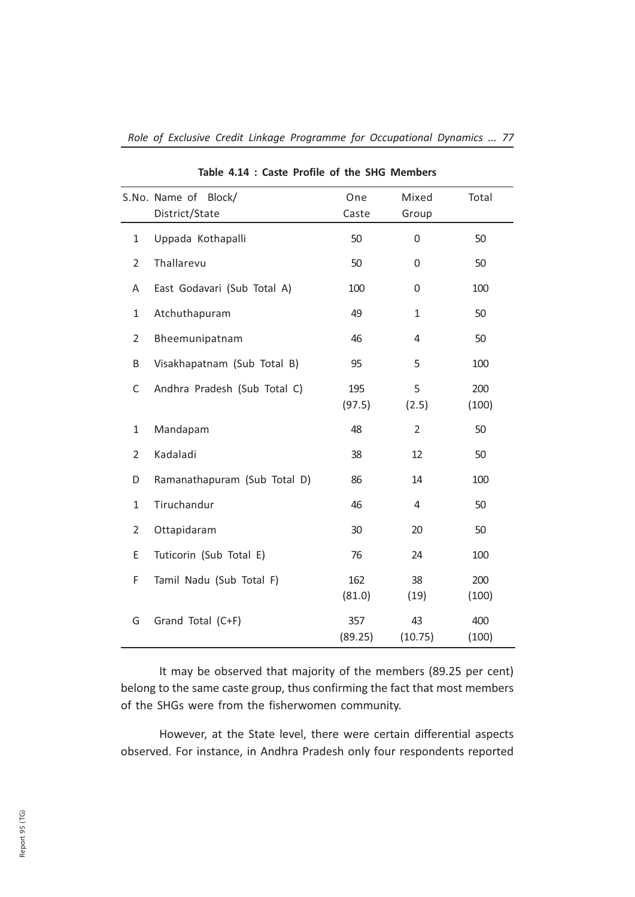|                | Block/<br>S.No. Name of<br>District/State | One<br>Caste   | Mixed<br>Group | Total        |
|----------------|-------------------------------------------|----------------|----------------|--------------|
| 1              | Uppada Kothapalli                         | 50             | 0              | 50           |
| $\overline{2}$ | Thallarevu                                | 50             | 0              | 50           |
| A              | East Godavari (Sub Total A)               | 100            | 0              | 100          |
| 1              | Atchuthapuram                             | 49             | $\mathbf{1}$   | 50           |
| 2              | Bheemunipatnam                            | 46             | 4              | 50           |
| B              | Visakhapatnam (Sub Total B)               | 95             | 5              | 100          |
| С              | Andhra Pradesh (Sub Total C)              | 195<br>(97.5)  | 5<br>(2.5)     | 200<br>(100) |
| 1              | Mandapam                                  | 48             | $\overline{2}$ | 50           |
| $\overline{2}$ | Kadaladi                                  | 38             | 12             | 50           |
| D              | Ramanathapuram (Sub Total D)              | 86             | 14             | 100          |
| 1              | Tiruchandur                               | 46             | 4              | 50           |
| 2              | Ottapidaram                               | 30             | 20             | 50           |
| E              | Tuticorin (Sub Total E)                   | 76             | 24             | 100          |
| F              | Tamil Nadu (Sub Total F)                  | 162<br>(81.0)  | 38<br>(19)     | 200<br>(100) |
| G              | Grand Total (C+F)                         | 357<br>(89.25) | 43<br>(10.75)  | 400<br>(100) |

It may be observed that majority of the members (89.25 per cent) belong to the same caste group, thus confirming the fact that most members of the SHGs were from the fisherwomen community.

However, at the State level, there were certain differential aspects observed. For instance, in Andhra Pradesh only four respondents reported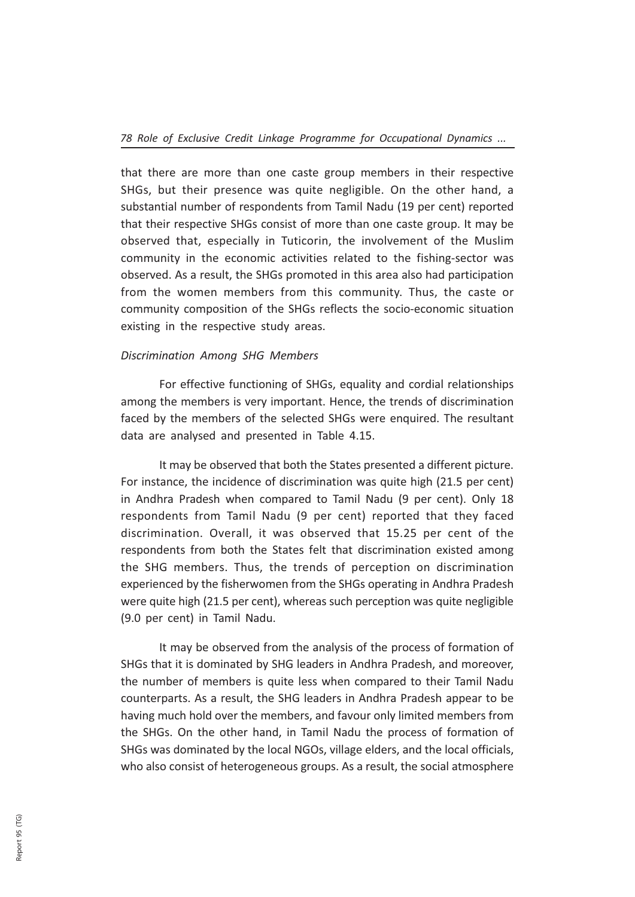that there are more than one caste group members in their respective SHGs, but their presence was quite negligible. On the other hand, a substantial number of respondents from Tamil Nadu (19 per cent) reported that their respective SHGs consist of more than one caste group. It may be observed that, especially in Tuticorin, the involvement of the Muslim community in the economic activities related to the fishing-sector was observed. As a result, the SHGs promoted in this area also had participation from the women members from this community. Thus, the caste or community composition of the SHGs reflects the socio-economic situation existing in the respective study areas.

## Discrimination Among SHG Members

For effective functioning of SHGs, equality and cordial relationships among the members is very important. Hence, the trends of discrimination faced by the members of the selected SHGs were enquired. The resultant data are analysed and presented in Table 4.15.

It may be observed that both the States presented a different picture. For instance, the incidence of discrimination was quite high (21.5 per cent) in Andhra Pradesh when compared to Tamil Nadu (9 per cent). Only 18 respondents from Tamil Nadu (9 per cent) reported that they faced discrimination. Overall, it was observed that 15.25 per cent of the respondents from both the States felt that discrimination existed among the SHG members. Thus, the trends of perception on discrimination experienced by the fisherwomen from the SHGs operating in Andhra Pradesh were quite high (21.5 per cent), whereas such perception was quite negligible (9.0 per cent) in Tamil Nadu.

It may be observed from the analysis of the process of formation of SHGs that it is dominated by SHG leaders in Andhra Pradesh, and moreover, the number of members is quite less when compared to their Tamil Nadu counterparts. As a result, the SHG leaders in Andhra Pradesh appear to be having much hold over the members, and favour only limited members from the SHGs. On the other hand, in Tamil Nadu the process of formation of SHGs was dominated by the local NGOs, village elders, and the local officials, who also consist of heterogeneous groups. As a result, the social atmosphere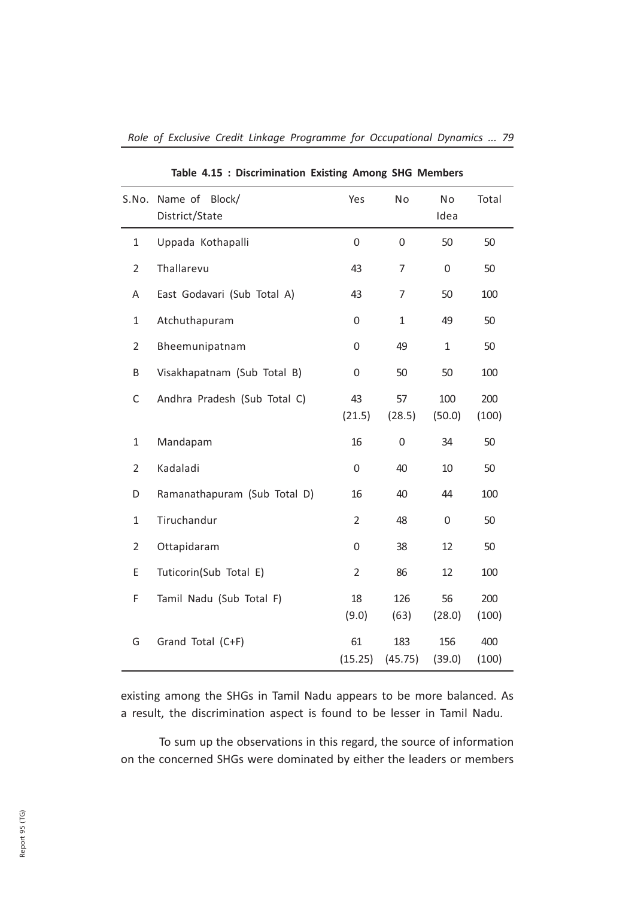| S.No.          | Name of Block/               | Yes              | No             | No            | Total        |
|----------------|------------------------------|------------------|----------------|---------------|--------------|
|                | District/State               |                  |                | Idea          |              |
| $\mathbf{1}$   | Uppada Kothapalli            | 0                | 0              | 50            | 50           |
| 2              | Thallarevu                   | 43               | 7              | 0             | 50           |
| Α              | East Godavari (Sub Total A)  | 43               | 7              | 50            | 100          |
| 1              | Atchuthapuram                | 0                | 1              | 49            | 50           |
| $\overline{2}$ | Bheemunipatnam               | 0                | 49             | $\mathbf{1}$  | 50           |
| Β              | Visakhapatnam (Sub Total B)  | 0                | 50             | 50            | 100          |
| $\mathsf C$    | Andhra Pradesh (Sub Total C) | 43<br>(21.5)     | 57<br>(28.5)   | 100<br>(50.0) | 200<br>(100) |
| 1              | Mandapam                     | 16               | 0              | 34            | 50           |
| $\overline{2}$ | Kadaladi                     | $\boldsymbol{0}$ | 40             | 10            | 50           |
| D              | Ramanathapuram (Sub Total D) | 16               | 40             | 44            | 100          |
| 1              | Tiruchandur                  | $\overline{2}$   | 48             | $\mathbf 0$   | 50           |
| 2              | Ottapidaram                  | 0                | 38             | 12            | 50           |
| E              | Tuticorin(Sub Total E)       | $\overline{2}$   | 86             | 12            | 100          |
| F              | Tamil Nadu (Sub Total F)     | 18<br>(9.0)      | 126<br>(63)    | 56<br>(28.0)  | 200<br>(100) |
| G              | Grand Total (C+F)            | 61<br>(15.25)    | 183<br>(45.75) | 156<br>(39.0) | 400<br>(100) |

Table 4.15 : Discrimination Existing Among SHG Members

existing among the SHGs in Tamil Nadu appears to be more balanced. As a result, the discrimination aspect is found to be lesser in Tamil Nadu.

To sum up the observations in this regard, the source of information on the concerned SHGs were dominated by either the leaders or members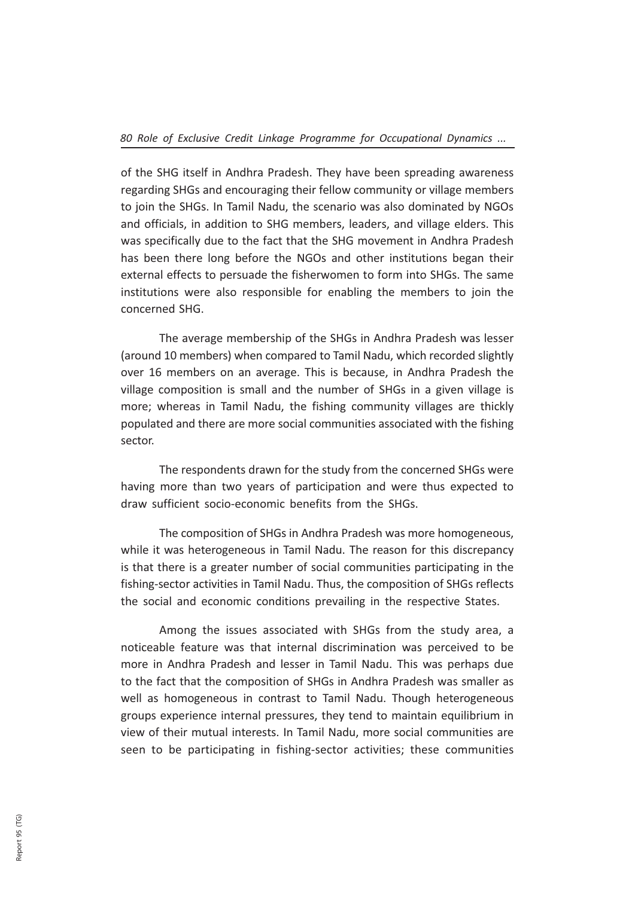of the SHG itself in Andhra Pradesh. They have been spreading awareness regarding SHGs and encouraging their fellow community or village members to join the SHGs. In Tamil Nadu, the scenario was also dominated by NGOs and officials, in addition to SHG members, leaders, and village elders. This was specifically due to the fact that the SHG movement in Andhra Pradesh has been there long before the NGOs and other institutions began their external effects to persuade the fisherwomen to form into SHGs. The same institutions were also responsible for enabling the members to join the concerned SHG.

The average membership of the SHGs in Andhra Pradesh was lesser (around 10 members) when compared to Tamil Nadu, which recorded slightly over 16 members on an average. This is because, in Andhra Pradesh the village composition is small and the number of SHGs in a given village is more; whereas in Tamil Nadu, the fishing community villages are thickly populated and there are more social communities associated with the fishing sector.

The respondents drawn for the study from the concerned SHGs were having more than two years of participation and were thus expected to draw sufficient socio-economic benefits from the SHGs.

The composition of SHGs in Andhra Pradesh was more homogeneous, while it was heterogeneous in Tamil Nadu. The reason for this discrepancy is that there is a greater number of social communities participating in the fishing-sector activities in Tamil Nadu. Thus, the composition of SHGs reflects the social and economic conditions prevailing in the respective States.

Among the issues associated with SHGs from the study area, a noticeable feature was that internal discrimination was perceived to be more in Andhra Pradesh and lesser in Tamil Nadu. This was perhaps due to the fact that the composition of SHGs in Andhra Pradesh was smaller as well as homogeneous in contrast to Tamil Nadu. Though heterogeneous groups experience internal pressures, they tend to maintain equilibrium in view of their mutual interests. In Tamil Nadu, more social communities are seen to be participating in fishing-sector activities; these communities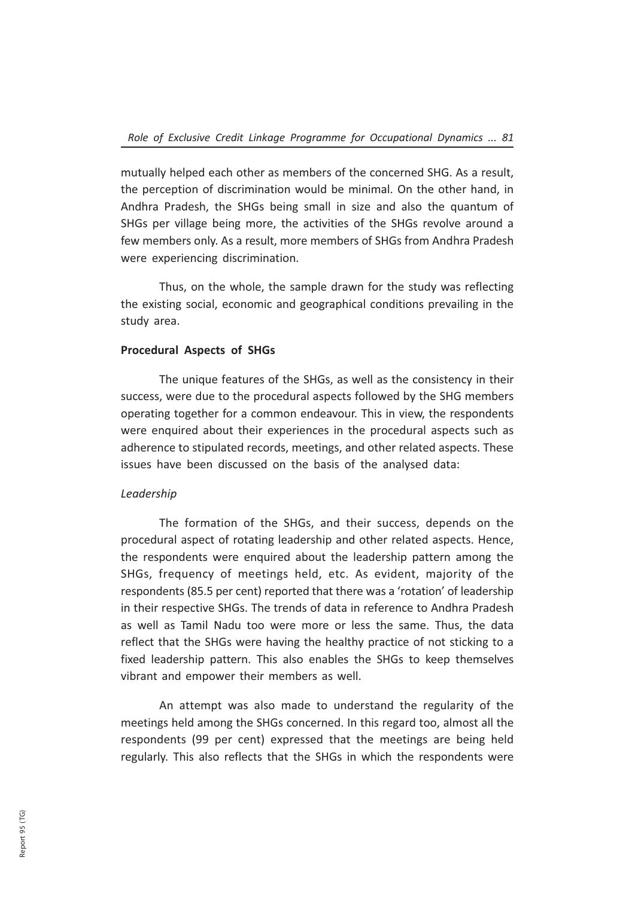mutually helped each other as members of the concerned SHG. As a result, the perception of discrimination would be minimal. On the other hand, in Andhra Pradesh, the SHGs being small in size and also the quantum of SHGs per village being more, the activities of the SHGs revolve around a few members only. As a result, more members of SHGs from Andhra Pradesh were experiencing discrimination.

Thus, on the whole, the sample drawn for the study was reflecting the existing social, economic and geographical conditions prevailing in the study area.

## Procedural Aspects of SHGs

The unique features of the SHGs, as well as the consistency in their success, were due to the procedural aspects followed by the SHG members operating together for a common endeavour. This in view, the respondents were enquired about their experiences in the procedural aspects such as adherence to stipulated records, meetings, and other related aspects. These issues have been discussed on the basis of the analysed data:

#### Leadership

The formation of the SHGs, and their success, depends on the procedural aspect of rotating leadership and other related aspects. Hence, the respondents were enquired about the leadership pattern among the SHGs, frequency of meetings held, etc. As evident, majority of the respondents (85.5 per cent) reported that there was a 'rotation' of leadership in their respective SHGs. The trends of data in reference to Andhra Pradesh as well as Tamil Nadu too were more or less the same. Thus, the data reflect that the SHGs were having the healthy practice of not sticking to a fixed leadership pattern. This also enables the SHGs to keep themselves vibrant and empower their members as well.

An attempt was also made to understand the regularity of the meetings held among the SHGs concerned. In this regard too, almost all the respondents (99 per cent) expressed that the meetings are being held regularly. This also reflects that the SHGs in which the respondents were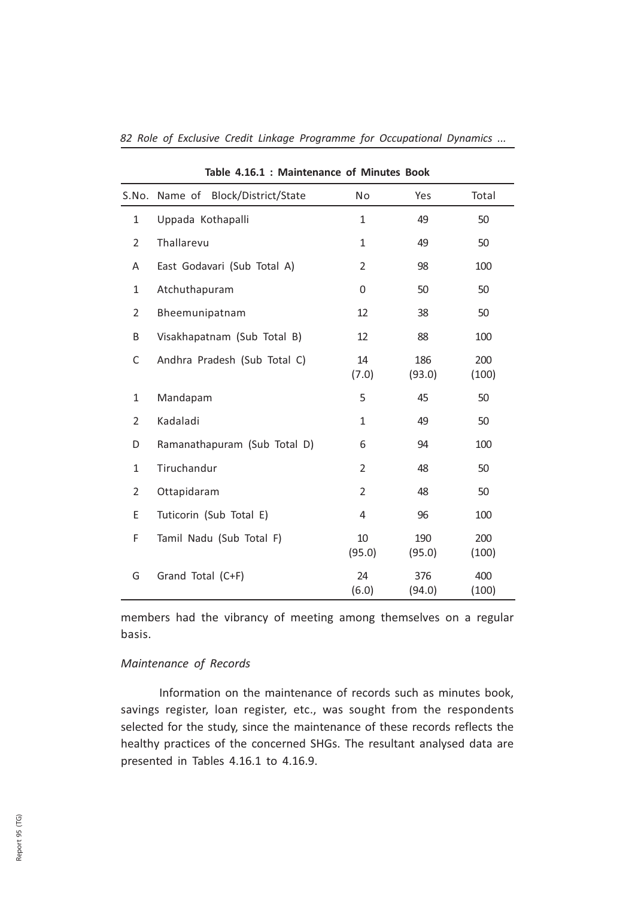|                | S.No. Name of Block/District/State | No             | Yes           | Total        |
|----------------|------------------------------------|----------------|---------------|--------------|
| $\mathbf{1}$   | Uppada Kothapalli                  | $\mathbf{1}$   | 49            | 50           |
| $\overline{2}$ | Thallarevu                         | 1              | 49            | 50           |
| Α              | East Godavari (Sub Total A)        | $\overline{2}$ | 98            | 100          |
| 1              | Atchuthapuram                      | 0              | 50            | 50           |
| 2              | Bheemunipatnam                     | 12             | 38            | 50           |
| B              | Visakhapatnam (Sub Total B)        | 12             | 88            | 100          |
| C              | Andhra Pradesh (Sub Total C)       | 14<br>(7.0)    | 186<br>(93.0) | 200<br>(100) |
| $\mathbf{1}$   | Mandapam                           | 5              | 45            | 50           |
| $\overline{2}$ | Kadaladi                           | $\mathbf{1}$   | 49            | 50           |
| D              | Ramanathapuram (Sub Total D)       | 6              | 94            | 100          |
| $\mathbf{1}$   | Tiruchandur                        | $\overline{2}$ | 48            | 50           |
| $\overline{2}$ | Ottapidaram                        | $\overline{2}$ | 48            | 50           |
| E              | Tuticorin (Sub Total E)            | 4              | 96            | 100          |
| F              | Tamil Nadu (Sub Total F)           | 10<br>(95.0)   | 190<br>(95.0) | 200<br>(100) |
| G              | Grand Total (C+F)                  | 24<br>(6.0)    | 376<br>(94.0) | 400<br>(100) |

Table 4.16.1 : Maintenance of Minutes Book

members had the vibrancy of meeting among themselves on a regular basis.

#### Maintenance of Records

Information on the maintenance of records such as minutes book, savings register, loan register, etc., was sought from the respondents selected for the study, since the maintenance of these records reflects the healthy practices of the concerned SHGs. The resultant analysed data are presented in Tables 4.16.1 to 4.16.9.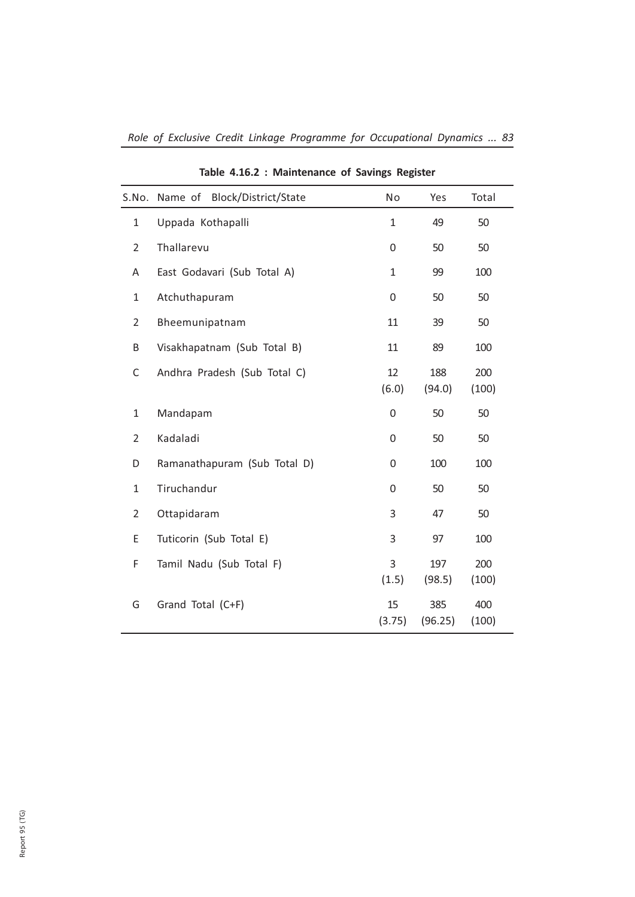| S.No.          | Name of Block/District/State | No           | Yes            | Total        |
|----------------|------------------------------|--------------|----------------|--------------|
| $\mathbf{1}$   | Uppada Kothapalli            | $\mathbf{1}$ | 49             | 50           |
| $\overline{2}$ | Thallarevu                   | 0            | 50             | 50           |
| Α              | East Godavari (Sub Total A)  | 1            | 99             | 100          |
| $\mathbf{1}$   | Atchuthapuram                | 0            | 50             | 50           |
| $\overline{2}$ | Bheemunipatnam               | 11           | 39             | 50           |
| B              | Visakhapatnam (Sub Total B)  | 11           | 89             | 100          |
| C              | Andhra Pradesh (Sub Total C) | 12<br>(6.0)  | 188<br>(94.0)  | 200<br>(100) |
| $\mathbf{1}$   | Mandapam                     | $\mathbf 0$  | 50             | 50           |
| $\overline{2}$ | Kadaladi                     | 0            | 50             | 50           |
| D              | Ramanathapuram (Sub Total D) | 0            | 100            | 100          |
| $\mathbf{1}$   | Tiruchandur                  | $\Omega$     | 50             | 50           |
| $\overline{2}$ | Ottapidaram                  | 3            | 47             | 50           |
| E              | Tuticorin (Sub Total E)      | 3            | 97             | 100          |
| F              | Tamil Nadu (Sub Total F)     | 3<br>(1.5)   | 197<br>(98.5)  | 200<br>(100) |
| G              | Grand Total (C+F)            | 15<br>(3.75) | 385<br>(96.25) | 400<br>(100) |

Table 4.16.2 : Maintenance of Savings Register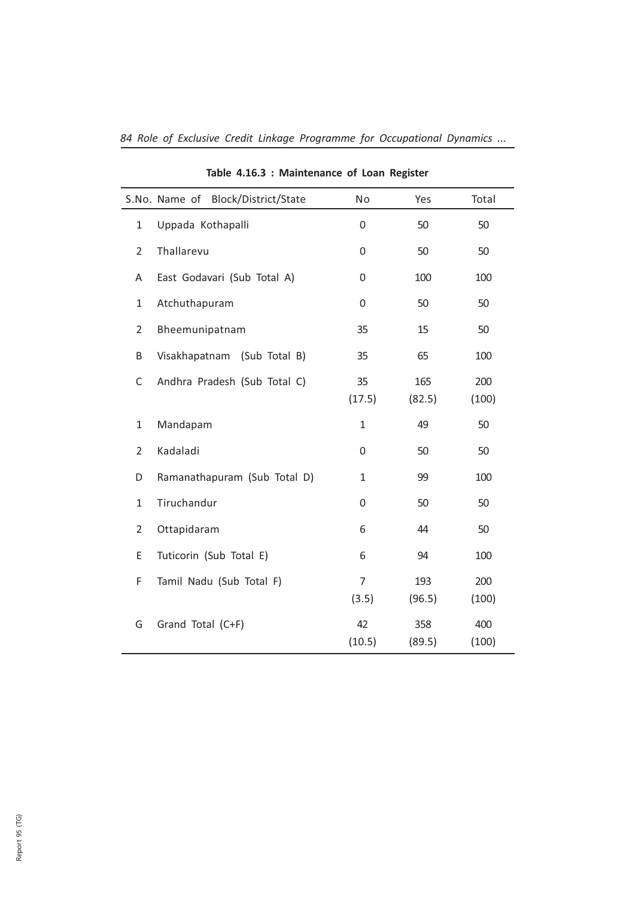|                | Block/District/State<br>S.No. Name of | No                      | Yes           | Total        |
|----------------|---------------------------------------|-------------------------|---------------|--------------|
| $\mathbf{1}$   | Uppada Kothapalli                     | 0                       | 50            | 50           |
| $\overline{2}$ | Thallarevu                            | 0                       | 50            | 50           |
| Α              | East Godavari (Sub Total A)           | 0                       | 100           | 100          |
| $\mathbf{1}$   | Atchuthapuram                         | 0                       | 50            | 50           |
| $\overline{2}$ | Bheemunipatnam                        | 35                      | 15            | 50           |
| B              | Visakhapatnam (Sub Total B)           | 35                      | 65            | 100          |
| C              | Andhra Pradesh (Sub Total C)          | 35<br>(17.5)            | 165<br>(82.5) | 200<br>(100) |
| $\mathbf{1}$   | Mandapam                              | $\mathbf{1}$            | 49            | 50           |
| $\overline{2}$ | Kadaladi                              | 0                       | 50            | 50           |
| D              | Ramanathapuram (Sub Total D)          | $\mathbf{1}$            | 99            | 100          |
| $\mathbf{1}$   | Tiruchandur                           | 0                       | 50            | 50           |
| $\overline{2}$ | Ottapidaram                           | 6                       | 44            | 50           |
| E              | Tuticorin (Sub Total E)               | 6                       | 94            | 100          |
| F              | Tamil Nadu (Sub Total F)              | $\overline{7}$<br>(3.5) | 193<br>(96.5) | 200<br>(100) |
| G              | Grand Total (C+F)                     | 42<br>(10.5)            | 358<br>(89.5) | 400<br>(100) |

Table 4.16.3 : Maintenance of Loan Register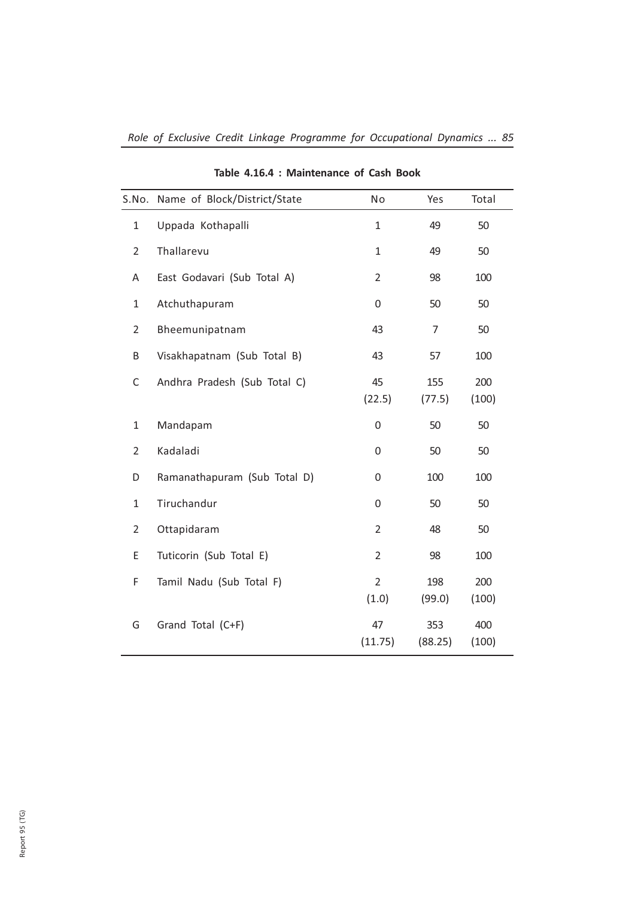| S.No.          | Name of Block/District/State | No                      | Yes            | Total        |
|----------------|------------------------------|-------------------------|----------------|--------------|
| $\mathbf{1}$   | Uppada Kothapalli            | $\mathbf{1}$            | 49             | 50           |
| $\overline{2}$ | Thallarevu                   | $\mathbf{1}$            | 49             | 50           |
| A              | East Godavari (Sub Total A)  | $\overline{2}$          | 98             | 100          |
| $\mathbf{1}$   | Atchuthapuram                | 0                       | 50             | 50           |
| $\overline{2}$ | Bheemunipatnam               | 43                      | 7              | 50           |
| B              | Visakhapatnam (Sub Total B)  | 43                      | 57             | 100          |
| C              | Andhra Pradesh (Sub Total C) | 45<br>(22.5)            | 155<br>(77.5)  | 200<br>(100) |
| $\mathbf{1}$   | Mandapam                     | 0                       | 50             | 50           |
| $\overline{2}$ | Kadaladi                     | 0                       | 50             | 50           |
| D              | Ramanathapuram (Sub Total D) | 0                       | 100            | 100          |
| $\mathbf{1}$   | Tiruchandur                  | $\Omega$                | 50             | 50           |
| $\overline{2}$ | Ottapidaram                  | $\overline{2}$          | 48             | 50           |
| Ε              | Tuticorin (Sub Total E)      | $\overline{2}$          | 98             | 100          |
| F              | Tamil Nadu (Sub Total F)     | $\overline{2}$<br>(1.0) | 198<br>(99.0)  | 200<br>(100) |
| G              | Grand Total (C+F)            | 47<br>(11.75)           | 353<br>(88.25) | 400<br>(100) |

## Table 4.16.4 : Maintenance of Cash Book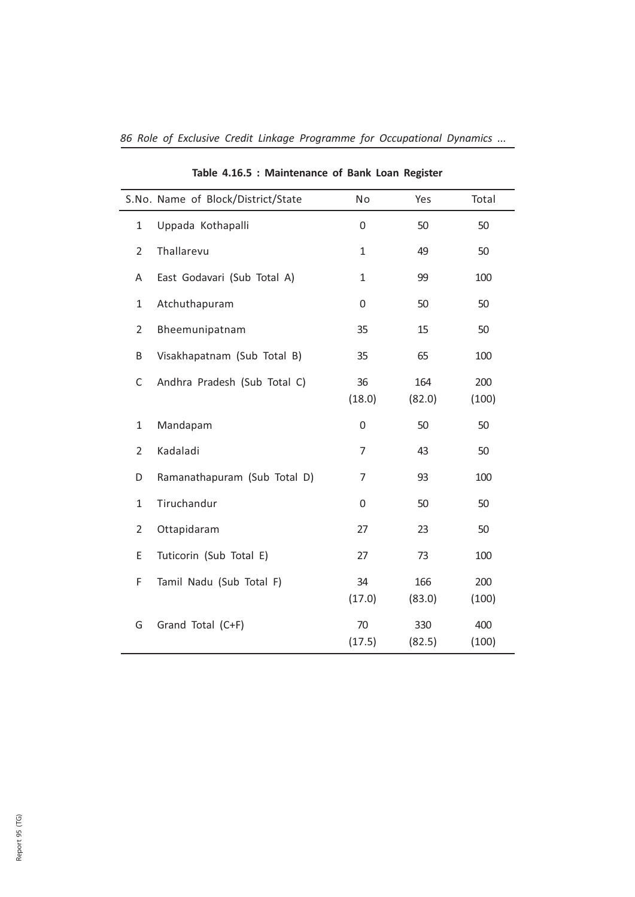|                | S.No. Name of Block/District/State | No           | Yes           | Total        |
|----------------|------------------------------------|--------------|---------------|--------------|
| $\mathbf{1}$   | Uppada Kothapalli                  | 0            | 50            | 50           |
| $\overline{2}$ | Thallarevu                         | $\mathbf{1}$ | 49            | 50           |
| Α              | East Godavari (Sub Total A)        | $\mathbf{1}$ | 99            | 100          |
| $\mathbf{1}$   | Atchuthapuram                      | 0            | 50            | 50           |
| $\overline{2}$ | Bheemunipatnam                     | 35           | 15            | 50           |
| B              | Visakhapatnam (Sub Total B)        | 35           | 65            | 100          |
| $\mathsf C$    | Andhra Pradesh (Sub Total C)       | 36<br>(18.0) | 164<br>(82.0) | 200<br>(100) |
| $\mathbf{1}$   | Mandapam                           | 0            | 50            | 50           |
| $\overline{2}$ | Kadaladi                           | 7            | 43            | 50           |
| D              | Ramanathapuram (Sub Total D)       | 7            | 93            | 100          |
| $\mathbf{1}$   | Tiruchandur                        | 0            | 50            | 50           |
| $\overline{2}$ | Ottapidaram                        | 27           | 23            | 50           |
| E              | Tuticorin (Sub Total E)            | 27           | 73            | 100          |
| F              | Tamil Nadu (Sub Total F)           | 34<br>(17.0) | 166<br>(83.0) | 200<br>(100) |
| G              | Grand Total (C+F)                  | 70<br>(17.5) | 330<br>(82.5) | 400<br>(100) |

Table 4.16.5 : Maintenance of Bank Loan Register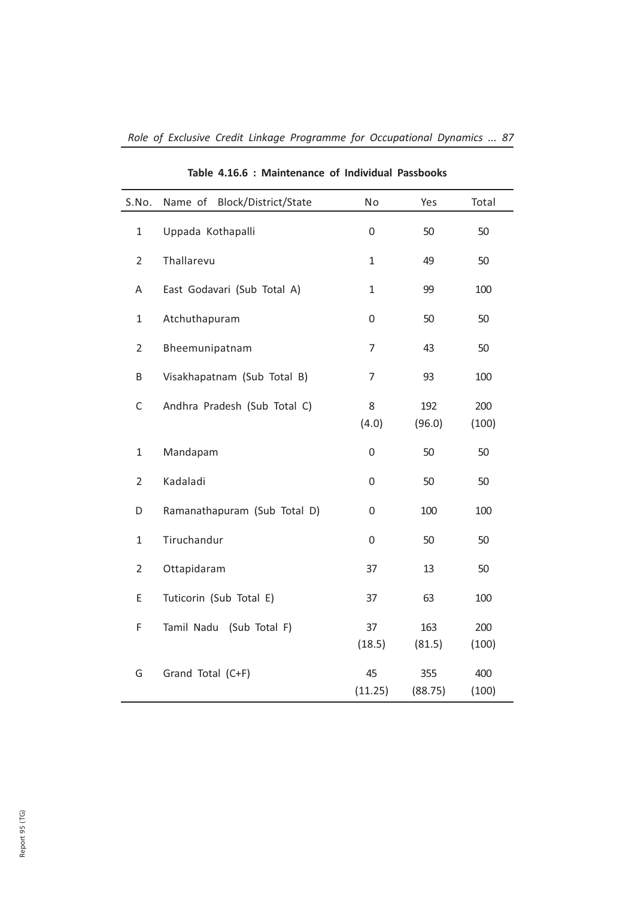| S.No.          | Block/District/State<br>Name of | No            | Yes            | Total        |
|----------------|---------------------------------|---------------|----------------|--------------|
| $\mathbf{1}$   | Uppada Kothapalli               | 0             | 50             | 50           |
| $\overline{2}$ | Thallarevu                      | $\mathbf{1}$  | 49             | 50           |
| A              | East Godavari (Sub Total A)     | 1             | 99             | 100          |
| $\mathbf{1}$   | Atchuthapuram                   | 0             | 50             | 50           |
| $\overline{2}$ | Bheemunipatnam                  | 7             | 43             | 50           |
| B              | Visakhapatnam (Sub Total B)     | 7             | 93             | 100          |
| $\mathsf C$    | Andhra Pradesh (Sub Total C)    | 8<br>(4.0)    | 192<br>(96.0)  | 200<br>(100) |
| $\mathbf{1}$   | Mandapam                        | 0             | 50             | 50           |
| $\overline{2}$ | Kadaladi                        | 0             | 50             | 50           |
| D              | Ramanathapuram (Sub Total D)    | 0             | 100            | 100          |
| $\mathbf{1}$   | Tiruchandur                     | 0             | 50             | 50           |
| $\overline{2}$ | Ottapidaram                     | 37            | 13             | 50           |
| E              | Tuticorin (Sub Total E)         | 37            | 63             | 100          |
| F              | Tamil Nadu (Sub Total F)        | 37<br>(18.5)  | 163<br>(81.5)  | 200<br>(100) |
| G              | Grand Total (C+F)               | 45<br>(11.25) | 355<br>(88.75) | 400<br>(100) |

Table 4.16.6 : Maintenance of Individual Passbooks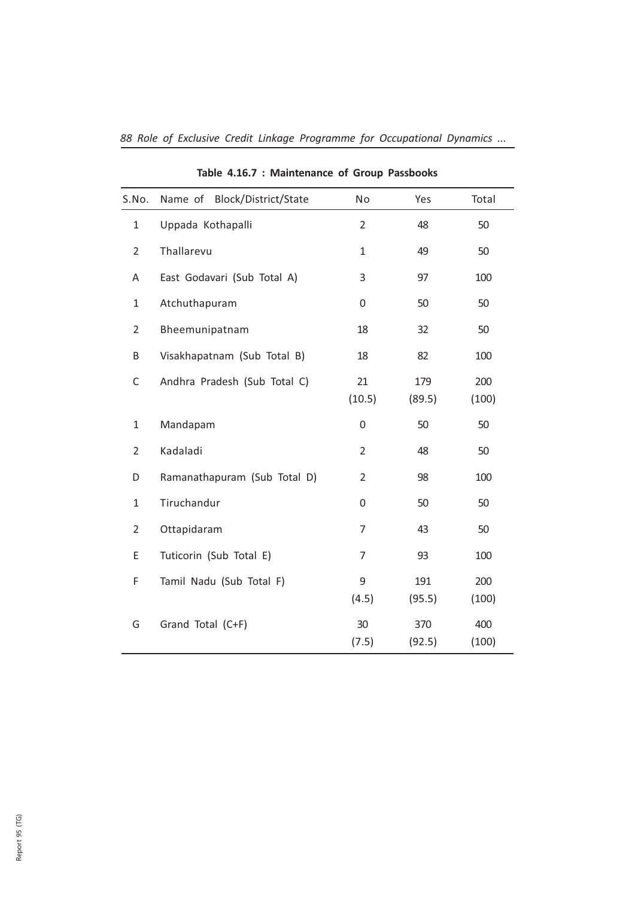| S.No.          | Block/District/State<br>Name of | No             | Yes           | Total        |
|----------------|---------------------------------|----------------|---------------|--------------|
| $\mathbf{1}$   | Uppada Kothapalli               | $\overline{2}$ | 48            | 50           |
| $\overline{2}$ | Thallarevu                      | $\mathbf{1}$   | 49            | 50           |
| A              | East Godavari (Sub Total A)     | 3              | 97            | 100          |
| $\mathbf{1}$   | Atchuthapuram                   | 0              | 50            | 50           |
| $\overline{2}$ | Bheemunipatnam                  | 18             | 32            | 50           |
| Β              | Visakhapatnam (Sub Total B)     | 18             | 82            | 100          |
| C              | Andhra Pradesh (Sub Total C)    | 21<br>(10.5)   | 179<br>(89.5) | 200<br>(100) |
| $\mathbf{1}$   | Mandapam                        | 0              | 50            | 50           |
| $\overline{2}$ | Kadaladi                        | $\overline{2}$ | 48            | 50           |
| D              | Ramanathapuram (Sub Total D)    | $\overline{2}$ | 98            | 100          |
| $\mathbf{1}$   | Tiruchandur                     | 0              | 50            | 50           |
| $\overline{2}$ | Ottapidaram                     | 7              | 43            | 50           |
| E              | Tuticorin (Sub Total E)         | 7              | 93            | 100          |
| F              | Tamil Nadu (Sub Total F)        | 9<br>(4.5)     | 191<br>(95.5) | 200<br>(100) |
| G              | Grand Total (C+F)               | 30<br>(7.5)    | 370<br>(92.5) | 400<br>(100) |

Table 4.16.7 : Maintenance of Group Passbooks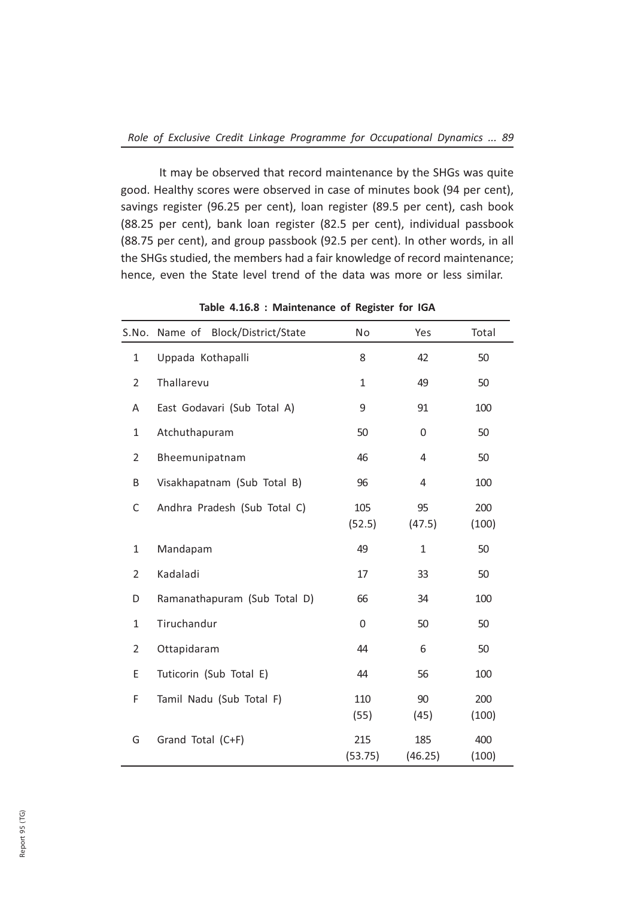It may be observed that record maintenance by the SHGs was quite good. Healthy scores were observed in case of minutes book (94 per cent), savings register (96.25 per cent), loan register (89.5 per cent), cash book (88.25 per cent), bank loan register (82.5 per cent), individual passbook (88.75 per cent), and group passbook (92.5 per cent). In other words, in all the SHGs studied, the members had a fair knowledge of record maintenance; hence, even the State level trend of the data was more or less similar.

| S.No.          | Block/District/State<br>Name of | No             | Yes            | Total        |
|----------------|---------------------------------|----------------|----------------|--------------|
| $\mathbf{1}$   | Uppada Kothapalli               | 8              | 42             | 50           |
| $\overline{2}$ | Thallarevu                      | $\mathbf{1}$   | 49             | 50           |
| Α              | East Godavari (Sub Total A)     | 9              | 91             | 100          |
| $\mathbf{1}$   | Atchuthapuram                   | 50             | 0              | 50           |
| 2              | Bheemunipatnam                  | 46             | 4              | 50           |
| B              | Visakhapatnam (Sub Total B)     | 96             | 4              | 100          |
| C              | Andhra Pradesh (Sub Total C)    | 105<br>(52.5)  | 95<br>(47.5)   | 200<br>(100) |
| $\mathbf{1}$   | Mandapam                        | 49             | $\mathbf{1}$   | 50           |
| $\overline{2}$ | Kadaladi                        | 17             | 33             | 50           |
| D              | Ramanathapuram (Sub Total D)    | 66             | 34             | 100          |
| $\mathbf{1}$   | Tiruchandur                     | $\Omega$       | 50             | 50           |
| $\overline{2}$ | Ottapidaram                     | 44             | 6              | 50           |
| E              | Tuticorin (Sub Total E)         | 44             | 56             | 100          |
| F              | Tamil Nadu (Sub Total F)        | 110<br>(55)    | 90<br>(45)     | 200<br>(100) |
| G              | Grand Total (C+F)               | 215<br>(53.75) | 185<br>(46.25) | 400<br>(100) |

Table 4.16.8 : Maintenance of Register for IGA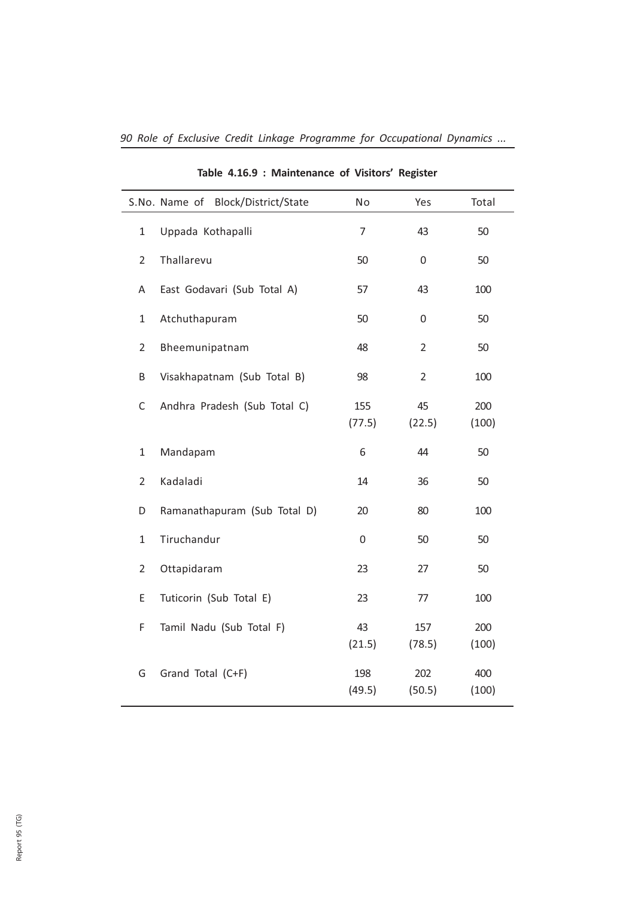|                | S.No. Name of<br>Block/District/State | No            | Yes            | Total        |
|----------------|---------------------------------------|---------------|----------------|--------------|
| $\mathbf{1}$   | Uppada Kothapalli                     | 7             | 43             | 50           |
| $\overline{2}$ | Thallarevu                            | 50            | 0              | 50           |
| A              | East Godavari (Sub Total A)           | 57            | 43             | 100          |
| $\mathbf{1}$   | Atchuthapuram                         | 50            | 0              | 50           |
| $\overline{2}$ | Bheemunipatnam                        | 48            | $\overline{2}$ | 50           |
| B              | Visakhapatnam (Sub Total B)           | 98            | $\overline{2}$ | 100          |
| С              | Andhra Pradesh (Sub Total C)          | 155<br>(77.5) | 45<br>(22.5)   | 200<br>(100) |
| 1              | Mandapam                              | 6             | 44             | 50           |
| $\overline{2}$ | Kadaladi                              | 14            | 36             | 50           |
| D              | Ramanathapuram (Sub Total D)          | 20            | 80             | 100          |
| $\mathbf{1}$   | Tiruchandur                           | 0             | 50             | 50           |
| $\overline{2}$ | Ottapidaram                           | 23            | 27             | 50           |
| E              | Tuticorin (Sub Total E)               | 23            | 77             | 100          |
| F              | Tamil Nadu (Sub Total F)              | 43<br>(21.5)  | 157<br>(78.5)  | 200<br>(100) |
| G              | Grand Total (C+F)                     | 198<br>(49.5) | 202<br>(50.5)  | 400<br>(100) |

Table 4.16.9 : Maintenance of Visitors' Register

 $\overline{\phantom{a}}$ 

 $\overline{\phantom{0}}$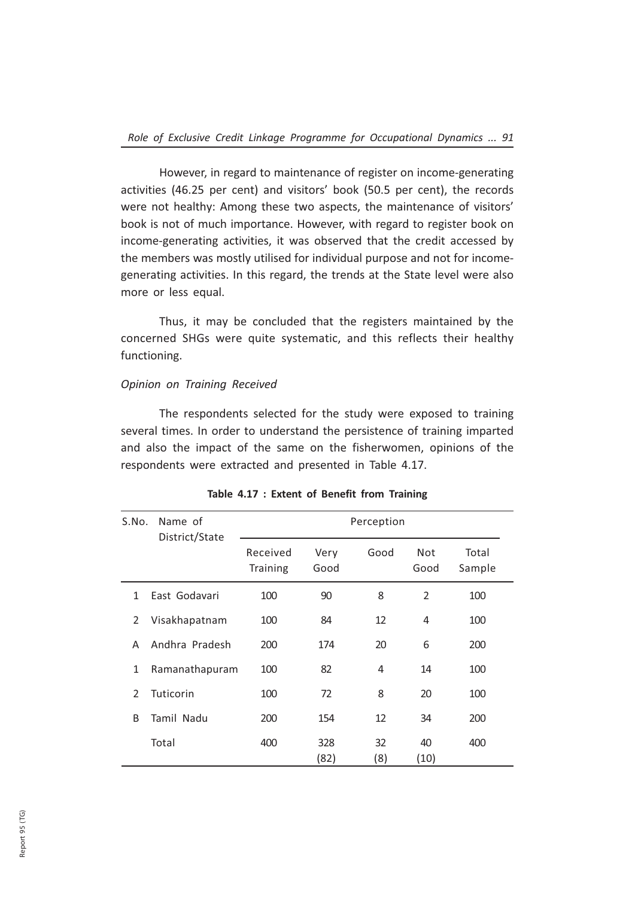However, in regard to maintenance of register on income-generating activities (46.25 per cent) and visitors' book (50.5 per cent), the records were not healthy: Among these two aspects, the maintenance of visitors' book is not of much importance. However, with regard to register book on income-generating activities, it was observed that the credit accessed by the members was mostly utilised for individual purpose and not for incomegenerating activities. In this regard, the trends at the State level were also more or less equal.

Thus, it may be concluded that the registers maintained by the concerned SHGs were quite systematic, and this reflects their healthy functioning.

## Opinion on Training Received

The respondents selected for the study were exposed to training several times. In order to understand the persistence of training imparted and also the impact of the same on the fisherwomen, opinions of the respondents were extracted and presented in Table 4.17.

| S.No.          | Name of        |                      |              | Perception |             |                 |
|----------------|----------------|----------------------|--------------|------------|-------------|-----------------|
|                | District/State | Received<br>Training | Very<br>Good | Good       | Not<br>Good | Total<br>Sample |
| 1              | East Godavari  | 100                  | 90           | 8          | 2           | 100             |
| 2              | Visakhapatnam  | 100                  | 84           | 12         | 4           | 100             |
| A              | Andhra Pradesh | 200                  | 174          | 20         | 6           | 200             |
| 1              | Ramanathapuram | 100                  | 82           | 4          | 14          | 100             |
| $\overline{2}$ | Tuticorin      | 100                  | 72           | 8          | 20          | 100             |
| B              | Tamil Nadu     | 200                  | 154          | 12         | 34          | 200             |
|                | Total          | 400                  | 328<br>(82)  | 32<br>(8)  | 40<br>(10)  | 400             |

#### Table 4.17 : Extent of Benefit from Training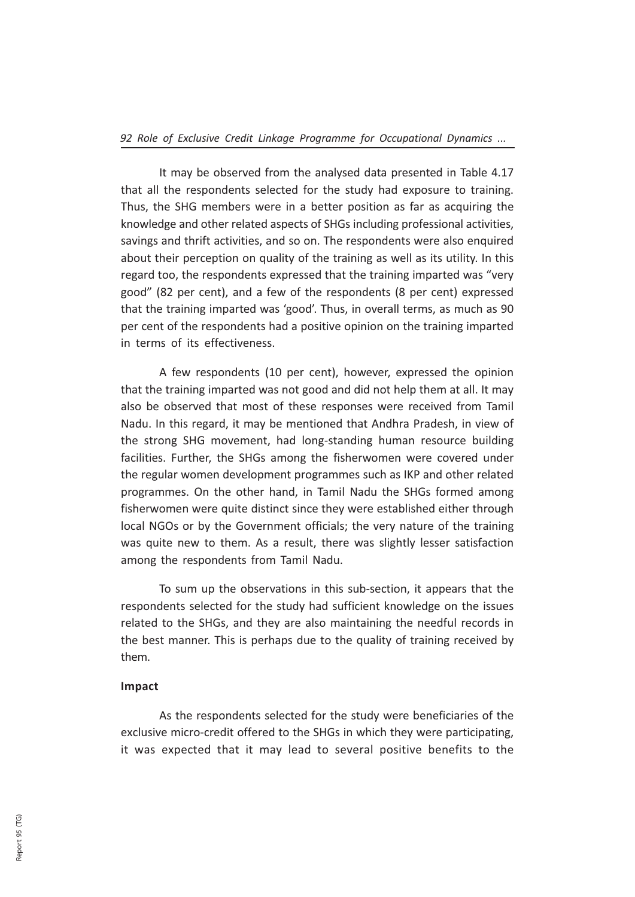It may be observed from the analysed data presented in Table 4.17 that all the respondents selected for the study had exposure to training. Thus, the SHG members were in a better position as far as acquiring the knowledge and other related aspects of SHGs including professional activities, savings and thrift activities, and so on. The respondents were also enquired about their perception on quality of the training as well as its utility. In this regard too, the respondents expressed that the training imparted was "very good" (82 per cent), and a few of the respondents (8 per cent) expressed that the training imparted was 'good'. Thus, in overall terms, as much as 90 per cent of the respondents had a positive opinion on the training imparted in terms of its effectiveness.

A few respondents (10 per cent), however, expressed the opinion that the training imparted was not good and did not help them at all. It may also be observed that most of these responses were received from Tamil Nadu. In this regard, it may be mentioned that Andhra Pradesh, in view of the strong SHG movement, had long-standing human resource building facilities. Further, the SHGs among the fisherwomen were covered under the regular women development programmes such as IKP and other related programmes. On the other hand, in Tamil Nadu the SHGs formed among fisherwomen were quite distinct since they were established either through local NGOs or by the Government officials; the very nature of the training was quite new to them. As a result, there was slightly lesser satisfaction among the respondents from Tamil Nadu.

To sum up the observations in this sub-section, it appears that the respondents selected for the study had sufficient knowledge on the issues related to the SHGs, and they are also maintaining the needful records in the best manner. This is perhaps due to the quality of training received by them.

#### Impact

As the respondents selected for the study were beneficiaries of the exclusive micro-credit offered to the SHGs in which they were participating, it was expected that it may lead to several positive benefits to the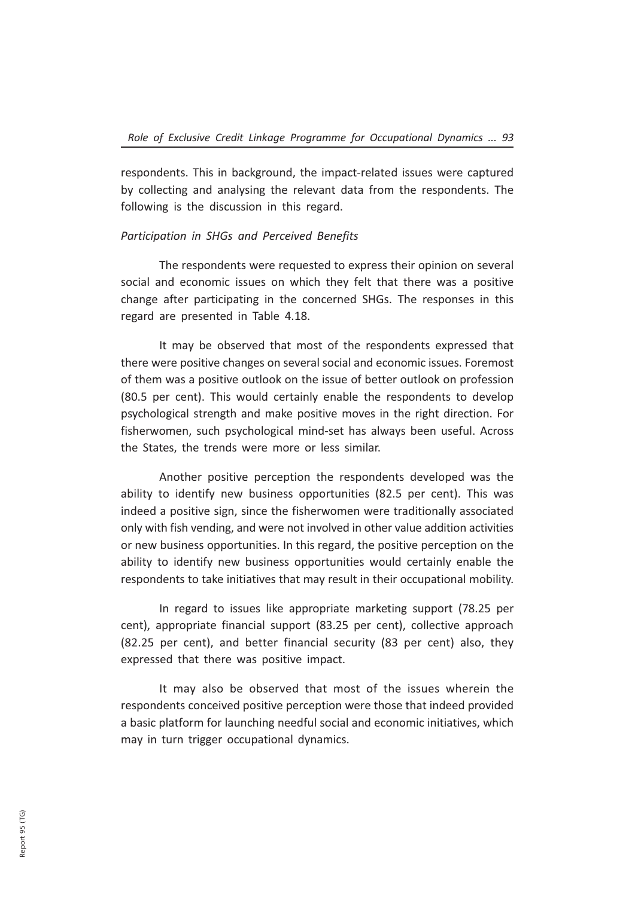respondents. This in background, the impact-related issues were captured by collecting and analysing the relevant data from the respondents. The following is the discussion in this regard.

## Participation in SHGs and Perceived Benefits

The respondents were requested to express their opinion on several social and economic issues on which they felt that there was a positive change after participating in the concerned SHGs. The responses in this regard are presented in Table 4.18.

It may be observed that most of the respondents expressed that there were positive changes on several social and economic issues. Foremost of them was a positive outlook on the issue of better outlook on profession (80.5 per cent). This would certainly enable the respondents to develop psychological strength and make positive moves in the right direction. For fisherwomen, such psychological mind-set has always been useful. Across the States, the trends were more or less similar.

Another positive perception the respondents developed was the ability to identify new business opportunities (82.5 per cent). This was indeed a positive sign, since the fisherwomen were traditionally associated only with fish vending, and were not involved in other value addition activities or new business opportunities. In this regard, the positive perception on the ability to identify new business opportunities would certainly enable the respondents to take initiatives that may result in their occupational mobility.

In regard to issues like appropriate marketing support (78.25 per cent), appropriate financial support (83.25 per cent), collective approach (82.25 per cent), and better financial security (83 per cent) also, they expressed that there was positive impact.

It may also be observed that most of the issues wherein the respondents conceived positive perception were those that indeed provided a basic platform for launching needful social and economic initiatives, which may in turn trigger occupational dynamics.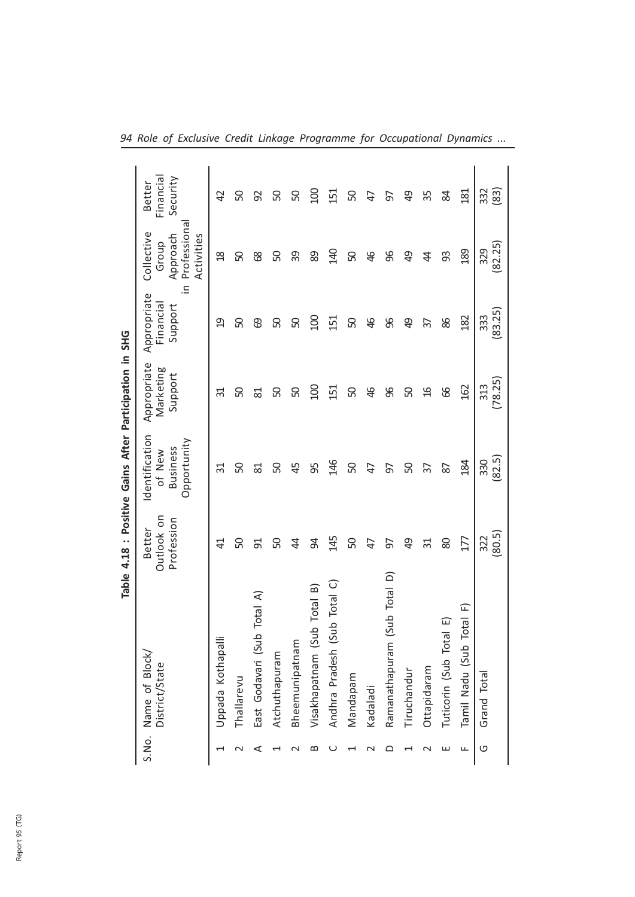|        |                                                             |                                    | Table 4.18 : Positive Gains After Participation in         |                                     | <b>SHG</b>                                      |                                                              |                                       |
|--------|-------------------------------------------------------------|------------------------------------|------------------------------------------------------------|-------------------------------------|-------------------------------------------------|--------------------------------------------------------------|---------------------------------------|
|        | S.No. Name of Block<br>District/State                       | Outlook on<br>Profession<br>Better | Identification<br>Opportunity<br><b>Business</b><br>of New | Appropriate<br>Marketing<br>Support | $\equiv$<br>Appropriate<br>Financial<br>Support | Professiona<br>Collective<br>Approach<br>Activities<br>Group | Financia<br>Security<br><b>Better</b> |
|        | Uppada Kothapalli                                           | 4                                  | ಸ                                                          | ಸ                                   | g                                               | $\frac{8}{10}$                                               | 42                                    |
|        | Thallarevu                                                  | ႙                                  | ႙                                                          | ႙                                   | ႙                                               | ႙                                                            | ႙                                     |
| ⋖      | Total A<br>East Godavari (Sub                               | ದ                                  | ಜ                                                          | ಜ                                   | ගි                                              | 89                                                           | 92                                    |
|        | Atchuthapuram                                               | ႙                                  | ႙                                                          | ႙                                   | ႙                                               | ႙                                                            | င္တ                                   |
|        | Bheemunipatnam                                              | 与                                  | 45                                                         | ႙                                   | ႙                                               | ႙႙                                                           | င္တ                                   |
| ≃      | Visakhapatnam (Sub Total B)                                 | 8                                  | සි                                                         | g                                   | $\overline{5}$                                  | 89                                                           | $\overline{5}$                        |
|        | Andhra Pradesh (Sub Total C)                                | 145                                | 146                                                        | 151                                 | 151                                             | $\frac{40}{5}$                                               | $\overline{5}$                        |
|        | Mandapam                                                    | 50                                 | S                                                          | 50                                  | 50                                              | ႙                                                            | S                                     |
| $\sim$ | Kadaladi                                                    | 4                                  | $\overline{4}$                                             | 9                                   | \$                                              | \$                                                           | 47                                    |
| ≏      | $\widehat{\circ}$<br>(Sub Total<br>Ramanathapuram           | 5                                  | 5                                                          | க                                   | க                                               | ஜ                                                            | 5                                     |
|        | Tiruchandur                                                 | අ                                  | ႙                                                          | ႙                                   | சி                                              | අ                                                            | ச                                     |
|        | Ottapidaram                                                 | ಸ                                  | 57                                                         | $\frac{9}{1}$                       | 57                                              | \$                                                           | သိ                                    |
| ш      | Tuticorin (Sub Total E)                                     | 8                                  | 82                                                         | 8                                   | 86                                              | 33                                                           | ≋                                     |
| Щ      | $\widehat{\mathbb{L}}$<br><b>Total</b><br>Tamil Nadu (Sub T | 177                                | 184                                                        | 162                                 | 182                                             | 189                                                          | $\overline{181}$                      |
| O      | Grand Total                                                 | (80.5)<br>322                      | (82.5)<br>330                                              | (78.25)<br>313                      | (83.25)<br>333                                  | (82.25)<br>329                                               | 332<br>(83)                           |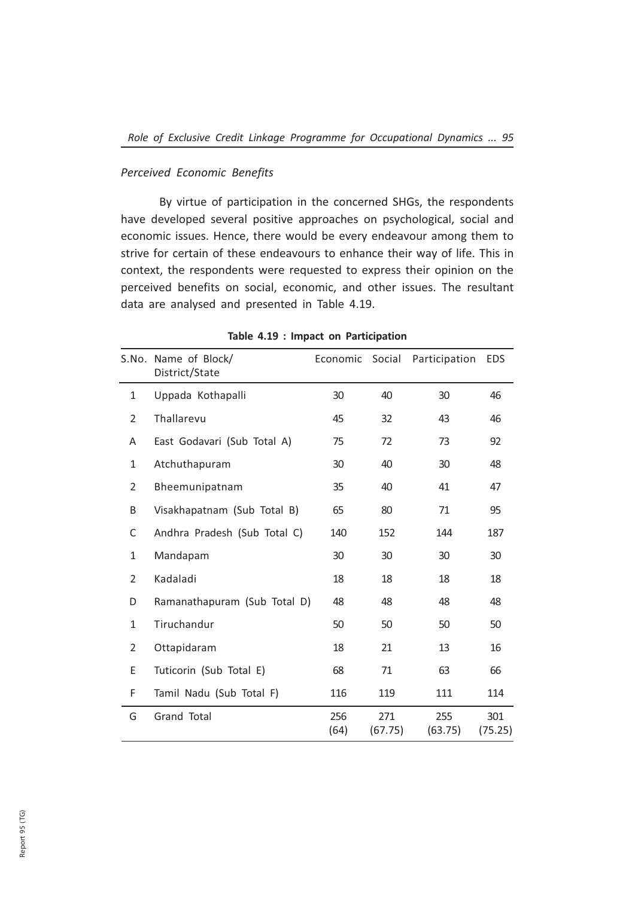## Perceived Economic Benefits

By virtue of participation in the concerned SHGs, the respondents have developed several positive approaches on psychological, social and economic issues. Hence, there would be every endeavour among them to strive for certain of these endeavours to enhance their way of life. This in context, the respondents were requested to express their opinion on the perceived benefits on social, economic, and other issues. The resultant data are analysed and presented in Table 4.19.

|                | S.No. Name of Block/<br>District/State | Economic Social |                | Participation  | <b>EDS</b>     |
|----------------|----------------------------------------|-----------------|----------------|----------------|----------------|
| $\mathbf{1}$   | Uppada Kothapalli                      | 30              | 40             | 30             | 46             |
| 2              | Thallarevu                             | 45              | 32             | 43             | 46             |
| A              | East Godavari (Sub Total A)            | 75              | 72             | 73             | 92             |
| $\mathbf{1}$   | Atchuthapuram                          | 30              | 40             | 30             | 48             |
| $\overline{2}$ | Bheemunipatnam                         | 35              | 40             | 41             | 47             |
| B              | Visakhapatnam (Sub Total B)            | 65              | 80             | 71             | 95             |
| С              | Andhra Pradesh (Sub Total C)           | 140             | 152            | 144            | 187            |
| $\mathbf{1}$   | Mandapam                               | 30              | 30             | 30             | 30             |
| $\overline{2}$ | Kadaladi                               | 18              | 18             | 18             | 18             |
| D              | Ramanathapuram (Sub Total D)           | 48              | 48             | 48             | 48             |
| $\mathbf{1}$   | Tiruchandur                            | 50              | 50             | 50             | 50             |
| $\overline{2}$ | Ottapidaram                            | 18              | 21             | 13             | 16             |
| E              | Tuticorin (Sub Total E)                | 68              | 71             | 63             | 66             |
| F              | Tamil Nadu (Sub Total F)               | 116             | 119            | 111            | 114            |
| G              | <b>Grand Total</b>                     | 256<br>(64)     | 271<br>(67.75) | 255<br>(63.75) | 301<br>(75.25) |

### Table 4.19 : Impact on Participation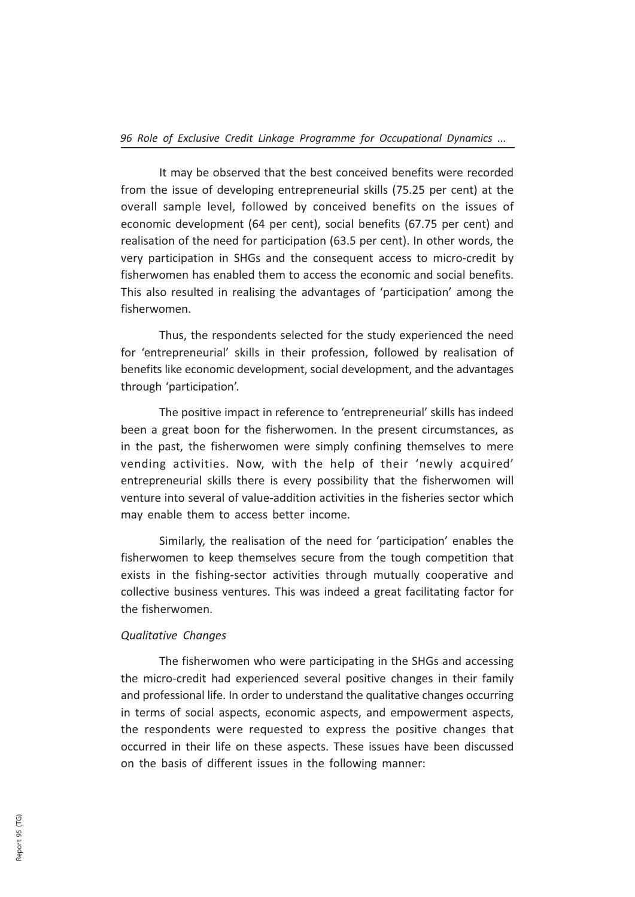It may be observed that the best conceived benefits were recorded from the issue of developing entrepreneurial skills (75.25 per cent) at the overall sample level, followed by conceived benefits on the issues of economic development (64 per cent), social benefits (67.75 per cent) and realisation of the need for participation (63.5 per cent). In other words, the very participation in SHGs and the consequent access to micro-credit by fisherwomen has enabled them to access the economic and social benefits. This also resulted in realising the advantages of 'participation' among the fisherwomen.

Thus, the respondents selected for the study experienced the need for 'entrepreneurial' skills in their profession, followed by realisation of benefits like economic development, social development, and the advantages through 'participation'.

The positive impact in reference to 'entrepreneurial' skills has indeed been a great boon for the fisherwomen. In the present circumstances, as in the past, the fisherwomen were simply confining themselves to mere vending activities. Now, with the help of their 'newly acquired' entrepreneurial skills there is every possibility that the fisherwomen will venture into several of value-addition activities in the fisheries sector which may enable them to access better income.

Similarly, the realisation of the need for 'participation' enables the fisherwomen to keep themselves secure from the tough competition that exists in the fishing-sector activities through mutually cooperative and collective business ventures. This was indeed a great facilitating factor for the fisherwomen.

## Qualitative Changes

The fisherwomen who were participating in the SHGs and accessing the micro-credit had experienced several positive changes in their family and professional life. In order to understand the qualitative changes occurring in terms of social aspects, economic aspects, and empowerment aspects, the respondents were requested to express the positive changes that occurred in their life on these aspects. These issues have been discussed on the basis of different issues in the following manner: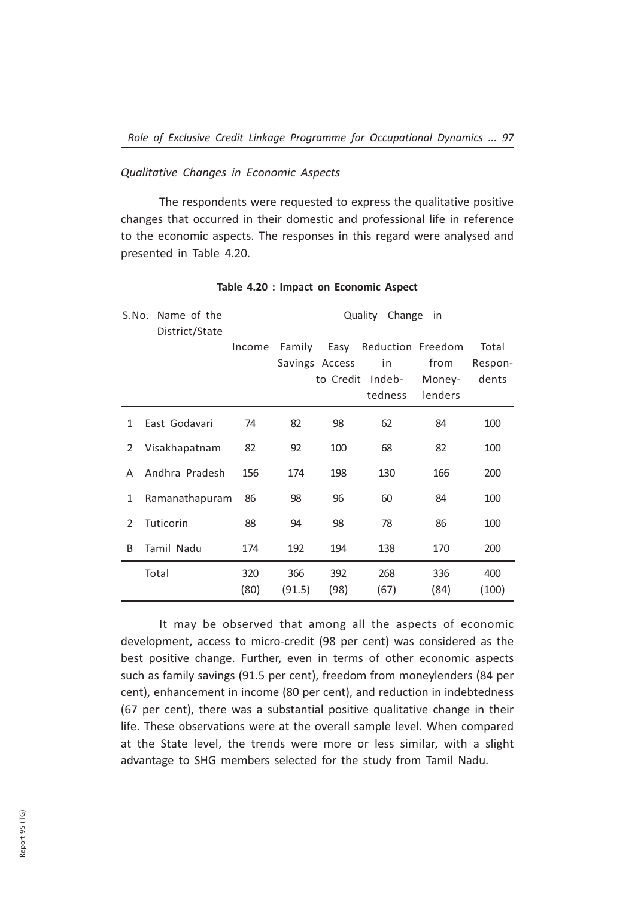#### Qualitative Changes in Economic Aspects

The respondents were requested to express the qualitative positive changes that occurred in their domestic and professional life in reference to the economic aspects. The responses in this regard were analysed and presented in Table 4.20.

|               | S.No. Name of the<br>District/State |             |               |                                     | Quality<br>Change                            | in                        |                           |
|---------------|-------------------------------------|-------------|---------------|-------------------------------------|----------------------------------------------|---------------------------|---------------------------|
|               |                                     | Income      | Family        | Easy<br>Savings Access<br>to Credit | Reduction Freedom<br>in<br>Indeb-<br>tedness | from<br>Money-<br>lenders | Total<br>Respon-<br>dents |
| 1             | East Godavari                       | 74          | 82            | 98                                  | 62                                           | 84                        | 100                       |
| $\mathcal{L}$ | Visakhapatnam                       | 82          | 92            | 100                                 | 68                                           | 82                        | 100                       |
| A             | Andhra Pradesh                      | 156         | 174           | 198                                 | 130                                          | 166                       | 200                       |
| 1             | Ramanathapuram                      | 86          | 98            | 96                                  | 60                                           | 84                        | 100                       |
| $\mathcal{L}$ | Tuticorin                           | 88          | 94            | 98                                  | 78                                           | 86                        | 100                       |
| B             | Tamil Nadu                          | 174         | 192           | 194                                 | 138                                          | 170                       | 200                       |
|               | Total                               | 320<br>(80) | 366<br>(91.5) | 392<br>(98)                         | 268<br>(67)                                  | 336<br>(84)               | 400<br>(100)              |

Table 4.20 : Impact on Economic Aspect

It may be observed that among all the aspects of economic development, access to micro-credit (98 per cent) was considered as the best positive change. Further, even in terms of other economic aspects such as family savings (91.5 per cent), freedom from moneylenders (84 per cent), enhancement in income (80 per cent), and reduction in indebtedness (67 per cent), there was a substantial positive qualitative change in their life. These observations were at the overall sample level. When compared at the State level, the trends were more or less similar, with a slight advantage to SHG members selected for the study from Tamil Nadu.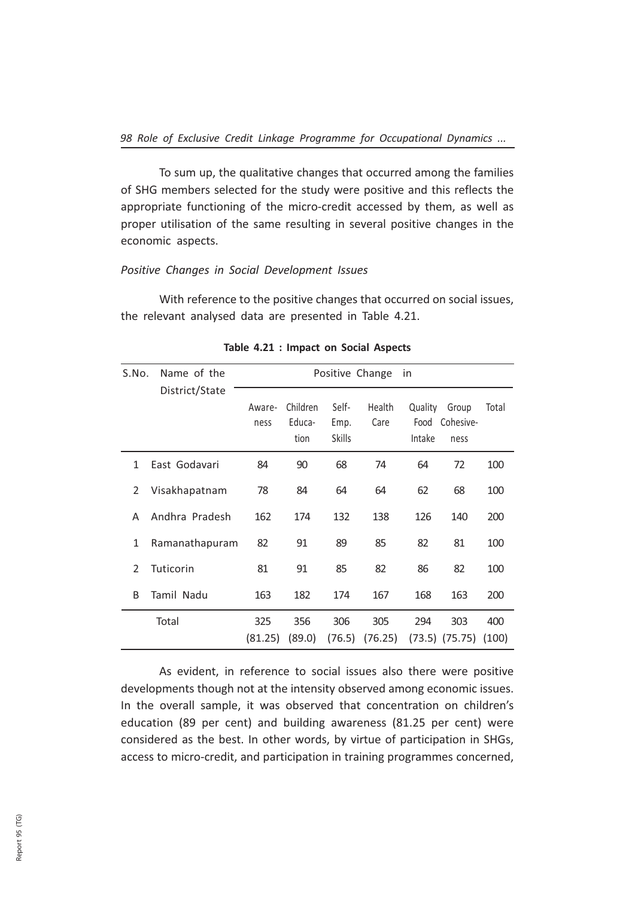To sum up, the qualitative changes that occurred among the families of SHG members selected for the study were positive and this reflects the appropriate functioning of the micro-credit accessed by them, as well as proper utilisation of the same resulting in several positive changes in the economic aspects.

### Positive Changes in Social Development Issues

With reference to the positive changes that occurred on social issues, the relevant analysed data are presented in Table 4.21.

| S.No.         | Name of the    | Positive Change<br>in |                            |                                |                |                   |                                 |       |
|---------------|----------------|-----------------------|----------------------------|--------------------------------|----------------|-------------------|---------------------------------|-------|
|               | District/State | Aware-<br>ness        | Children<br>Educa-<br>tion | Self-<br>Emp.<br><b>Skills</b> | Health<br>Care | Quality<br>Intake | Group<br>Food Cohesive-<br>ness | Total |
| 1             | East Godavari  | 84                    | 90                         | 68                             | 74             | 64                | 72                              | 100   |
| $\mathcal{P}$ | Visakhapatnam  | 78                    | 84                         | 64                             | 64             | 62                | 68                              | 100   |
| А             | Andhra Pradesh | 162                   | 174                        | 132                            | 138            | 126               | 140                             | 200   |
| 1             | Ramanathapuram | 82                    | 91                         | 89                             | 85             | 82                | 81                              | 100   |
| 2             | Tuticorin      | 81                    | 91                         | 85                             | 82             | 86                | 82                              | 100   |
| B             | Tamil Nadu     | 163                   | 182                        | 174                            | 167            | 168               | 163                             | 200   |
|               | Total          | 325                   | 356                        | 306                            | 305            | 294               | 303                             | 400   |
|               |                | (81.25)               | (89.0)                     | (76.5)                         | (76.25)        |                   | $(73.5)$ $(75.75)$              | (100) |

#### Table 4.21 : Impact on Social Aspects

As evident, in reference to social issues also there were positive developments though not at the intensity observed among economic issues. In the overall sample, it was observed that concentration on children's education (89 per cent) and building awareness (81.25 per cent) were considered as the best. In other words, by virtue of participation in SHGs, access to micro-credit, and participation in training programmes concerned,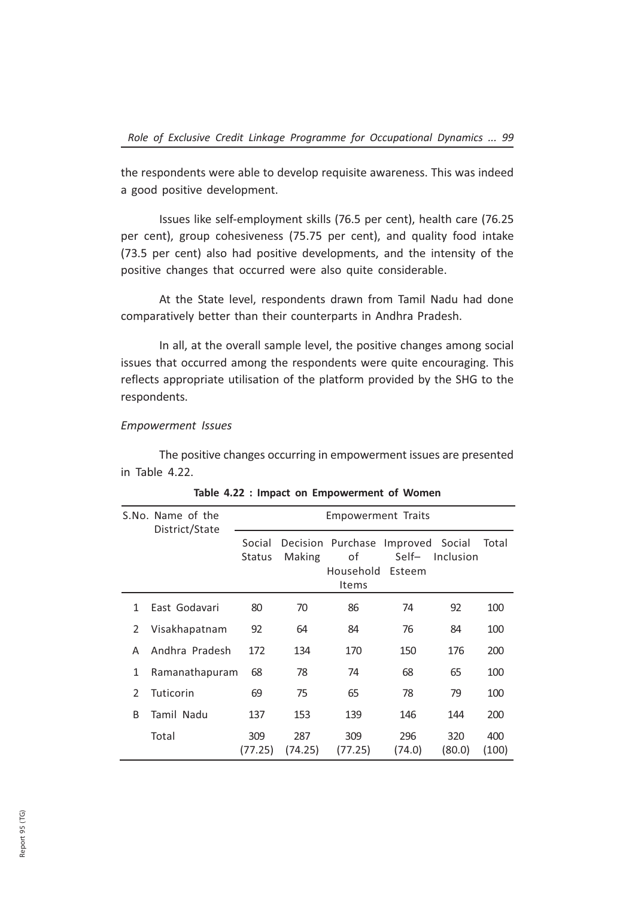the respondents were able to develop requisite awareness. This was indeed a good positive development.

Issues like self-employment skills (76.5 per cent), health care (76.25 per cent), group cohesiveness (75.75 per cent), and quality food intake (73.5 per cent) also had positive developments, and the intensity of the positive changes that occurred were also quite considerable.

At the State level, respondents drawn from Tamil Nadu had done comparatively better than their counterparts in Andhra Pradesh.

In all, at the overall sample level, the positive changes among social issues that occurred among the respondents were quite encouraging. This reflects appropriate utilisation of the platform provided by the SHG to the respondents.

#### Empowerment Issues

The positive changes occurring in empowerment issues are presented in Table 4.22.

|               | S.No. Name of the<br>District/State | <b>Empowerment Traits</b> |                |                                                               |                 |               |              |
|---------------|-------------------------------------|---------------------------|----------------|---------------------------------------------------------------|-----------------|---------------|--------------|
|               |                                     | Social<br><b>Status</b>   | Making         | Decision Purchase Improved Social<br>οf<br>Household<br>Items | Self-<br>Esteem | Inclusion     | Total        |
| 1             | East Godavari                       | 80                        | 70             | 86                                                            | 74              | 92            | 100          |
| 2             | Visakhapatnam                       | 92                        | 64             | 84                                                            | 76              | 84            | 100          |
| A             | Andhra Pradesh                      | 172                       | 134            | 170                                                           | 150             | 176           | 200          |
| 1             | Ramanathapuram                      | 68                        | 78             | 74                                                            | 68              | 65            | 100          |
| $\mathcal{P}$ | Tuticorin                           | 69                        | 75             | 65                                                            | 78              | 79            | 100          |
| R             | Tamil Nadu                          | 137                       | 153            | 139                                                           | 146             | 144           | 200          |
|               | Total                               | 309<br>(77.25)            | 287<br>(74.25) | 309<br>(77.25)                                                | 296<br>(74.0)   | 320<br>(80.0) | 400<br>(100) |

Table 4.22 : Impact on Empowerment of Women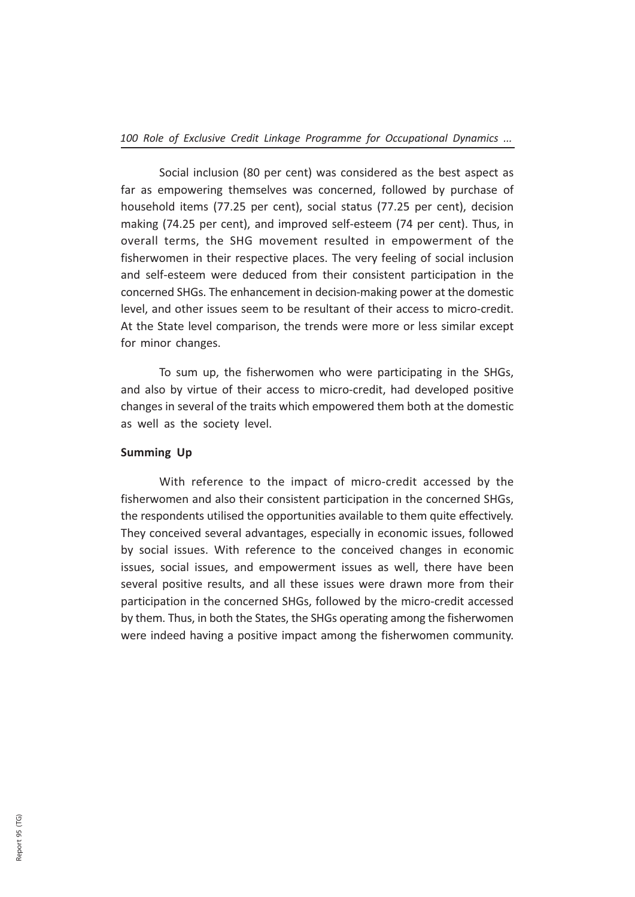Social inclusion (80 per cent) was considered as the best aspect as far as empowering themselves was concerned, followed by purchase of household items (77.25 per cent), social status (77.25 per cent), decision making (74.25 per cent), and improved self-esteem (74 per cent). Thus, in overall terms, the SHG movement resulted in empowerment of the fisherwomen in their respective places. The very feeling of social inclusion and self-esteem were deduced from their consistent participation in the concerned SHGs. The enhancement in decision-making power at the domestic level, and other issues seem to be resultant of their access to micro-credit. At the State level comparison, the trends were more or less similar except for minor changes.

To sum up, the fisherwomen who were participating in the SHGs, and also by virtue of their access to micro-credit, had developed positive changes in several of the traits which empowered them both at the domestic as well as the society level.

### Summing Up

With reference to the impact of micro-credit accessed by the fisherwomen and also their consistent participation in the concerned SHGs, the respondents utilised the opportunities available to them quite effectively. They conceived several advantages, especially in economic issues, followed by social issues. With reference to the conceived changes in economic issues, social issues, and empowerment issues as well, there have been several positive results, and all these issues were drawn more from their participation in the concerned SHGs, followed by the micro-credit accessed by them. Thus, in both the States, the SHGs operating among the fisherwomen were indeed having a positive impact among the fisherwomen community.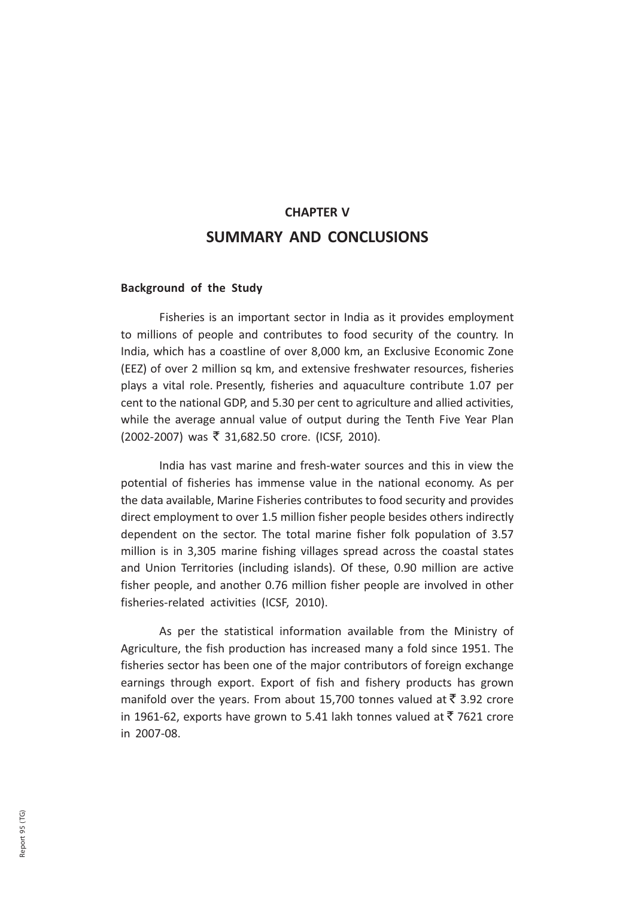# CHAPTER V SUMMARY AND CONCLUSIONS

## Background of the Study

Fisheries is an important sector in India as it provides employment to millions of people and contributes to food security of the country. In India, which has a coastline of over 8,000 km, an Exclusive Economic Zone (EEZ) of over 2 million sq km, and extensive freshwater resources, fisheries plays a vital role. Presently, fisheries and aquaculture contribute 1.07 per cent to the national GDP, and 5.30 per cent to agriculture and allied activities, while the average annual value of output during the Tenth Five Year Plan (2002-2007) was ₹ 31,682.50 crore. (ICSF, 2010).

India has vast marine and fresh-water sources and this in view the potential of fisheries has immense value in the national economy. As per the data available, Marine Fisheries contributes to food security and provides direct employment to over 1.5 million fisher people besides others indirectly dependent on the sector. The total marine fisher folk population of 3.57 million is in 3,305 marine fishing villages spread across the coastal states and Union Territories (including islands). Of these, 0.90 million are active fisher people, and another 0.76 million fisher people are involved in other fisheries-related activities (ICSF, 2010).

As per the statistical information available from the Ministry of Agriculture, the fish production has increased many a fold since 1951. The fisheries sector has been one of the major contributors of foreign exchange earnings through export. Export of fish and fishery products has grown manifold over the years. From about 15,700 tonnes valued at  $\bar{z}$  3.92 crore in 1961-62, exports have grown to 5.41 lakh tonnes valued at  $\bar{z}$  7621 crore in 2007-08.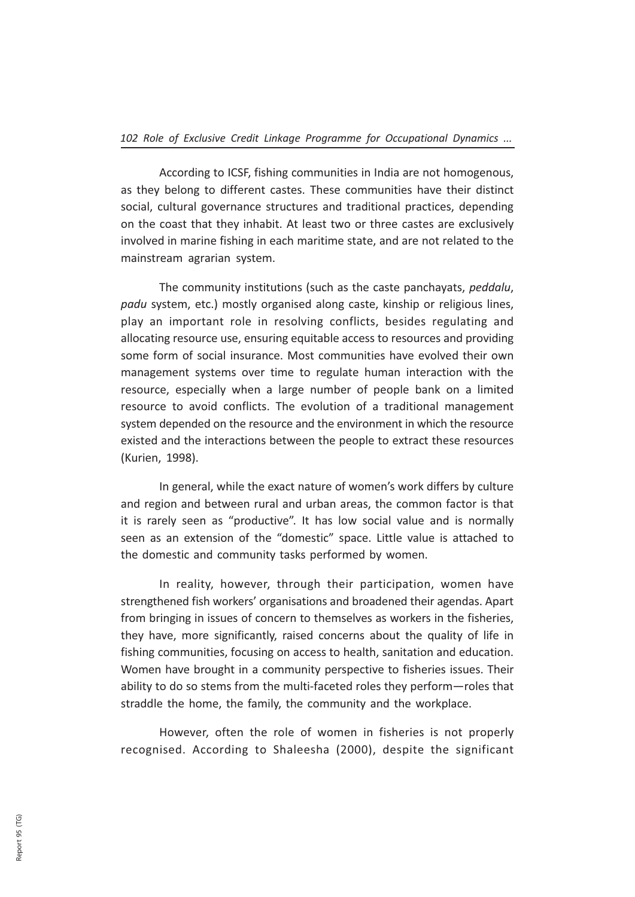According to ICSF, fishing communities in India are not homogenous, as they belong to different castes. These communities have their distinct social, cultural governance structures and traditional practices, depending on the coast that they inhabit. At least two or three castes are exclusively involved in marine fishing in each maritime state, and are not related to the mainstream agrarian system.

The community institutions (such as the caste panchayats, peddalu, padu system, etc.) mostly organised along caste, kinship or religious lines, play an important role in resolving conflicts, besides regulating and allocating resource use, ensuring equitable access to resources and providing some form of social insurance. Most communities have evolved their own management systems over time to regulate human interaction with the resource, especially when a large number of people bank on a limited resource to avoid conflicts. The evolution of a traditional management system depended on the resource and the environment in which the resource existed and the interactions between the people to extract these resources (Kurien, 1998).

In general, while the exact nature of women's work differs by culture and region and between rural and urban areas, the common factor is that it is rarely seen as "productive". It has low social value and is normally seen as an extension of the "domestic" space. Little value is attached to the domestic and community tasks performed by women.

In reality, however, through their participation, women have strengthened fish workers' organisations and broadened their agendas. Apart from bringing in issues of concern to themselves as workers in the fisheries, they have, more significantly, raised concerns about the quality of life in fishing communities, focusing on access to health, sanitation and education. Women have brought in a community perspective to fisheries issues. Their ability to do so stems from the multi-faceted roles they perform—roles that straddle the home, the family, the community and the workplace.

However, often the role of women in fisheries is not properly recognised. According to Shaleesha (2000), despite the significant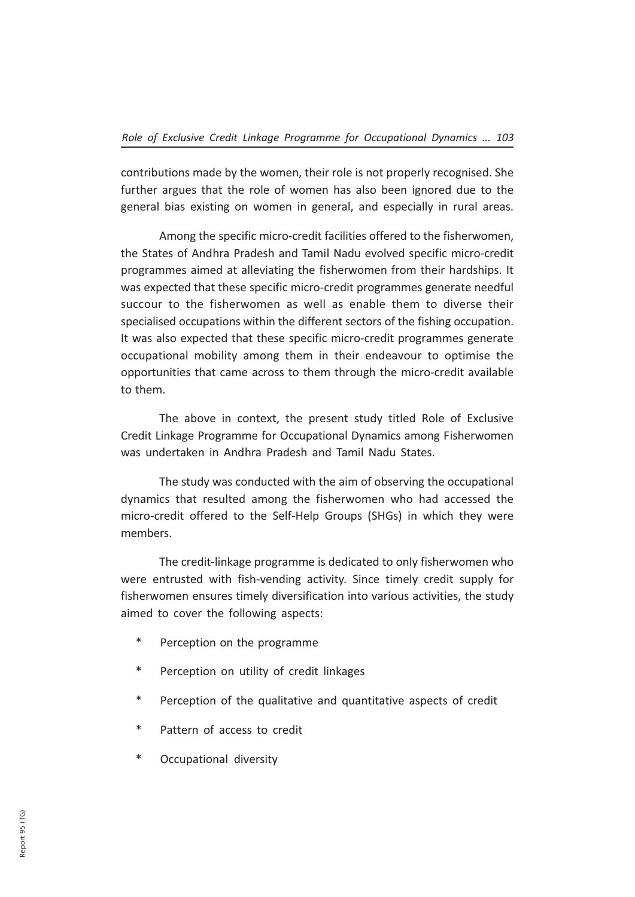contributions made by the women, their role is not properly recognised. She further argues that the role of women has also been ignored due to the general bias existing on women in general, and especially in rural areas.

Among the specific micro-credit facilities offered to the fisherwomen, the States of Andhra Pradesh and Tamil Nadu evolved specific micro-credit programmes aimed at alleviating the fisherwomen from their hardships. It was expected that these specific micro-credit programmes generate needful succour to the fisherwomen as well as enable them to diverse their specialised occupations within the different sectors of the fishing occupation. It was also expected that these specific micro-credit programmes generate occupational mobility among them in their endeavour to optimise the opportunities that came across to them through the micro-credit available to them.

The above in context, the present study titled Role of Exclusive Credit Linkage Programme for Occupational Dynamics among Fisherwomen was undertaken in Andhra Pradesh and Tamil Nadu States.

The study was conducted with the aim of observing the occupational dynamics that resulted among the fisherwomen who had accessed the micro-credit offered to the Self-Help Groups (SHGs) in which they were members.

The credit-linkage programme is dedicated to only fisherwomen who were entrusted with fish-vending activity. Since timely credit supply for fisherwomen ensures timely diversification into various activities, the study aimed to cover the following aspects:

- \* Perception on the programme
- \* Perception on utility of credit linkages
- \* Perception of the qualitative and quantitative aspects of credit
- \* Pattern of access to credit
- Occupational diversity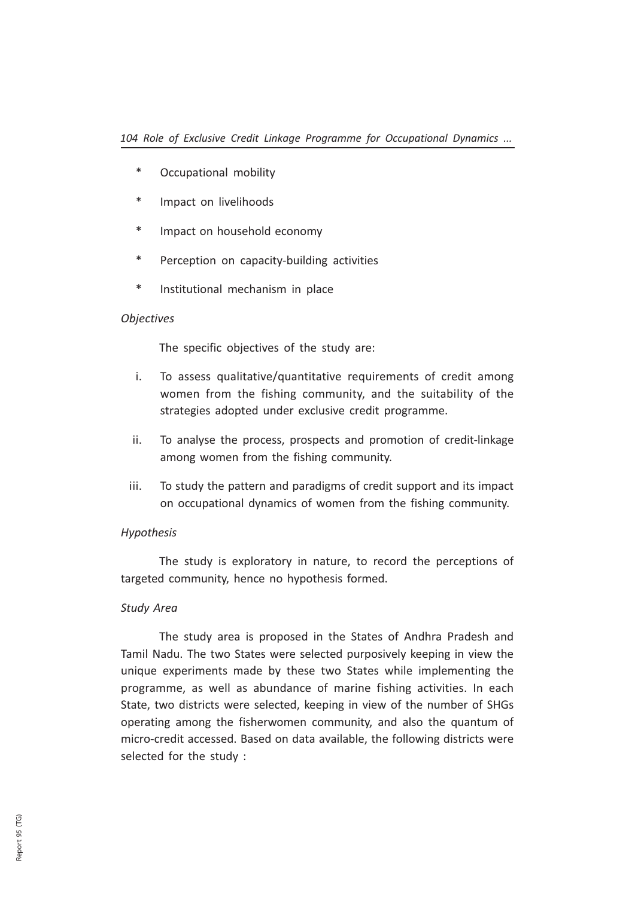- \* Occupational mobility
- \* Impact on livelihoods
- \* Impact on household economy
- \* Perception on capacity-building activities
- \* Institutional mechanism in place

## **Objectives**

The specific objectives of the study are:

- i. To assess qualitative/quantitative requirements of credit among women from the fishing community, and the suitability of the strategies adopted under exclusive credit programme.
- ii. To analyse the process, prospects and promotion of credit-linkage among women from the fishing community.
- iii. To study the pattern and paradigms of credit support and its impact on occupational dynamics of women from the fishing community.

## Hypothesis

The study is exploratory in nature, to record the perceptions of targeted community, hence no hypothesis formed.

## Study Area

The study area is proposed in the States of Andhra Pradesh and Tamil Nadu. The two States were selected purposively keeping in view the unique experiments made by these two States while implementing the programme, as well as abundance of marine fishing activities. In each State, two districts were selected, keeping in view of the number of SHGs operating among the fisherwomen community, and also the quantum of micro-credit accessed. Based on data available, the following districts were selected for the study :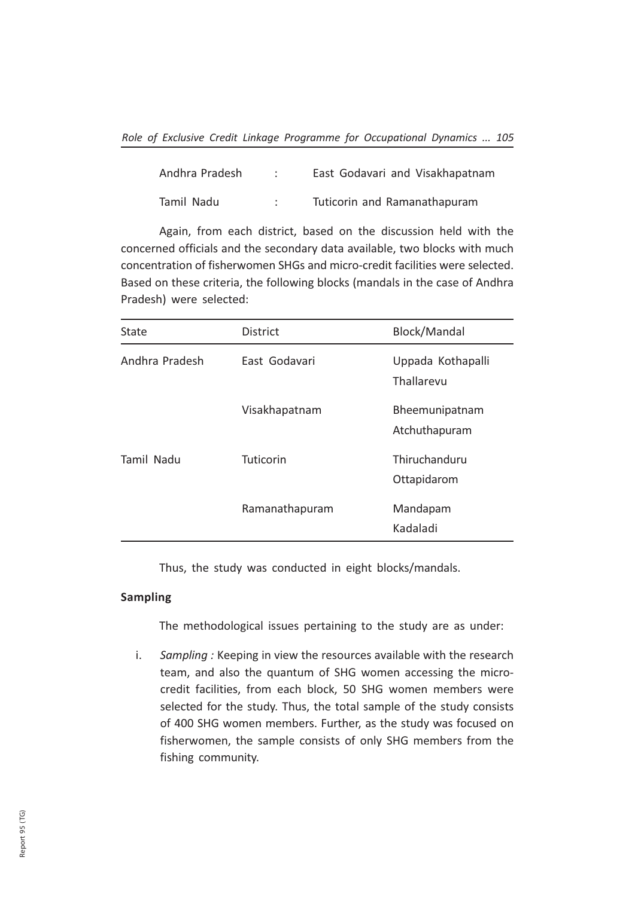| Andhra Pradesh | East Godavari and Visakhapatnam |
|----------------|---------------------------------|
| Tamil Nadu     | Tuticorin and Ramanathapuram    |

Again, from each district, based on the discussion held with the concerned officials and the secondary data available, two blocks with much concentration of fisherwomen SHGs and micro-credit facilities were selected. Based on these criteria, the following blocks (mandals in the case of Andhra Pradesh) were selected:

| State          | <b>District</b> | Block/Mandal                    |
|----------------|-----------------|---------------------------------|
| Andhra Pradesh | East Godavari   | Uppada Kothapalli<br>Thallarevu |
|                | Visakhapatnam   | Bheemunipatnam<br>Atchuthapuram |
| Tamil Nadu     | Tuticorin       | Thiruchanduru<br>Ottapidarom    |
|                | Ramanathapuram  | Mandapam<br>Kadaladi            |

Thus, the study was conducted in eight blocks/mandals.

## Sampling

The methodological issues pertaining to the study are as under:

i. Sampling : Keeping in view the resources available with the research team, and also the quantum of SHG women accessing the microcredit facilities, from each block, 50 SHG women members were selected for the study. Thus, the total sample of the study consists of 400 SHG women members. Further, as the study was focused on fisherwomen, the sample consists of only SHG members from the fishing community.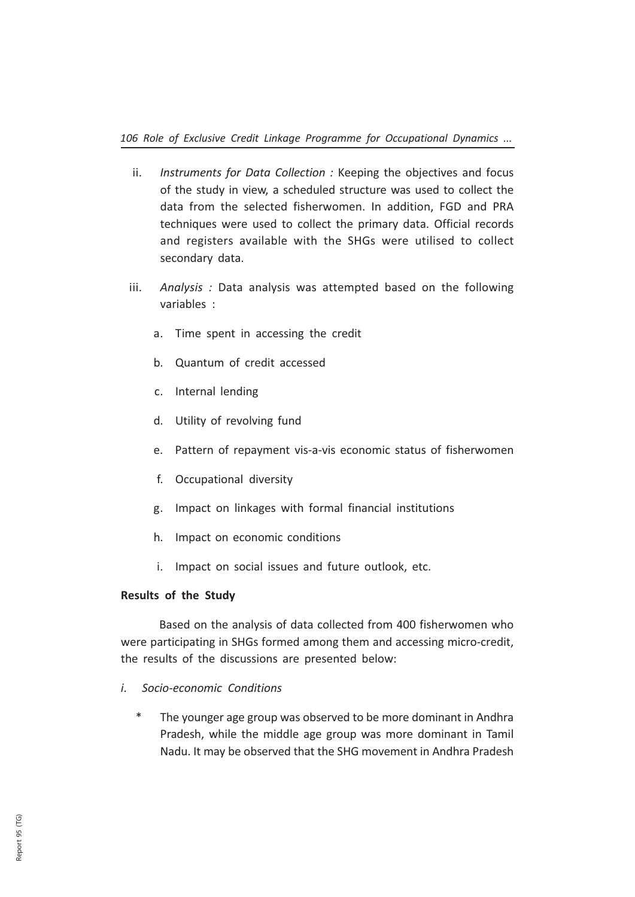- ii. Instruments for Data Collection : Keeping the objectives and focus of the study in view, a scheduled structure was used to collect the data from the selected fisherwomen. In addition, FGD and PRA techniques were used to collect the primary data. Official records and registers available with the SHGs were utilised to collect secondary data.
- iii. Analysis: Data analysis was attempted based on the following variables :
	- a. Time spent in accessing the credit
	- b. Quantum of credit accessed
	- c. Internal lending
	- d. Utility of revolving fund
	- e. Pattern of repayment vis-a-vis economic status of fisherwomen
	- f. Occupational diversity
	- g. Impact on linkages with formal financial institutions
	- h. Impact on economic conditions
	- i. Impact on social issues and future outlook, etc.

#### Results of the Study

Based on the analysis of data collected from 400 fisherwomen who were participating in SHGs formed among them and accessing micro-credit, the results of the discussions are presented below:

- i. Socio-economic Conditions
	- The younger age group was observed to be more dominant in Andhra Pradesh, while the middle age group was more dominant in Tamil Nadu. It may be observed that the SHG movement in Andhra Pradesh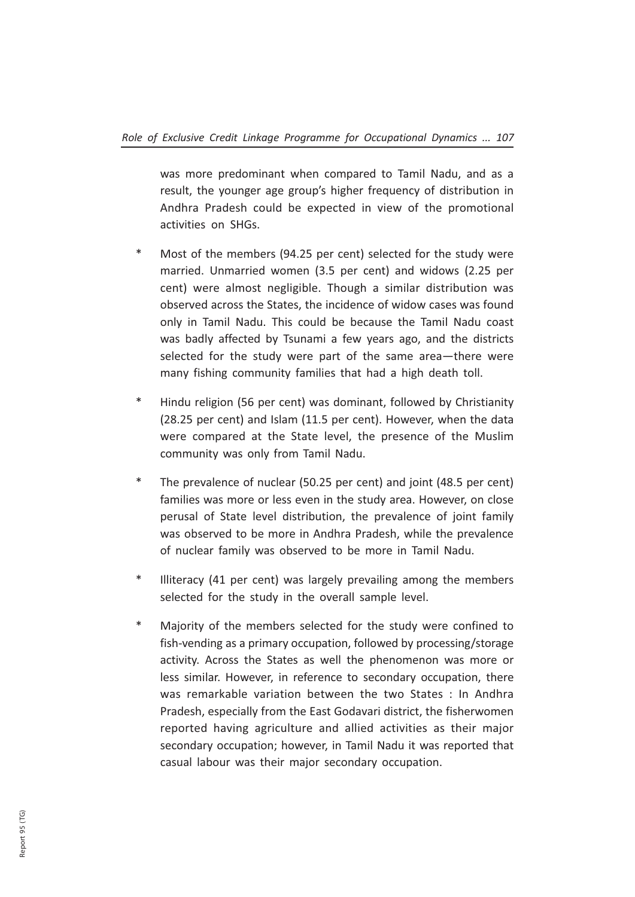was more predominant when compared to Tamil Nadu, and as a result, the younger age group's higher frequency of distribution in Andhra Pradesh could be expected in view of the promotional activities on SHGs.

- \* Most of the members (94.25 per cent) selected for the study were married. Unmarried women (3.5 per cent) and widows (2.25 per cent) were almost negligible. Though a similar distribution was observed across the States, the incidence of widow cases was found only in Tamil Nadu. This could be because the Tamil Nadu coast was badly affected by Tsunami a few years ago, and the districts selected for the study were part of the same area—there were many fishing community families that had a high death toll.
- \* Hindu religion (56 per cent) was dominant, followed by Christianity (28.25 per cent) and Islam (11.5 per cent). However, when the data were compared at the State level, the presence of the Muslim community was only from Tamil Nadu.
- \* The prevalence of nuclear (50.25 per cent) and joint (48.5 per cent) families was more or less even in the study area. However, on close perusal of State level distribution, the prevalence of joint family was observed to be more in Andhra Pradesh, while the prevalence of nuclear family was observed to be more in Tamil Nadu.
- Illiteracy (41 per cent) was largely prevailing among the members selected for the study in the overall sample level.
- \* Majority of the members selected for the study were confined to fish-vending as a primary occupation, followed by processing/storage activity. Across the States as well the phenomenon was more or less similar. However, in reference to secondary occupation, there was remarkable variation between the two States : In Andhra Pradesh, especially from the East Godavari district, the fisherwomen reported having agriculture and allied activities as their major secondary occupation; however, in Tamil Nadu it was reported that casual labour was their major secondary occupation.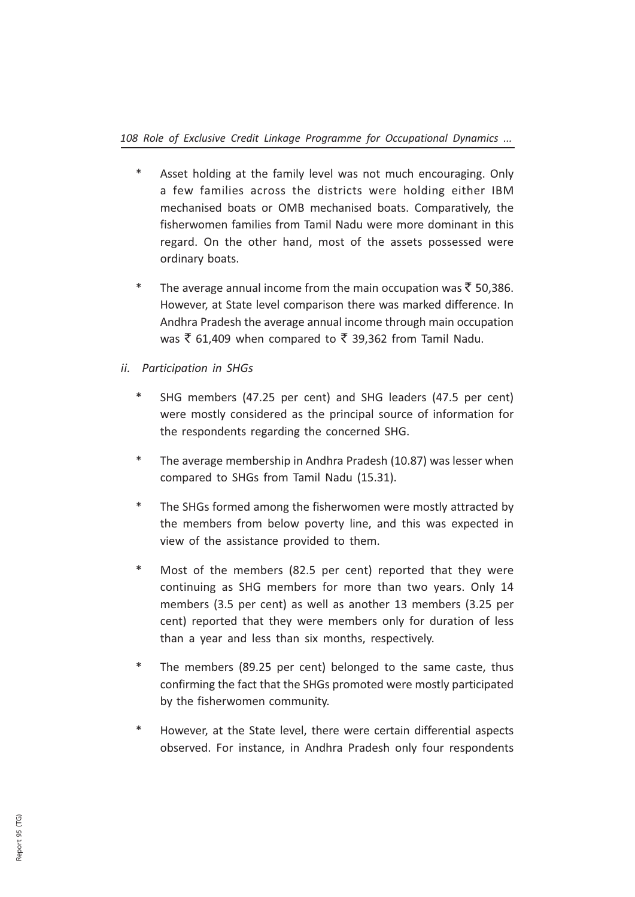- Asset holding at the family level was not much encouraging. Only a few families across the districts were holding either IBM mechanised boats or OMB mechanised boats. Comparatively, the fisherwomen families from Tamil Nadu were more dominant in this regard. On the other hand, most of the assets possessed were ordinary boats.
- \* The average annual income from the main occupation was  $\bar{z}$  50,386. However, at State level comparison there was marked difference. In Andhra Pradesh the average annual income through main occupation was  $\bar{\xi}$  61,409 when compared to  $\bar{\xi}$  39,362 from Tamil Nadu.
- ii. Participation in SHGs
	- SHG members (47.25 per cent) and SHG leaders (47.5 per cent) were mostly considered as the principal source of information for the respondents regarding the concerned SHG.
	- \* The average membership in Andhra Pradesh (10.87) was lesser when compared to SHGs from Tamil Nadu (15.31).
	- The SHGs formed among the fisherwomen were mostly attracted by the members from below poverty line, and this was expected in view of the assistance provided to them.
	- Most of the members (82.5 per cent) reported that they were continuing as SHG members for more than two years. Only 14 members (3.5 per cent) as well as another 13 members (3.25 per cent) reported that they were members only for duration of less than a year and less than six months, respectively.
	- \* The members (89.25 per cent) belonged to the same caste, thus confirming the fact that the SHGs promoted were mostly participated by the fisherwomen community.
	- However, at the State level, there were certain differential aspects observed. For instance, in Andhra Pradesh only four respondents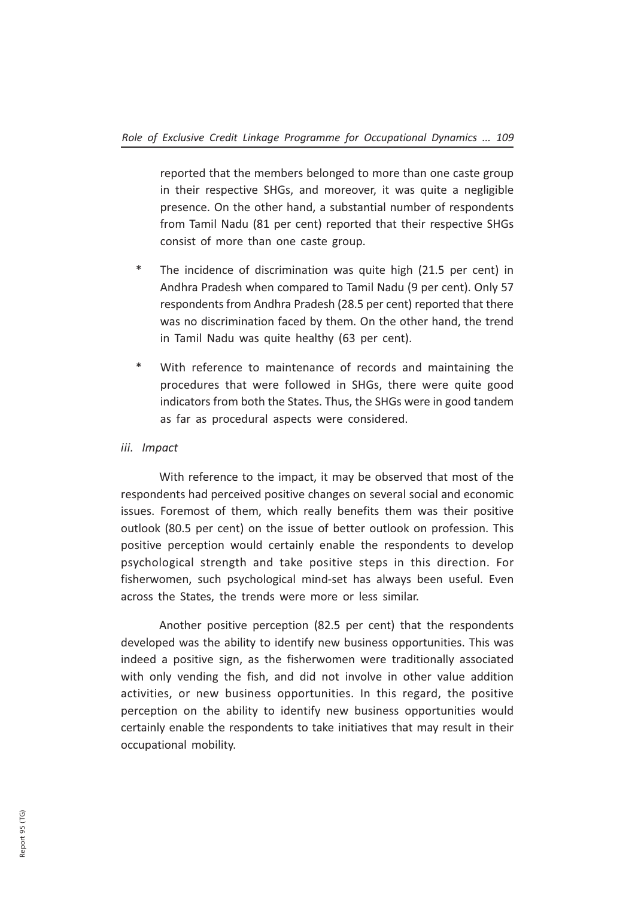reported that the members belonged to more than one caste group in their respective SHGs, and moreover, it was quite a negligible presence. On the other hand, a substantial number of respondents from Tamil Nadu (81 per cent) reported that their respective SHGs consist of more than one caste group.

- \* The incidence of discrimination was quite high (21.5 per cent) in Andhra Pradesh when compared to Tamil Nadu (9 per cent). Only 57 respondents from Andhra Pradesh (28.5 per cent) reported that there was no discrimination faced by them. On the other hand, the trend in Tamil Nadu was quite healthy (63 per cent).
- \* With reference to maintenance of records and maintaining the procedures that were followed in SHGs, there were quite good indicators from both the States. Thus, the SHGs were in good tandem as far as procedural aspects were considered.

## iii. Impact

With reference to the impact, it may be observed that most of the respondents had perceived positive changes on several social and economic issues. Foremost of them, which really benefits them was their positive outlook (80.5 per cent) on the issue of better outlook on profession. This positive perception would certainly enable the respondents to develop psychological strength and take positive steps in this direction. For fisherwomen, such psychological mind-set has always been useful. Even across the States, the trends were more or less similar.

Another positive perception (82.5 per cent) that the respondents developed was the ability to identify new business opportunities. This was indeed a positive sign, as the fisherwomen were traditionally associated with only vending the fish, and did not involve in other value addition activities, or new business opportunities. In this regard, the positive perception on the ability to identify new business opportunities would certainly enable the respondents to take initiatives that may result in their occupational mobility.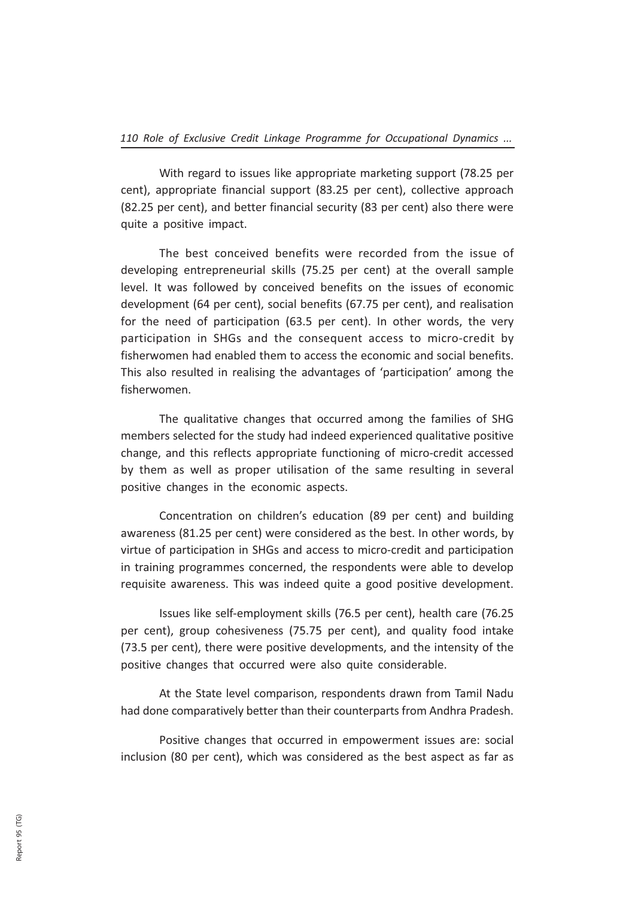With regard to issues like appropriate marketing support (78.25 per cent), appropriate financial support (83.25 per cent), collective approach (82.25 per cent), and better financial security (83 per cent) also there were quite a positive impact.

The best conceived benefits were recorded from the issue of developing entrepreneurial skills (75.25 per cent) at the overall sample level. It was followed by conceived benefits on the issues of economic development (64 per cent), social benefits (67.75 per cent), and realisation for the need of participation (63.5 per cent). In other words, the very participation in SHGs and the consequent access to micro-credit by fisherwomen had enabled them to access the economic and social benefits. This also resulted in realising the advantages of 'participation' among the fisherwomen.

The qualitative changes that occurred among the families of SHG members selected for the study had indeed experienced qualitative positive change, and this reflects appropriate functioning of micro-credit accessed by them as well as proper utilisation of the same resulting in several positive changes in the economic aspects.

Concentration on children's education (89 per cent) and building awareness (81.25 per cent) were considered as the best. In other words, by virtue of participation in SHGs and access to micro-credit and participation in training programmes concerned, the respondents were able to develop requisite awareness. This was indeed quite a good positive development.

Issues like self-employment skills (76.5 per cent), health care (76.25 per cent), group cohesiveness (75.75 per cent), and quality food intake (73.5 per cent), there were positive developments, and the intensity of the positive changes that occurred were also quite considerable.

At the State level comparison, respondents drawn from Tamil Nadu had done comparatively better than their counterparts from Andhra Pradesh.

Positive changes that occurred in empowerment issues are: social inclusion (80 per cent), which was considered as the best aspect as far as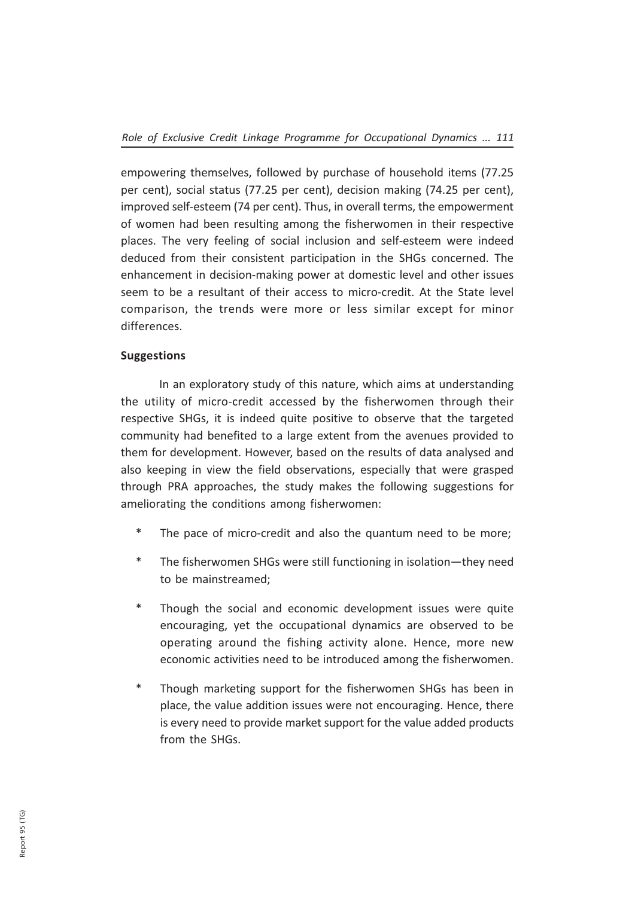empowering themselves, followed by purchase of household items (77.25 per cent), social status (77.25 per cent), decision making (74.25 per cent), improved self-esteem (74 per cent). Thus, in overall terms, the empowerment of women had been resulting among the fisherwomen in their respective places. The very feeling of social inclusion and self-esteem were indeed deduced from their consistent participation in the SHGs concerned. The enhancement in decision-making power at domestic level and other issues seem to be a resultant of their access to micro-credit. At the State level comparison, the trends were more or less similar except for minor differences.

# **Suggestions**

In an exploratory study of this nature, which aims at understanding the utility of micro-credit accessed by the fisherwomen through their respective SHGs, it is indeed quite positive to observe that the targeted community had benefited to a large extent from the avenues provided to them for development. However, based on the results of data analysed and also keeping in view the field observations, especially that were grasped through PRA approaches, the study makes the following suggestions for ameliorating the conditions among fisherwomen:

- \* The pace of micro-credit and also the quantum need to be more;
- \* The fisherwomen SHGs were still functioning in isolation—they need to be mainstreamed;
- \* Though the social and economic development issues were quite encouraging, yet the occupational dynamics are observed to be operating around the fishing activity alone. Hence, more new economic activities need to be introduced among the fisherwomen.
- \* Though marketing support for the fisherwomen SHGs has been in place, the value addition issues were not encouraging. Hence, there is every need to provide market support for the value added products from the SHGs.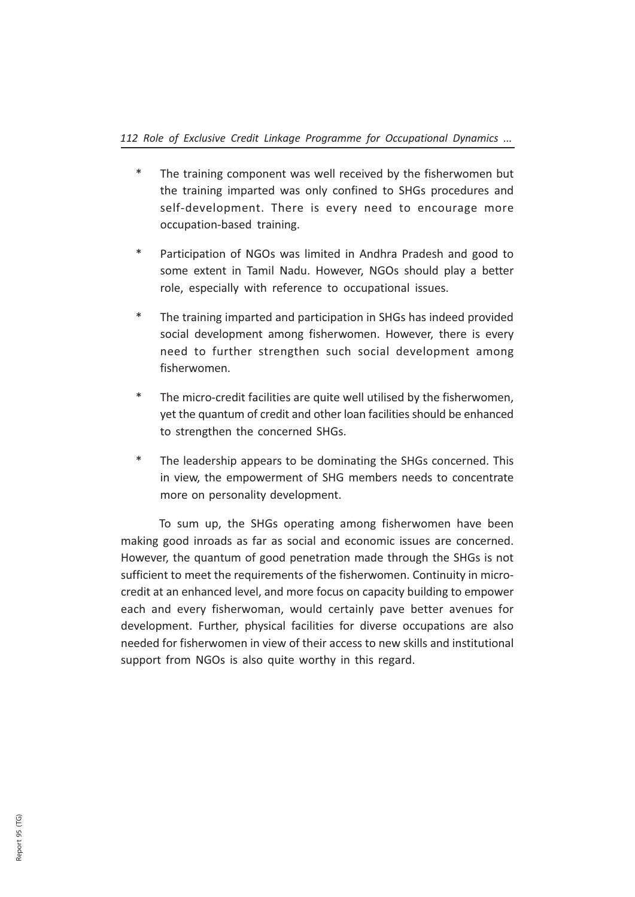- The training component was well received by the fisherwomen but the training imparted was only confined to SHGs procedures and self-development. There is every need to encourage more occupation-based training.
- \* Participation of NGOs was limited in Andhra Pradesh and good to some extent in Tamil Nadu. However, NGOs should play a better role, especially with reference to occupational issues.
- \* The training imparted and participation in SHGs has indeed provided social development among fisherwomen. However, there is every need to further strengthen such social development among fisherwomen.
- \* The micro-credit facilities are quite well utilised by the fisherwomen, yet the quantum of credit and other loan facilities should be enhanced to strengthen the concerned SHGs.
- \* The leadership appears to be dominating the SHGs concerned. This in view, the empowerment of SHG members needs to concentrate more on personality development.

To sum up, the SHGs operating among fisherwomen have been making good inroads as far as social and economic issues are concerned. However, the quantum of good penetration made through the SHGs is not sufficient to meet the requirements of the fisherwomen. Continuity in microcredit at an enhanced level, and more focus on capacity building to empower each and every fisherwoman, would certainly pave better avenues for development. Further, physical facilities for diverse occupations are also needed for fisherwomen in view of their access to new skills and institutional support from NGOs is also quite worthy in this regard.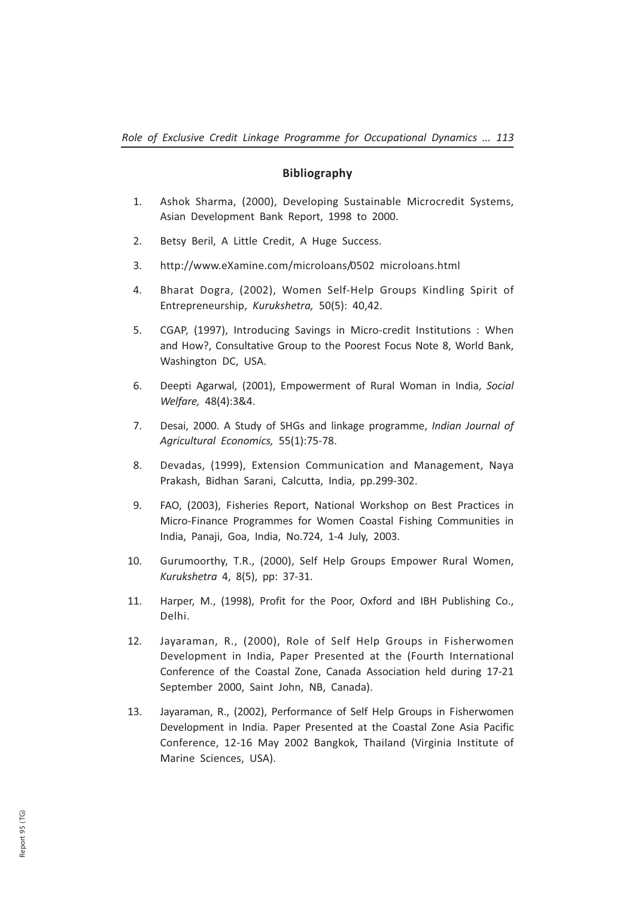## Bibliography

- 1. Ashok Sharma, (2000), Developing Sustainable Microcredit Systems, Asian Development Bank Report, 1998 to 2000.
- 2. Betsy Beril, A Little Credit, A Huge Success.
- 3. http://www.eXamine.com/microloans/0502 microloans.html
- 4. Bharat Dogra, (2002), Women Self-Help Groups Kindling Spirit of Entrepreneurship, Kurukshetra, 50(5): 40,42.
- 5. CGAP, (1997), Introducing Savings in Micro-credit Institutions : When and How?, Consultative Group to the Poorest Focus Note 8, World Bank, Washington DC, USA.
- 6. Deepti Agarwal, (2001), Empowerment of Rural Woman in India, Social Welfare, 48(4):3&4.
- 7. Desai, 2000. A Study of SHGs and linkage programme, Indian Journal of Agricultural Economics, 55(1):75-78.
- 8. Devadas, (1999), Extension Communication and Management, Naya Prakash, Bidhan Sarani, Calcutta, India, pp.299-302.
- 9. FAO, (2003), Fisheries Report, National Workshop on Best Practices in Micro-Finance Programmes for Women Coastal Fishing Communities in India, Panaji, Goa, India, No.724, 1-4 July, 2003.
- 10. Gurumoorthy, T.R., (2000), Self Help Groups Empower Rural Women, Kurukshetra 4, 8(5), pp: 37-31.
- 11. Harper, M., (1998), Profit for the Poor, Oxford and IBH Publishing Co., Delhi.
- 12. Jayaraman, R., (2000), Role of Self Help Groups in Fisherwomen Development in India, Paper Presented at the (Fourth International Conference of the Coastal Zone, Canada Association held during 17-21 September 2000, Saint John, NB, Canada).
- 13. Jayaraman, R., (2002), Performance of Self Help Groups in Fisherwomen Development in India. Paper Presented at the Coastal Zone Asia Pacific Conference, 12-16 May 2002 Bangkok, Thailand (Virginia Institute of Marine Sciences, USA).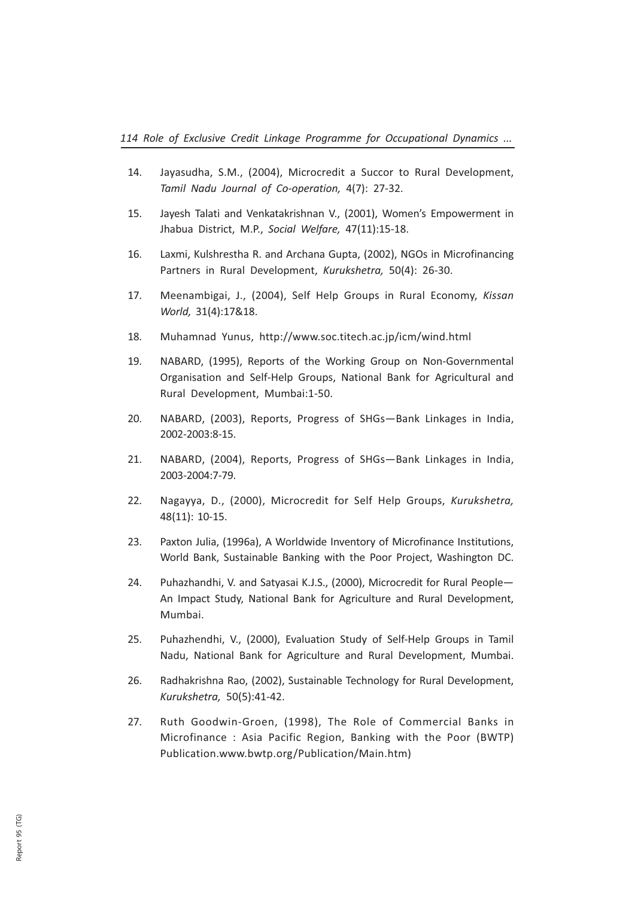- 14. Jayasudha, S.M., (2004), Microcredit a Succor to Rural Development, Tamil Nadu Journal of Co-operation, 4(7): 27-32.
- 15. Jayesh Talati and Venkatakrishnan V., (2001), Women's Empowerment in Jhabua District, M.P., Social Welfare, 47(11):15-18.
- 16. Laxmi, Kulshrestha R. and Archana Gupta, (2002), NGOs in Microfinancing Partners in Rural Development, Kurukshetra, 50(4): 26-30.
- 17. Meenambigai, J., (2004), Self Help Groups in Rural Economy, Kissan World, 31(4):17&18.
- 18. Muhamnad Yunus, http://www.soc.titech.ac.jp/icm/wind.html
- 19. NABARD, (1995), Reports of the Working Group on Non-Governmental Organisation and Self-Help Groups, National Bank for Agricultural and Rural Development, Mumbai:1-50.
- 20. NABARD, (2003), Reports, Progress of SHGs—Bank Linkages in India, 2002-2003:8-15.
- 21. NABARD, (2004), Reports, Progress of SHGs—Bank Linkages in India, 2003-2004:7-79.
- 22. Nagayya, D., (2000), Microcredit for Self Help Groups, Kurukshetra, 48(11): 10-15.
- 23. Paxton Julia, (1996a), A Worldwide Inventory of Microfinance Institutions, World Bank, Sustainable Banking with the Poor Project, Washington DC.
- 24. Puhazhandhi, V. and Satyasai K.J.S., (2000), Microcredit for Rural People— An Impact Study, National Bank for Agriculture and Rural Development, Mumbai.
- 25. Puhazhendhi, V., (2000), Evaluation Study of Self-Help Groups in Tamil Nadu, National Bank for Agriculture and Rural Development, Mumbai.
- 26. Radhakrishna Rao, (2002), Sustainable Technology for Rural Development, Kurukshetra, 50(5):41-42.
- 27. Ruth Goodwin-Groen, (1998), The Role of Commercial Banks in Microfinance : Asia Pacific Region, Banking with the Poor (BWTP) Publication.www.bwtp.org/Publication/Main.htm)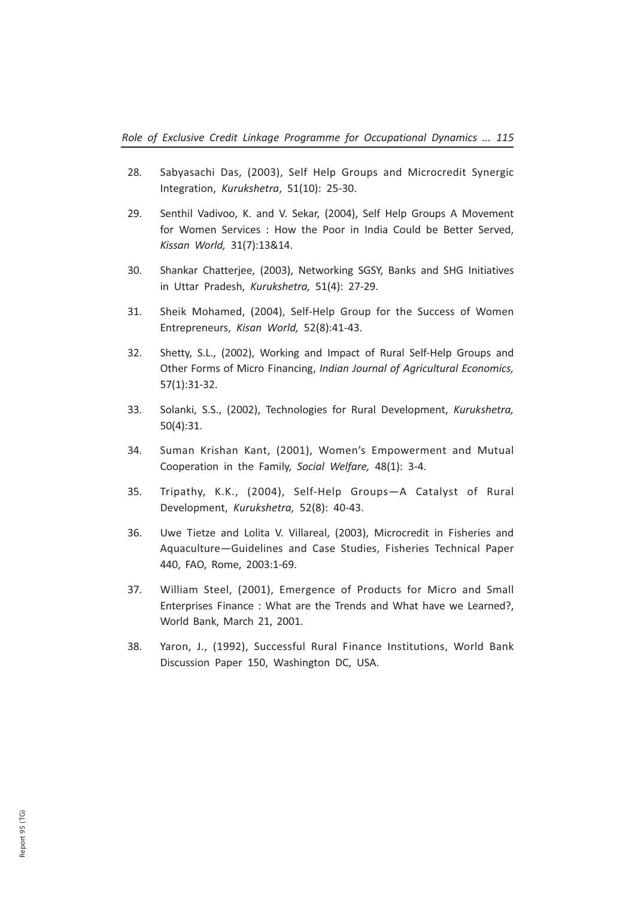- 28. Sabyasachi Das, (2003), Self Help Groups and Microcredit Synergic Integration, Kurukshetra, 51(10): 25-30.
- 29. Senthil Vadivoo, K. and V. Sekar, (2004), Self Help Groups A Movement for Women Services : How the Poor in India Could be Better Served, Kissan World, 31(7):13&14.
- 30. Shankar Chatterjee, (2003), Networking SGSY, Banks and SHG Initiatives in Uttar Pradesh, Kurukshetra, 51(4): 27-29.
- 31. Sheik Mohamed, (2004), Self-Help Group for the Success of Women Entrepreneurs, Kisan World, 52(8):41-43.
- 32. Shetty, S.L., (2002), Working and Impact of Rural Self-Help Groups and Other Forms of Micro Financing, Indian Journal of Agricultural Economics, 57(1):31-32.
- 33. Solanki, S.S., (2002), Technologies for Rural Development, Kurukshetra, 50(4):31.
- 34. Suman Krishan Kant, (2001), Women's Empowerment and Mutual Cooperation in the Family, Social Welfare, 48(1): 3-4.
- 35. Tripathy, K.K., (2004), Self-Help Groups—A Catalyst of Rural Development, Kurukshetra, 52(8): 40-43.
- 36. Uwe Tietze and Lolita V. Villareal, (2003), Microcredit in Fisheries and Aquaculture—Guidelines and Case Studies, Fisheries Technical Paper 440, FAO, Rome, 2003:1-69.
- 37. William Steel, (2001), Emergence of Products for Micro and Small Enterprises Finance : What are the Trends and What have we Learned?, World Bank, March 21, 2001.
- 38. Yaron, J., (1992), Successful Rural Finance Institutions, World Bank Discussion Paper 150, Washington DC, USA.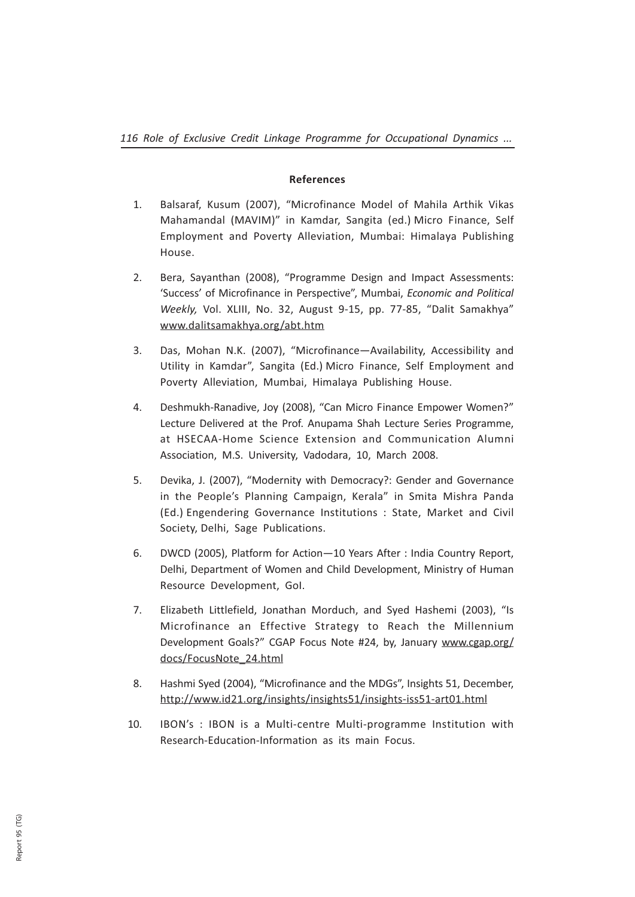## References

- 1. Balsaraf, Kusum (2007), "Microfinance Model of Mahila Arthik Vikas Mahamandal (MAVIM)" in Kamdar, Sangita (ed.) Micro Finance, Self Employment and Poverty Alleviation, Mumbai: Himalaya Publishing House.
- 2. Bera, Sayanthan (2008), "Programme Design and Impact Assessments: 'Success' of Microfinance in Perspective", Mumbai, Economic and Political Weekly, Vol. XLIII, No. 32, August 9-15, pp. 77-85, "Dalit Samakhya" www.dalitsamakhya.org/abt.htm
- 3. Das, Mohan N.K. (2007), "Microfinance—Availability, Accessibility and Utility in Kamdar", Sangita (Ed.) Micro Finance, Self Employment and Poverty Alleviation, Mumbai, Himalaya Publishing House.
- 4. Deshmukh-Ranadive, Joy (2008), "Can Micro Finance Empower Women?" Lecture Delivered at the Prof. Anupama Shah Lecture Series Programme, at HSECAA-Home Science Extension and Communication Alumni Association, M.S. University, Vadodara, 10, March 2008.
- 5. Devika, J. (2007), "Modernity with Democracy?: Gender and Governance in the People's Planning Campaign, Kerala" in Smita Mishra Panda (Ed.) Engendering Governance Institutions : State, Market and Civil Society, Delhi, Sage Publications.
- 6. DWCD (2005), Platform for Action—10 Years After : India Country Report, Delhi, Department of Women and Child Development, Ministry of Human Resource Development, GoI.
- 7. Elizabeth Littlefield, Jonathan Morduch, and Syed Hashemi (2003), "Is Microfinance an Effective Strategy to Reach the Millennium Development Goals?" CGAP Focus Note #24, by, January www.cgap.org/ docs/FocusNote\_24.html
- 8. Hashmi Syed (2004), "Microfinance and the MDGs", Insights 51, December, http://www.id21.org/insights/insights51/insights-iss51-art01.html
- 10. IBON's : IBON is a Multi-centre Multi-programme Institution with Research-Education-Information as its main Focus.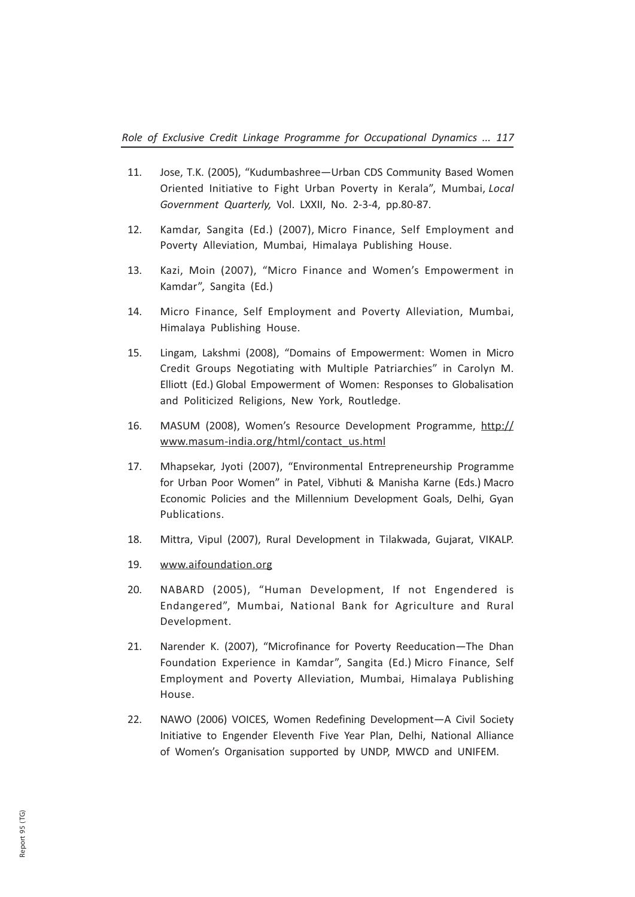- 11. Jose, T.K. (2005), "Kudumbashree—Urban CDS Community Based Women Oriented Initiative to Fight Urban Poverty in Kerala", Mumbai, Local Government Quarterly, Vol. LXXII, No. 2-3-4, pp.80-87.
- 12. Kamdar, Sangita (Ed.) (2007), Micro Finance, Self Employment and Poverty Alleviation, Mumbai, Himalaya Publishing House.
- 13. Kazi, Moin (2007), "Micro Finance and Women's Empowerment in Kamdar", Sangita (Ed.)
- 14. Micro Finance, Self Employment and Poverty Alleviation, Mumbai, Himalaya Publishing House.
- 15. Lingam, Lakshmi (2008), "Domains of Empowerment: Women in Micro Credit Groups Negotiating with Multiple Patriarchies" in Carolyn M. Elliott (Ed.) Global Empowerment of Women: Responses to Globalisation and Politicized Religions, New York, Routledge.
- 16. MASUM (2008), Women's Resource Development Programme, http:// www.masum-india.org/html/contact\_us.html
- 17. Mhapsekar, Jyoti (2007), "Environmental Entrepreneurship Programme for Urban Poor Women" in Patel, Vibhuti & Manisha Karne (Eds.) Macro Economic Policies and the Millennium Development Goals, Delhi, Gyan Publications.
- 18. Mittra, Vipul (2007), Rural Development in Tilakwada, Gujarat, VIKALP.
- 19. www.aifoundation.org
- 20. NABARD (2005), "Human Development, If not Engendered is Endangered", Mumbai, National Bank for Agriculture and Rural Development.
- 21. Narender K. (2007), "Microfinance for Poverty Reeducation—The Dhan Foundation Experience in Kamdar", Sangita (Ed.) Micro Finance, Self Employment and Poverty Alleviation, Mumbai, Himalaya Publishing House.
- 22. NAWO (2006) VOICES, Women Redefining Development—A Civil Society Initiative to Engender Eleventh Five Year Plan, Delhi, National Alliance of Women's Organisation supported by UNDP, MWCD and UNIFEM.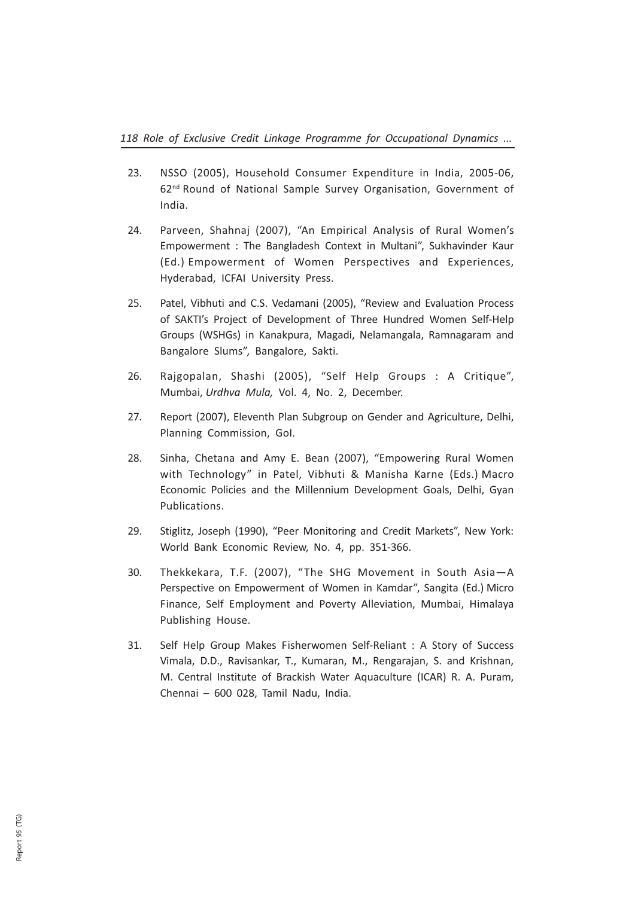- 23. NSSO (2005), Household Consumer Expenditure in India, 2005-06, 62nd Round of National Sample Survey Organisation, Government of India.
- 24. Parveen, Shahnaj (2007), "An Empirical Analysis of Rural Women's Empowerment : The Bangladesh Context in Multani", Sukhavinder Kaur (Ed.) Empowerment of Women Perspectives and Experiences, Hyderabad, ICFAI University Press.
- 25. Patel, Vibhuti and C.S. Vedamani (2005), "Review and Evaluation Process of SAKTI's Project of Development of Three Hundred Women Self-Help Groups (WSHGs) in Kanakpura, Magadi, Nelamangala, Ramnagaram and Bangalore Slums", Bangalore, Sakti.
- 26. Rajgopalan, Shashi (2005), "Self Help Groups : A Critique", Mumbai, Urdhva Mula, Vol. 4, No. 2, December.
- 27. Report (2007), Eleventh Plan Subgroup on Gender and Agriculture, Delhi, Planning Commission, GoI.
- 28. Sinha, Chetana and Amy E. Bean (2007), "Empowering Rural Women with Technology" in Patel, Vibhuti & Manisha Karne (Eds.) Macro Economic Policies and the Millennium Development Goals, Delhi, Gyan Publications.
- 29. Stiglitz, Joseph (1990), "Peer Monitoring and Credit Markets", New York: World Bank Economic Review, No. 4, pp. 351-366.
- 30. Thekkekara, T.F. (2007), "The SHG Movement in South Asia—A Perspective on Empowerment of Women in Kamdar", Sangita (Ed.) Micro Finance, Self Employment and Poverty Alleviation, Mumbai, Himalaya Publishing House.
- 31. Self Help Group Makes Fisherwomen Self-Reliant : A Story of Success Vimala, D.D., Ravisankar, T., Kumaran, M., Rengarajan, S. and Krishnan, M. Central Institute of Brackish Water Aquaculture (ICAR) R. A. Puram, Chennai – 600 028, Tamil Nadu, India.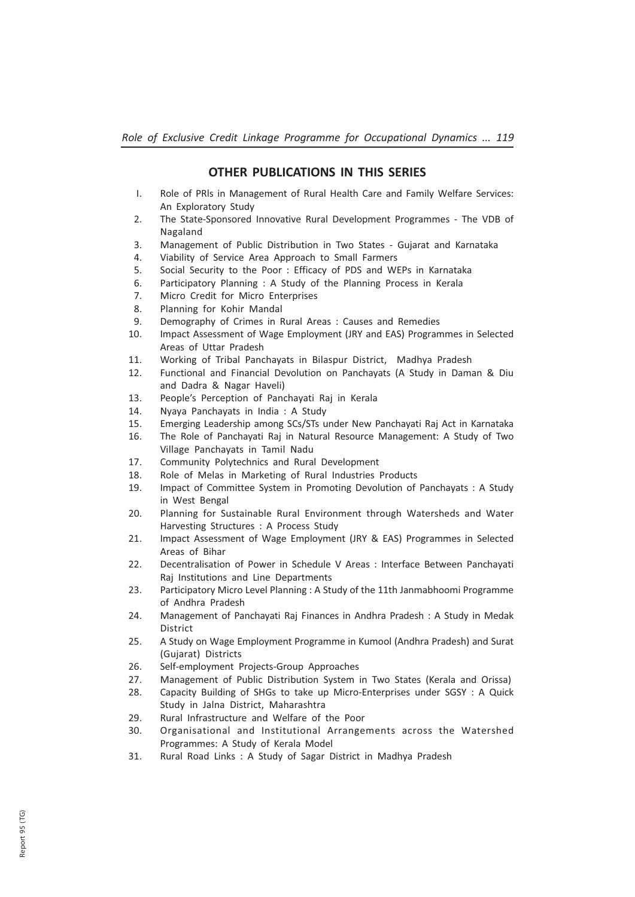#### OTHER PUBLICATIONS IN THIS SERIES

- I. Role of PRls in Management of Rural Health Care and Family Welfare Services: An Exploratory Study
- 2. The State-Sponsored Innovative Rural Development Programmes The VDB of Nagaland
- 3. Management of Public Distribution in Two States Gujarat and Karnataka
- 4. Viability of Service Area Approach to Small Farmers
- 5. Social Security to the Poor : Efficacy of PDS and WEPs in Karnataka
- 6. Participatory Planning : A Study of the Planning Process in Kerala
- 7. Micro Credit for Micro Enterprises
- 8. Planning for Kohir Mandal
- 9. Demography of Crimes in Rural Areas : Causes and Remedies
- 10. Impact Assessment of Wage Employment (JRY and EAS) Programmes in Selected Areas of Uttar Pradesh
- 11. Working of Tribal Panchayats in Bilaspur District, Madhya Pradesh
- 12. Functional and Financial Devolution on Panchayats (A Study in Daman & Diu and Dadra & Nagar Haveli)
- 13. People's Perception of Panchayati Raj in Kerala
- 14. Nyaya Panchayats in India : A Study
- 15. Emerging Leadership among SCs/STs under New Panchayati Raj Act in Karnataka
- 16. The Role of Panchayati Raj in Natural Resource Management: A Study of Two Village Panchayats in Tamil Nadu
- 17. Community Polytechnics and Rural Development
- 18. Role of Melas in Marketing of Rural Industries Products
- 19. Impact of Committee System in Promoting Devolution of Panchayats : A Study in West Bengal
- 20. Planning for Sustainable Rural Environment through Watersheds and Water Harvesting Structures : A Process Study
- 21. Impact Assessment of Wage Employment (JRY & EAS) Programmes in Selected Areas of Bihar
- 22. Decentralisation of Power in Schedule V Areas : Interface Between Panchayati Raj Institutions and Line Departments
- 23. Participatory Micro Level Planning : A Study of the 11th Janmabhoomi Programme of Andhra Pradesh
- 24. Management of Panchayati Raj Finances in Andhra Pradesh : A Study in Medak District
- 25. A Study on Wage Employment Programme in Kumool (Andhra Pradesh) and Surat (Gujarat) Districts
- 26. Self-employment Projects-Group Approaches
- 27. Management of Public Distribution System in Two States (Kerala and Orissa)
- 28. Capacity Building of SHGs to take up Micro-Enterprises under SGSY : A Quick Study in Jalna District, Maharashtra
- 29. Rural Infrastructure and Welfare of the Poor
- 30. Organisational and Institutional Arrangements across the Watershed Programmes: A Study of Kerala Model
- 31. Rural Road Links : A Study of Sagar District in Madhya Pradesh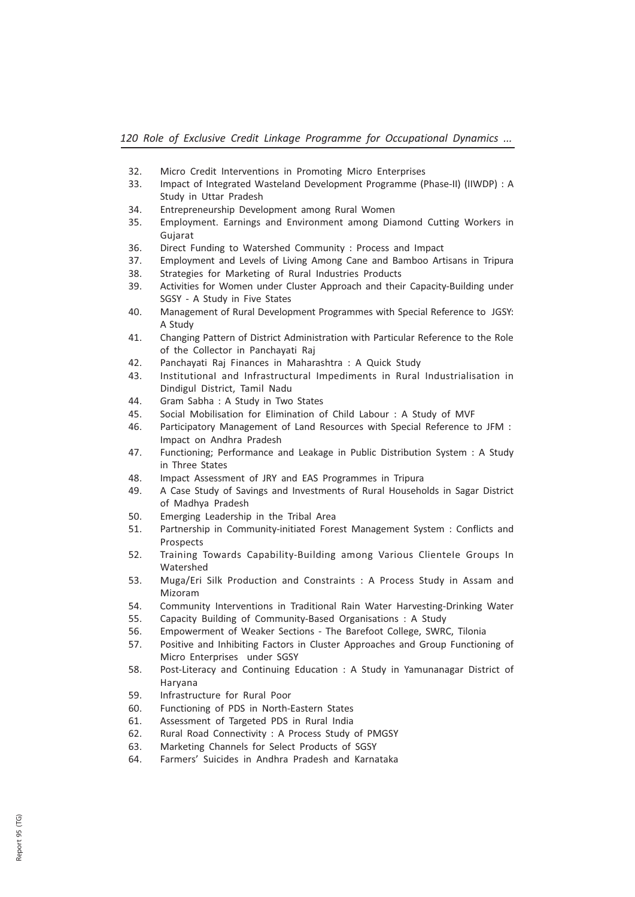- 32. Micro Credit Interventions in Promoting Micro Enterprises
- 33. Impact of Integrated Wasteland Development Programme (Phase-II) (IIWDP) : A Study in Uttar Pradesh
- 34. Entrepreneurship Development among Rural Women
- 35. Employment. Earnings and Environment among Diamond Cutting Workers in Gujarat
- 36. Direct Funding to Watershed Community : Process and Impact
- 37. Employment and Levels of Living Among Cane and Bamboo Artisans in Tripura
- 38. Strategies for Marketing of Rural Industries Products
- 39. Activities for Women under Cluster Approach and their Capacity-Building under SGSY - A Study in Five States
- 40. Management of Rural Development Programmes with Special Reference to JGSY: A Study
- 41. Changing Pattern of District Administration with Particular Reference to the Role of the Collector in Panchayati Raj
- 42. Panchayati Raj Finances in Maharashtra : A Quick Study
- 43. InstitutionaI and Infrastructural Impediments in Rural Industrialisation in Dindigul District, Tamil Nadu
- 44. Gram Sabha : A Study in Two States
- 45. Social Mobilisation for Elimination of Child Labour : A Study of MVF
- 46. Participatory Management of Land Resources with Special Reference to JFM : Impact on Andhra Pradesh
- 47. Functioning; Performance and Leakage in Public Distribution System : A Study in Three States
- 48. Impact Assessment of JRY and EAS Programmes in Tripura
- 49. A Case Study of Savings and Investments of Rural Households in Sagar District of Madhya Pradesh
- 50. Emerging Leadership in the Tribal Area
- 51. Partnership in Community-initiated Forest Management System : Conflicts and Prospects
- 52. Training Towards Capability-Building among Various Clientele Groups In **Watershed**
- 53. Muga/Eri Silk Production and Constraints : A Process Study in Assam and Mizoram
- 54. Community Interventions in Traditional Rain Water Harvesting-Drinking Water
- 55. Capacity Building of Community-Based Organisations : A Study
- 56. Empowerment of Weaker Sections The Barefoot College, SWRC, Tilonia
- 57. Positive and Inhibiting Factors in Cluster Approaches and Group Functioning of Micro Enterprises under SGSY
- 58. Post-Literacy and Continuing Education : A Study in Yamunanagar District of Haryana
- 59. Infrastructure for Rural Poor
- 60. Functioning of PDS in North-Eastern States
- 61. Assessment of Targeted PDS in Rural India
- 62. Rural Road Connectivity : A Process Study of PMGSY
- 63. Marketing Channels for Select Products of SGSY
- 64. Farmers' Suicides in Andhra Pradesh and Karnataka